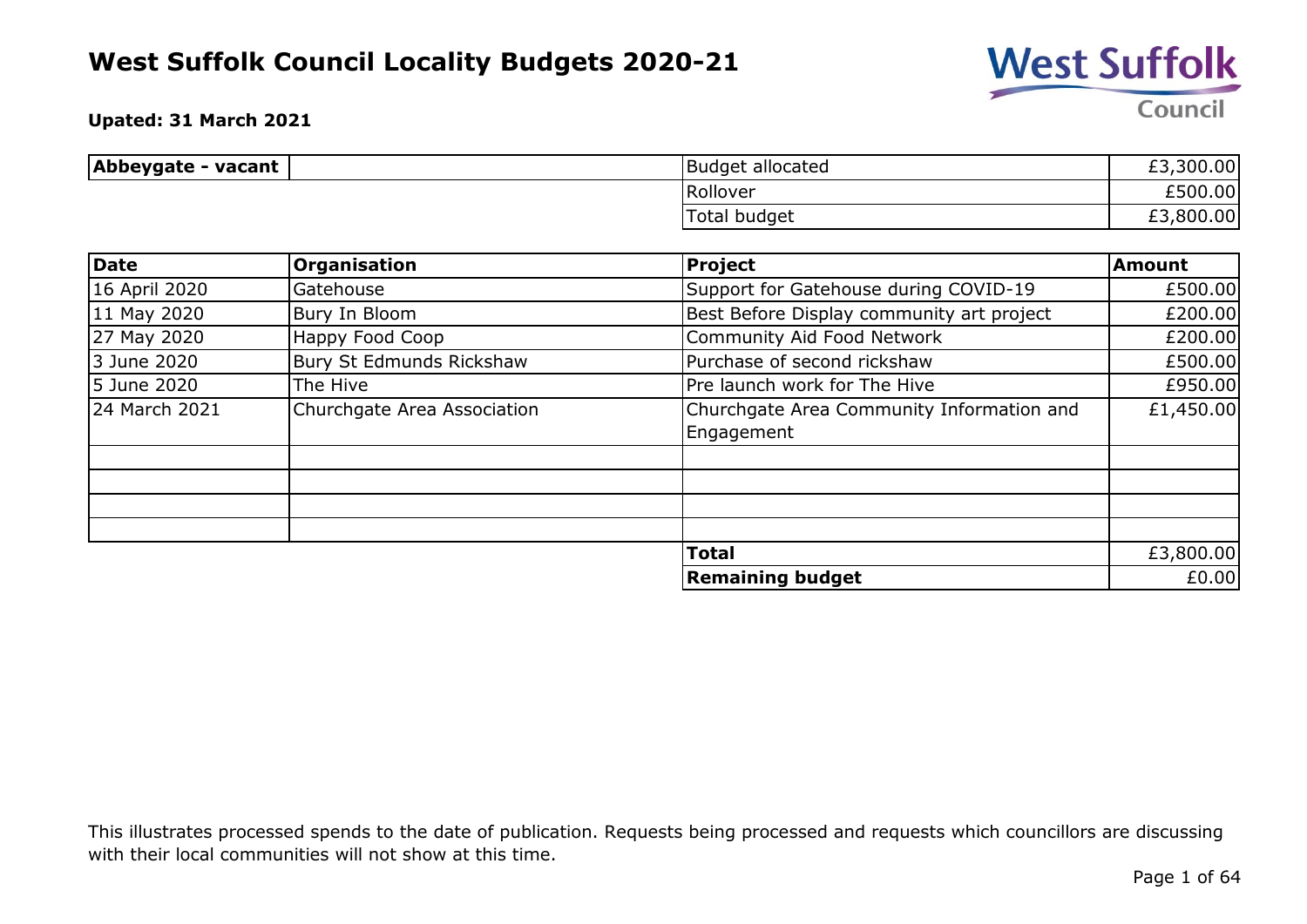

**Upated: 31 March 2021**

| Abbeygate - vacant | Budget allocated | £3,300.00 |
|--------------------|------------------|-----------|
|                    | Rollover         | £500.00   |
|                    | Total budget     | £3,800.00 |

| <b>Date</b>   | <b>Organisation</b>         | <b>Project</b>                            | Amount    |
|---------------|-----------------------------|-------------------------------------------|-----------|
| 16 April 2020 | Gatehouse                   | Support for Gatehouse during COVID-19     | £500.00   |
| 11 May 2020   | Bury In Bloom               | Best Before Display community art project | £200.00   |
| 27 May 2020   | Happy Food Coop             | Community Aid Food Network                | £200.00   |
| 3 June 2020   | Bury St Edmunds Rickshaw    | Purchase of second rickshaw               | £500.00   |
| 5 June 2020   | The Hive                    | Pre launch work for The Hive              | £950.00   |
| 24 March 2021 | Churchgate Area Association | Churchgate Area Community Information and | £1,450.00 |
|               |                             | Engagement                                |           |
|               |                             |                                           |           |
|               |                             |                                           |           |
|               |                             |                                           |           |
|               |                             |                                           |           |
|               |                             | <b>Total</b>                              | £3,800.00 |
|               |                             | <b>Remaining budget</b>                   | £0.00     |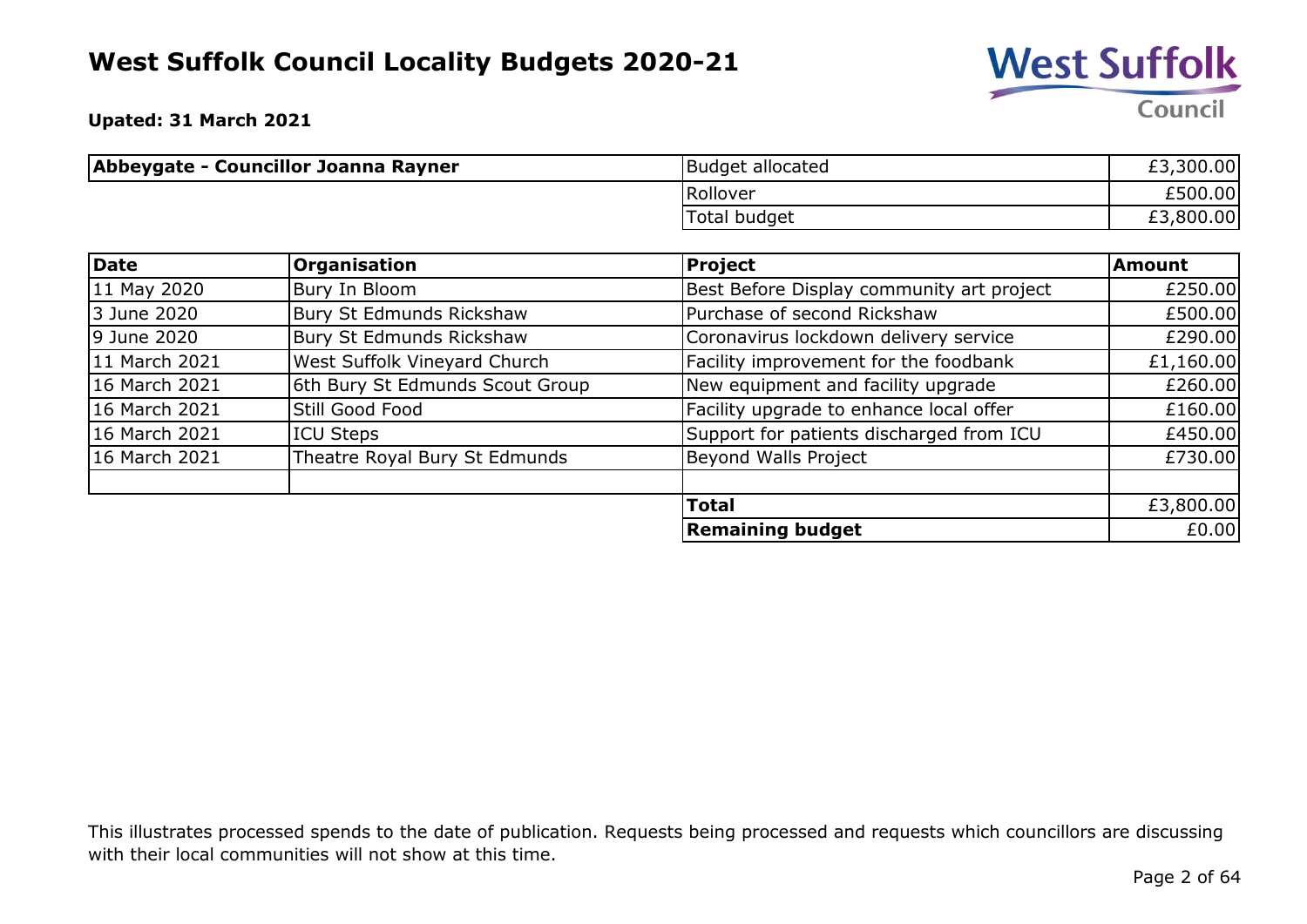

**Upated: 31 March 2021**

| Abbeygate - Councillor Joanna Rayner | <b>Budget allocated</b> | £3,300.00 |
|--------------------------------------|-------------------------|-----------|
|                                      | Rollover                | £500.00   |
|                                      | Total budget            | £3,800.00 |

| Date          | Organisation                    | Project                                   | <b>Amount</b> |
|---------------|---------------------------------|-------------------------------------------|---------------|
| 11 May 2020   | Bury In Bloom                   | Best Before Display community art project | £250.00       |
| 3 June 2020   | Bury St Edmunds Rickshaw        | Purchase of second Rickshaw               | £500.00       |
| 9 June 2020   | Bury St Edmunds Rickshaw        | Coronavirus lockdown delivery service     | £290.00       |
| 11 March 2021 | West Suffolk Vineyard Church    | Facility improvement for the foodbank     | £1,160.00     |
| 16 March 2021 | 6th Bury St Edmunds Scout Group | New equipment and facility upgrade        | £260.00       |
| 16 March 2021 | Still Good Food                 | Facility upgrade to enhance local offer   | £160.00       |
| 16 March 2021 | <b>ICU Steps</b>                | Support for patients discharged from ICU  | £450.00       |
| 16 March 2021 | Theatre Royal Bury St Edmunds   | Beyond Walls Project                      | £730.00       |
|               |                                 | <b>Total</b>                              | £3,800.00     |
|               |                                 | <b>Remaining budget</b>                   | £0.00         |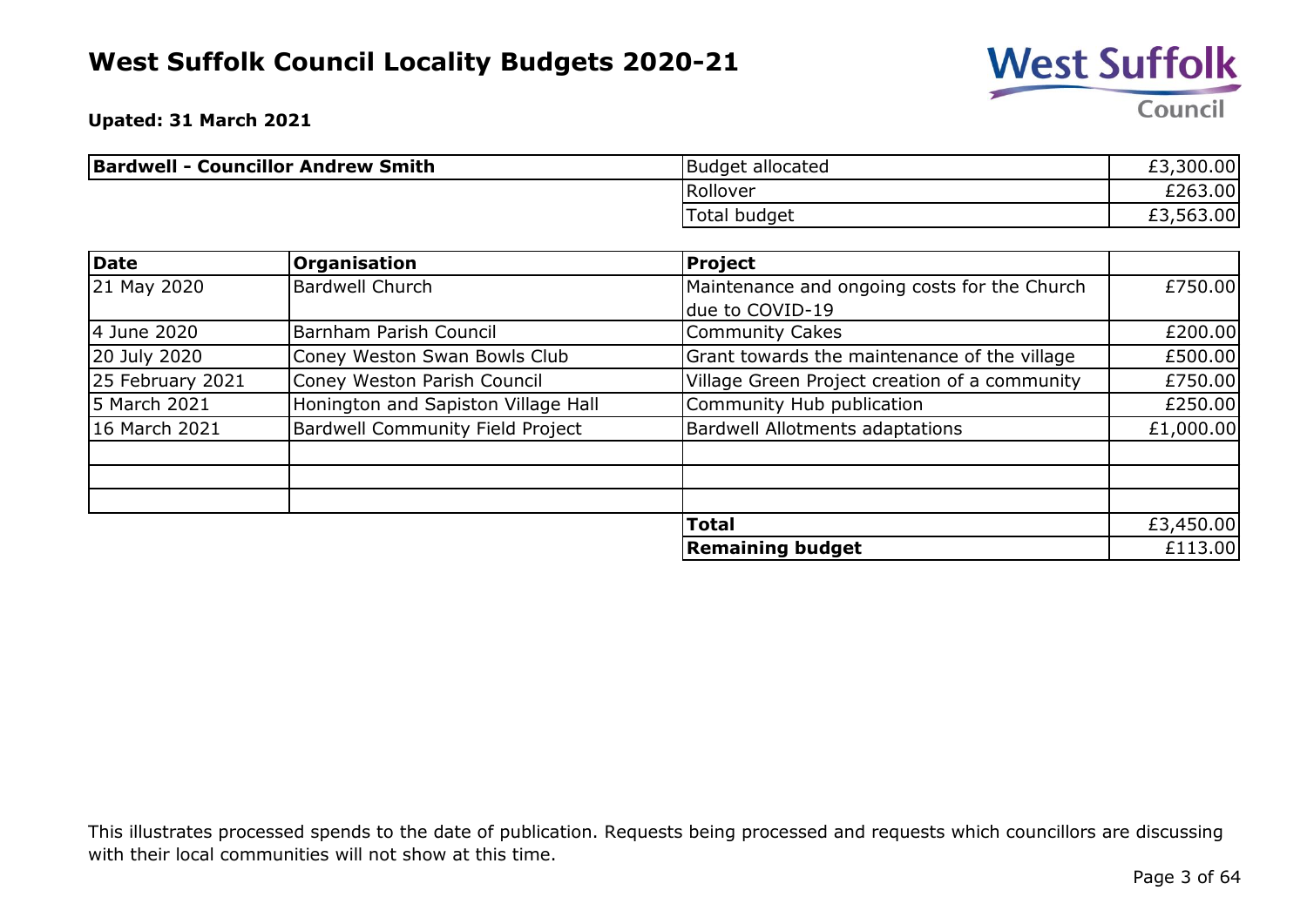

**Upated: 31 March 2021**

| <b>Bardwell - Councillor Andrew Smith</b> | Budget allocated    | £3,300.00 |
|-------------------------------------------|---------------------|-----------|
|                                           | Rollover            | £263.00   |
|                                           | <b>Total budget</b> | £3,563.00 |

| <b>Date</b>      | Organisation                            | Project                                       |           |
|------------------|-----------------------------------------|-----------------------------------------------|-----------|
| 21 May 2020      | <b>Bardwell Church</b>                  | Maintenance and ongoing costs for the Church  | £750.00   |
|                  |                                         | due to COVID-19                               |           |
| 4 June 2020      | Barnham Parish Council                  | <b>Community Cakes</b>                        | £200.00   |
| 20 July 2020     | Coney Weston Swan Bowls Club            | Grant towards the maintenance of the village  | £500.00   |
| 25 February 2021 | Coney Weston Parish Council             | Village Green Project creation of a community | £750.00   |
| 5 March 2021     | Honington and Sapiston Village Hall     | Community Hub publication                     | £250.00   |
| 16 March 2021    | <b>Bardwell Community Field Project</b> | <b>Bardwell Allotments adaptations</b>        | £1,000.00 |
|                  |                                         |                                               |           |
|                  |                                         |                                               |           |
|                  |                                         | <b>Total</b>                                  | £3,450.00 |
|                  |                                         | <b>Remaining budget</b>                       | £113.00   |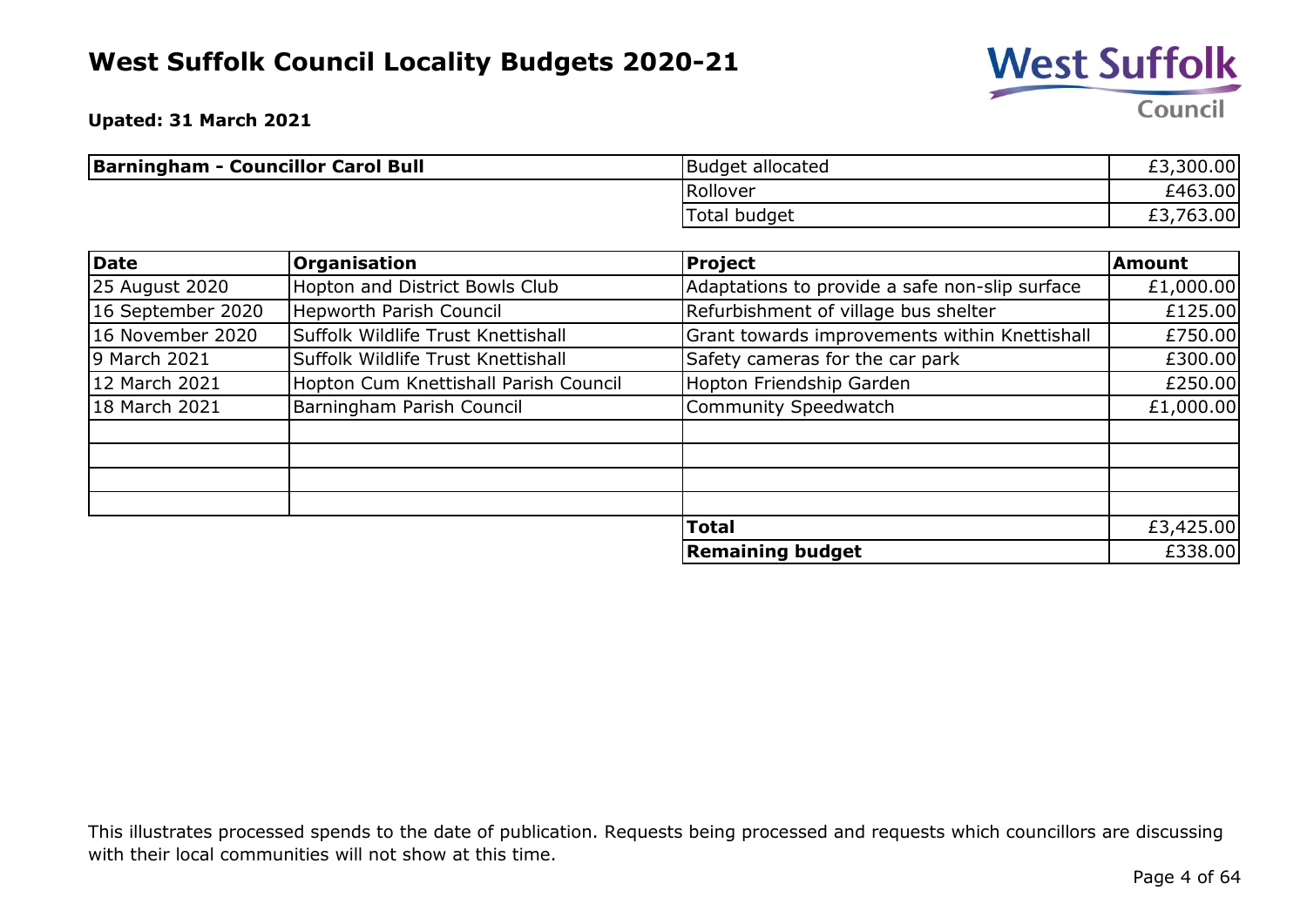

**Upated: 31 March 2021**

| <b>Barningham - Councillor Carol Bull</b> | Budget allocated | £3,300.00             |
|-------------------------------------------|------------------|-----------------------|
|                                           | Rollover         | £463.00               |
|                                           | Total budget     | 763.00,<br><b>zj,</b> |

| Date              | Organisation                          | <b>Project</b>                                 | <b>Amount</b> |
|-------------------|---------------------------------------|------------------------------------------------|---------------|
| 25 August 2020    | Hopton and District Bowls Club        | Adaptations to provide a safe non-slip surface | £1,000.00     |
| 16 September 2020 | <b>Hepworth Parish Council</b>        | Refurbishment of village bus shelter           | £125.00       |
| 16 November 2020  | Suffolk Wildlife Trust Knettishall    | Grant towards improvements within Knettishall  | £750.00       |
| 9 March 2021      | Suffolk Wildlife Trust Knettishall    | Safety cameras for the car park                | £300.00       |
| 12 March 2021     | Hopton Cum Knettishall Parish Council | Hopton Friendship Garden                       | £250.00       |
| 18 March 2021     | Barningham Parish Council             | Community Speedwatch                           | £1,000.00     |
|                   |                                       |                                                |               |
|                   |                                       |                                                |               |
|                   |                                       |                                                |               |
|                   |                                       |                                                |               |
|                   |                                       | <b>Total</b>                                   | £3,425.00     |
|                   |                                       | <b>Remaining budget</b>                        | £338.00       |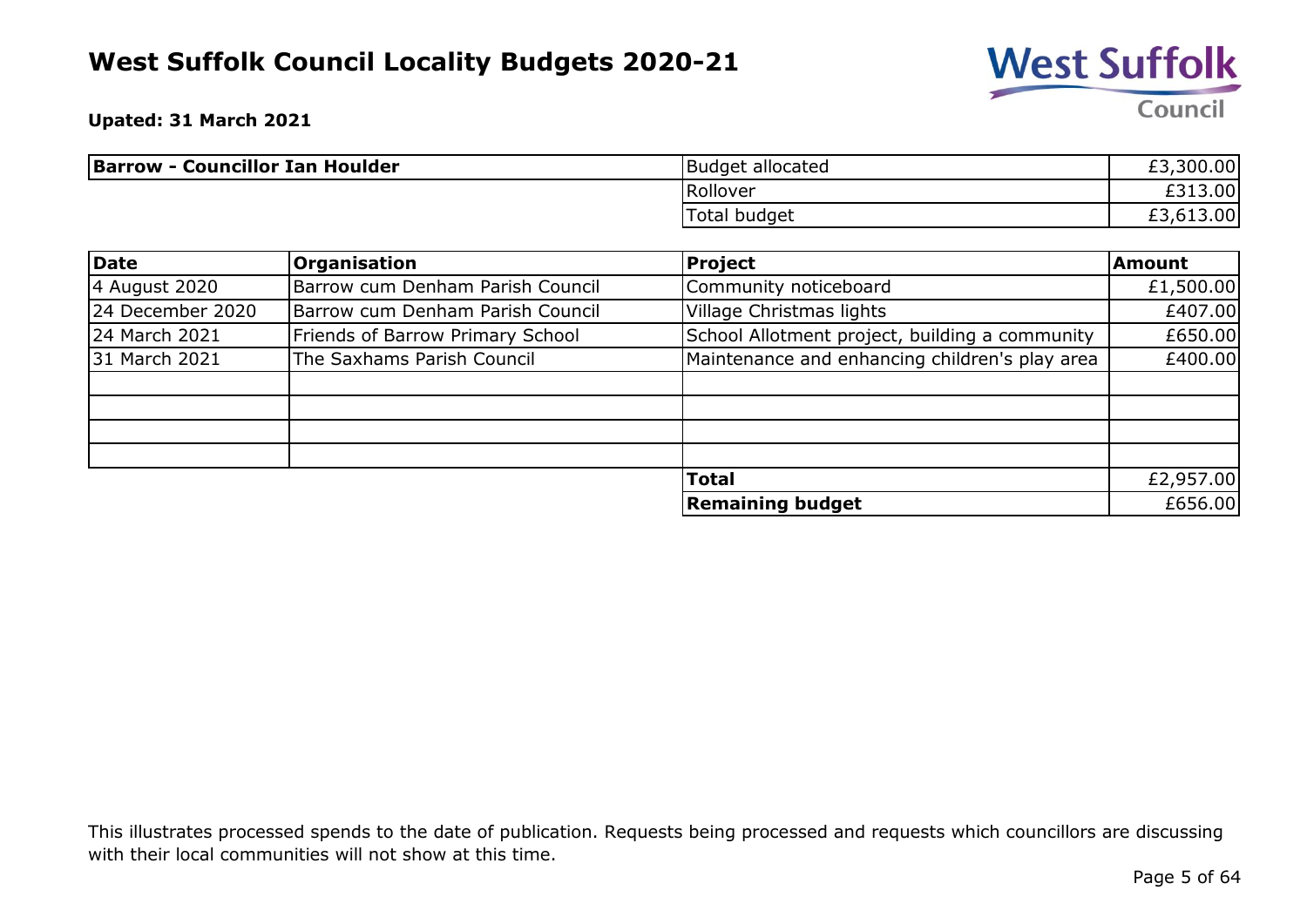

**Upated: 31 March 2021**

| <b>Barrow - Councillor Ian Houlder</b> | <b>Budget allocated</b> | £3,300.00 |
|----------------------------------------|-------------------------|-----------|
|                                        | Rollover                | £313.00   |
|                                        | Total budget            | £3,613.00 |

| Date             | <b>Organisation</b>                     | <b>Project</b>                                 | <b>Amount</b> |
|------------------|-----------------------------------------|------------------------------------------------|---------------|
| 4 August 2020    | Barrow cum Denham Parish Council        | Community noticeboard                          | £1,500.00     |
| 24 December 2020 | Barrow cum Denham Parish Council        | Village Christmas lights                       | £407.00       |
| 24 March 2021    | <b>Friends of Barrow Primary School</b> | School Allotment project, building a community | £650.00       |
| 31 March 2021    | The Saxhams Parish Council              | Maintenance and enhancing children's play area | £400.00       |
|                  |                                         |                                                |               |
|                  |                                         |                                                |               |
|                  |                                         |                                                |               |
|                  |                                         |                                                |               |
|                  |                                         | <b>Total</b>                                   | £2,957.00     |
|                  |                                         | <b>Remaining budget</b>                        | £656.00       |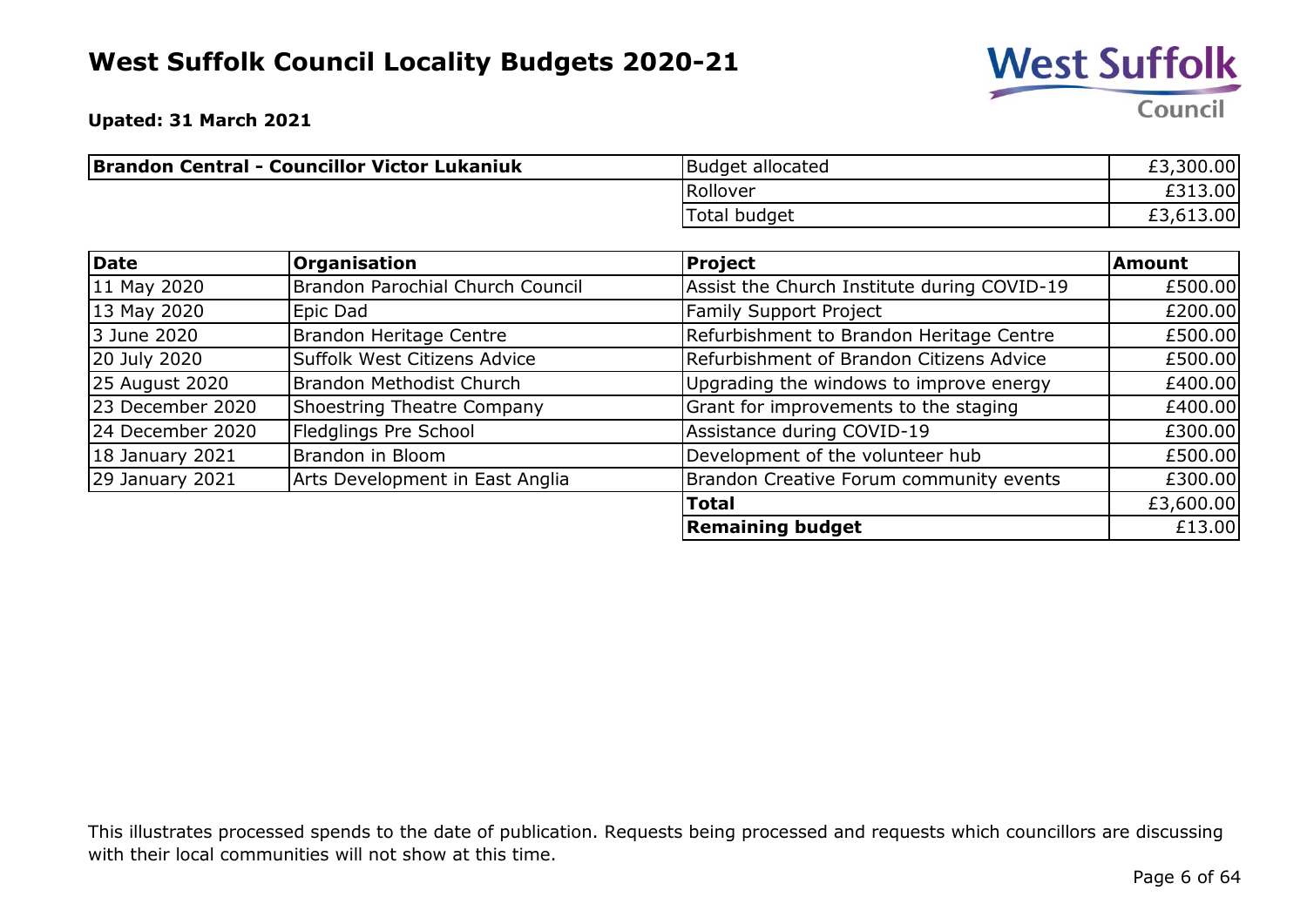

**Upated: 31 March 2021**

| <b>Brandon Central - Councillor Victor Lukaniuk</b> | Budget allocated | £3,300.00 |
|-----------------------------------------------------|------------------|-----------|
|                                                     | Rollover         | £313.00   |
|                                                     | Total budget     | £3,613.00 |

| <b>Date</b>      | <b>Organisation</b>              | <b>Project</b>                              | <b>Amount</b> |
|------------------|----------------------------------|---------------------------------------------|---------------|
| 11 May 2020      | Brandon Parochial Church Council | Assist the Church Institute during COVID-19 | £500.00       |
| 13 May 2020      | Epic Dad                         | <b>Family Support Project</b>               | £200.00       |
| 3 June 2020      | Brandon Heritage Centre          | Refurbishment to Brandon Heritage Centre    | £500.00       |
| 20 July 2020     | Suffolk West Citizens Advice     | Refurbishment of Brandon Citizens Advice    | £500.00       |
| 25 August 2020   | Brandon Methodist Church         | Upgrading the windows to improve energy     | £400.00       |
| 23 December 2020 | Shoestring Theatre Company       | Grant for improvements to the staging       | £400.00       |
| 24 December 2020 | Fledglings Pre School            | Assistance during COVID-19                  | £300.00       |
| 18 January 2021  | Brandon in Bloom                 | Development of the volunteer hub            | £500.00       |
| 29 January 2021  | Arts Development in East Anglia  | Brandon Creative Forum community events     | £300.00       |
|                  |                                  | <b>Total</b>                                | £3,600.00     |
|                  |                                  | <b>Remaining budget</b>                     | £13.00        |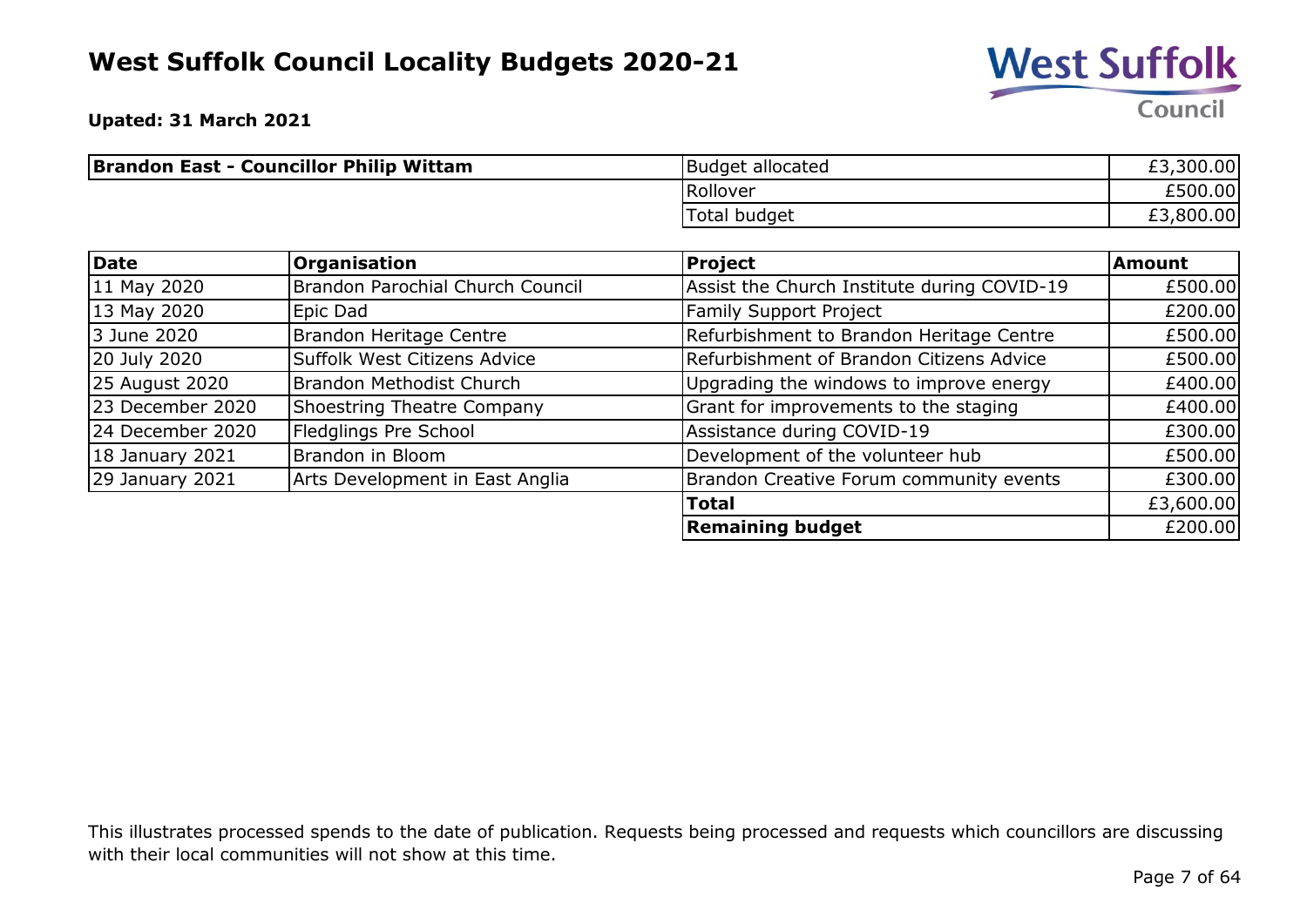

**Upated: 31 March 2021**

| <b>Brandon East - Councillor Philip Wittam</b> | <b>Budget allocated</b> | £3,300.00 |
|------------------------------------------------|-------------------------|-----------|
|                                                | Rollover                | £500.00   |
|                                                | Total budget            | ,800.00   |

| Date              | Organisation                     | Project                                     | <b>Amount</b> |
|-------------------|----------------------------------|---------------------------------------------|---------------|
| 11 May 2020       | Brandon Parochial Church Council | Assist the Church Institute during COVID-19 | £500.00       |
| 13 May 2020       | Epic Dad                         | Family Support Project                      | £200.00       |
| 3 June 2020       | <b>Brandon Heritage Centre</b>   | Refurbishment to Brandon Heritage Centre    | £500.00       |
| 20 July 2020      | Suffolk West Citizens Advice     | Refurbishment of Brandon Citizens Advice    | £500.00       |
| 25 August 2020    | Brandon Methodist Church         | Upgrading the windows to improve energy     | £400.00       |
| 23 December 2020  | Shoestring Theatre Company       | Grant for improvements to the staging       | £400.00       |
| 24 December 2020  | Fledglings Pre School            | Assistance during COVID-19                  | £300.00       |
| 18 January 2021   | Brandon in Bloom                 | Development of the volunteer hub            | £500.00       |
| $29$ January 2021 | Arts Development in East Anglia  | Brandon Creative Forum community events     | £300.00       |
|                   |                                  | <b>Total</b>                                | £3,600.00     |
|                   |                                  | <b>Remaining budget</b>                     | £200.00       |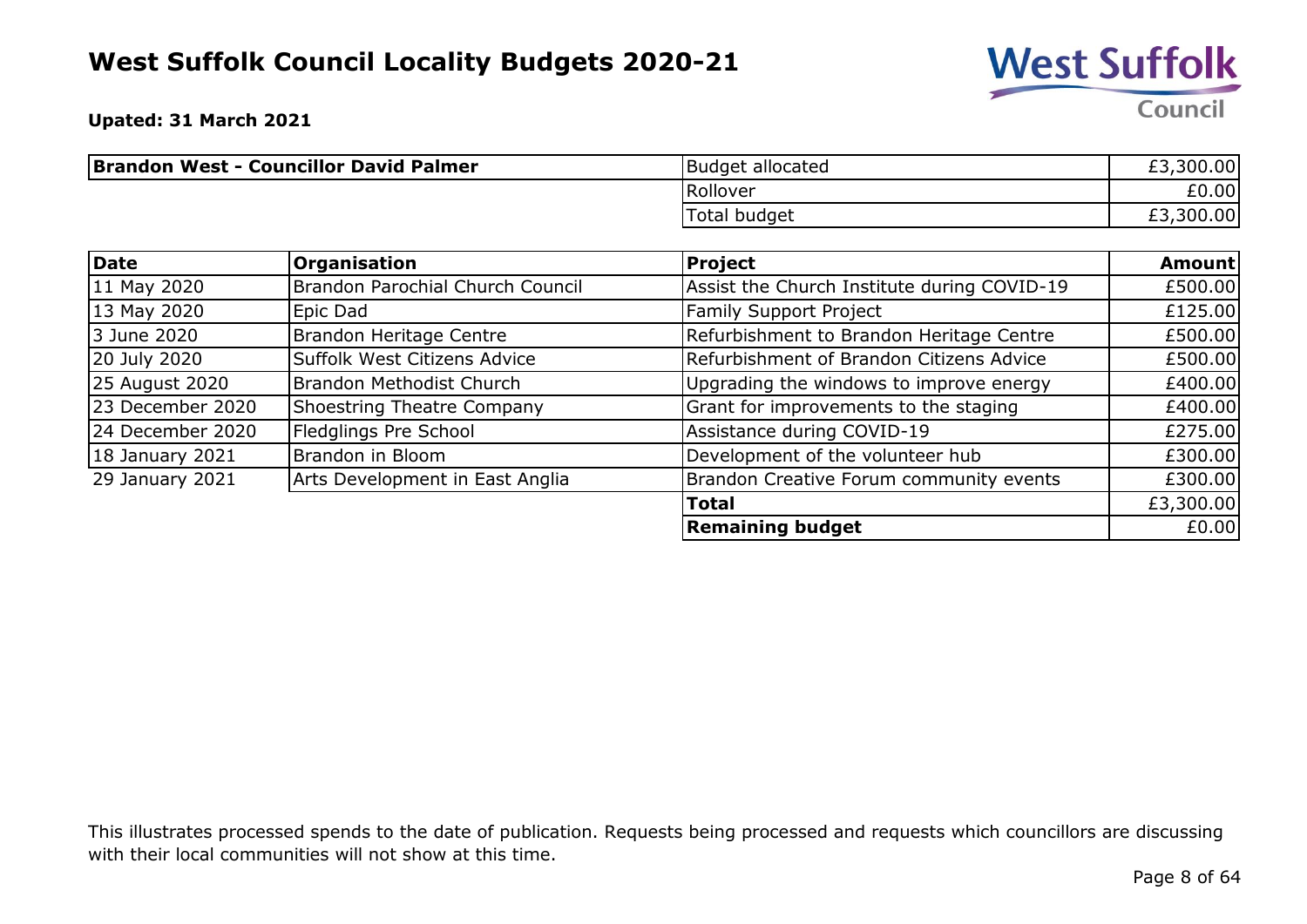

**Upated: 31 March 2021**

| <b>Brandon West - Councillor David Palmer</b> | Budget allocated | £3,300.00 |
|-----------------------------------------------|------------------|-----------|
|                                               | Rollover         | £0.00     |
|                                               | Total budget     | £3,300.00 |

| Date             | <b>Organisation</b>              | <b>Project</b>                              | <b>Amount</b> |
|------------------|----------------------------------|---------------------------------------------|---------------|
| 11 May 2020      | Brandon Parochial Church Council | Assist the Church Institute during COVID-19 | £500.00       |
| 13 May 2020      | Epic Dad                         | <b>Family Support Project</b>               | £125.00       |
| 3 June 2020      | <b>Brandon Heritage Centre</b>   | Refurbishment to Brandon Heritage Centre    | £500.00       |
| 20 July 2020     | Suffolk West Citizens Advice     | Refurbishment of Brandon Citizens Advice    | £500.00       |
| 25 August 2020   | Brandon Methodist Church         | Upgrading the windows to improve energy     | £400.00       |
| 23 December 2020 | Shoestring Theatre Company       | Grant for improvements to the staging       | £400.00       |
| 24 December 2020 | Fledglings Pre School            | Assistance during COVID-19                  | £275.00       |
| 18 January 2021  | Brandon in Bloom                 | Development of the volunteer hub            | £300.00       |
| 29 January 2021  | Arts Development in East Anglia  | Brandon Creative Forum community events     | £300.00       |
|                  |                                  | <b>Total</b>                                | £3,300.00     |
|                  |                                  | <b>Remaining budget</b>                     | £0.00         |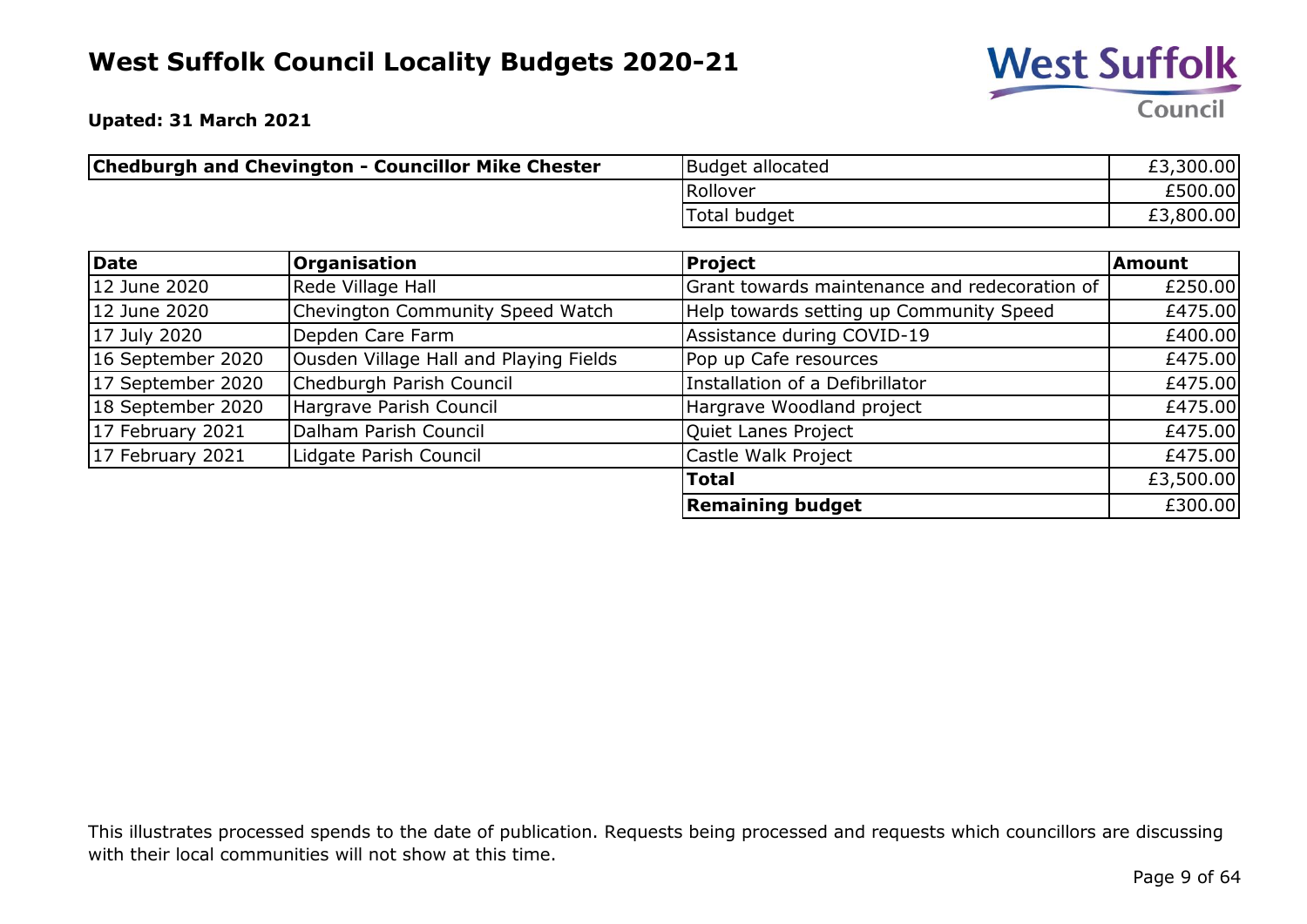

**Upated: 31 March 2021**

| <b>Chedburgh and Chevington - Councillor Mike Chester</b> | Budget allocated | £3,300.00 |
|-----------------------------------------------------------|------------------|-----------|
|                                                           | Rollover         | £500.00   |
|                                                           | Total budget     | £3,800.00 |

| Date              | <b>Organisation</b>                    | <b>Project</b>                                | Amount    |
|-------------------|----------------------------------------|-----------------------------------------------|-----------|
| 12 June 2020      | Rede Village Hall                      | Grant towards maintenance and redecoration of | £250.00   |
| 12 June 2020      | Chevington Community Speed Watch       | Help towards setting up Community Speed       | £475.00   |
| 17 July 2020      | Depden Care Farm                       | Assistance during COVID-19                    | £400.00   |
| 16 September 2020 | Ousden Village Hall and Playing Fields | Pop up Cafe resources                         | £475.00   |
| 17 September 2020 | Chedburgh Parish Council               | Installation of a Defibrillator               | £475.00   |
| 18 September 2020 | Hargrave Parish Council                | Hargrave Woodland project                     | £475.00   |
| 17 February 2021  | Dalham Parish Council                  | Quiet Lanes Project                           | £475.00   |
| 17 February 2021  | Lidgate Parish Council                 | Castle Walk Project                           | £475.00   |
|                   |                                        | <b>Total</b>                                  | £3,500.00 |
|                   |                                        | <b>Remaining budget</b>                       | £300.00   |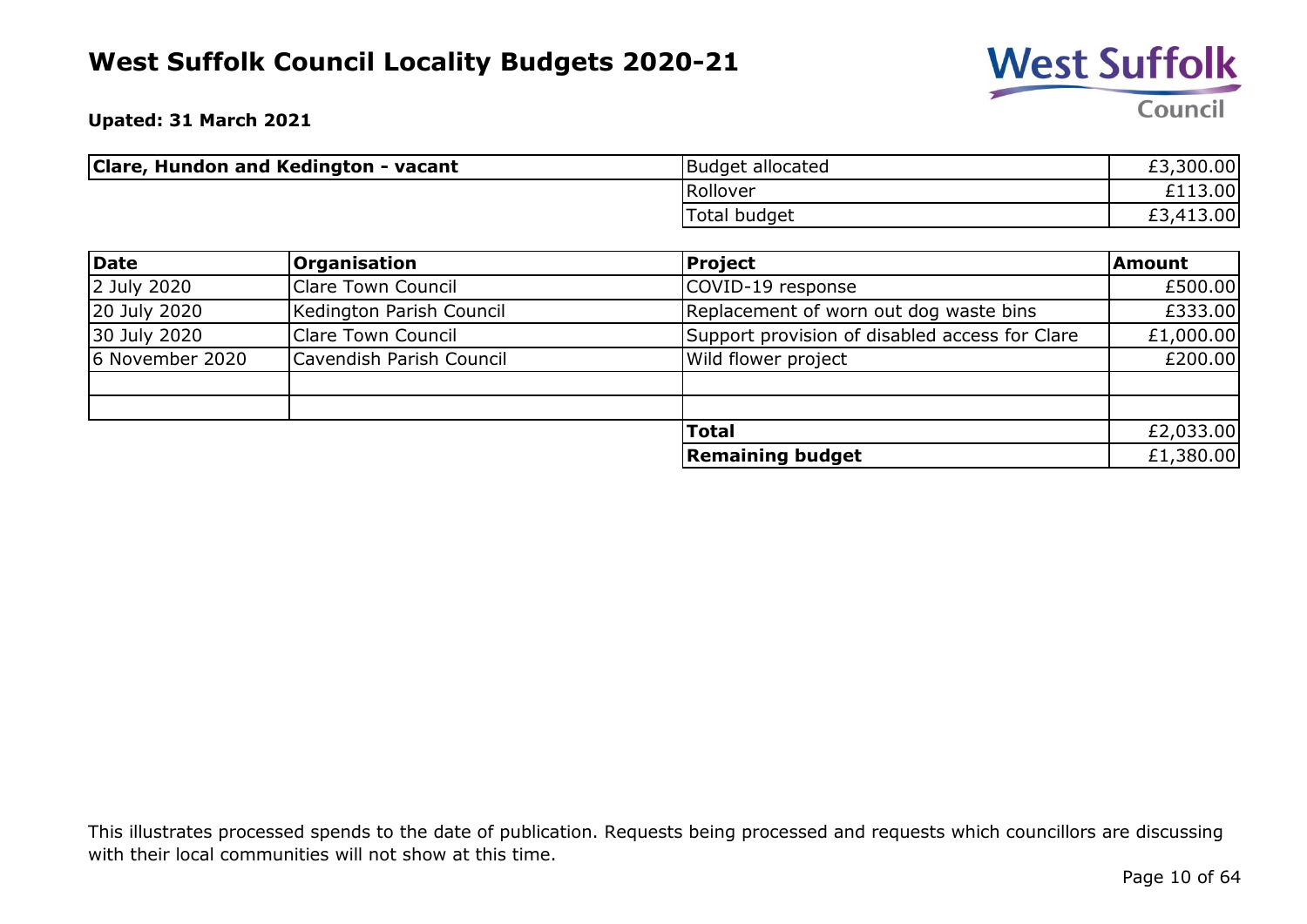

**Upated: 31 March 2021**

| Clare, Hundon and Kedington - vacant | <b>Budget allocated</b> | £3,300.00 |
|--------------------------------------|-------------------------|-----------|
|                                      | Rollover                | £113.00   |
|                                      | Total budget            | £3,413.00 |

| Date            | <b>Organisation</b>       | Project                                        | Amount    |
|-----------------|---------------------------|------------------------------------------------|-----------|
| 2 July 2020     | <b>Clare Town Council</b> | COVID-19 response                              | £500.00   |
| 20 July 2020    | Kedington Parish Council  | Replacement of worn out dog waste bins         | £333.00   |
| 30 July 2020    | Clare Town Council        | Support provision of disabled access for Clare | £1,000.00 |
| 6 November 2020 | Cavendish Parish Council  | Wild flower project                            | £200.00   |
|                 |                           |                                                |           |
|                 |                           |                                                |           |
|                 |                           | <b>Total</b>                                   | £2,033.00 |
|                 |                           | <b>Remaining budget</b>                        | £1,380.00 |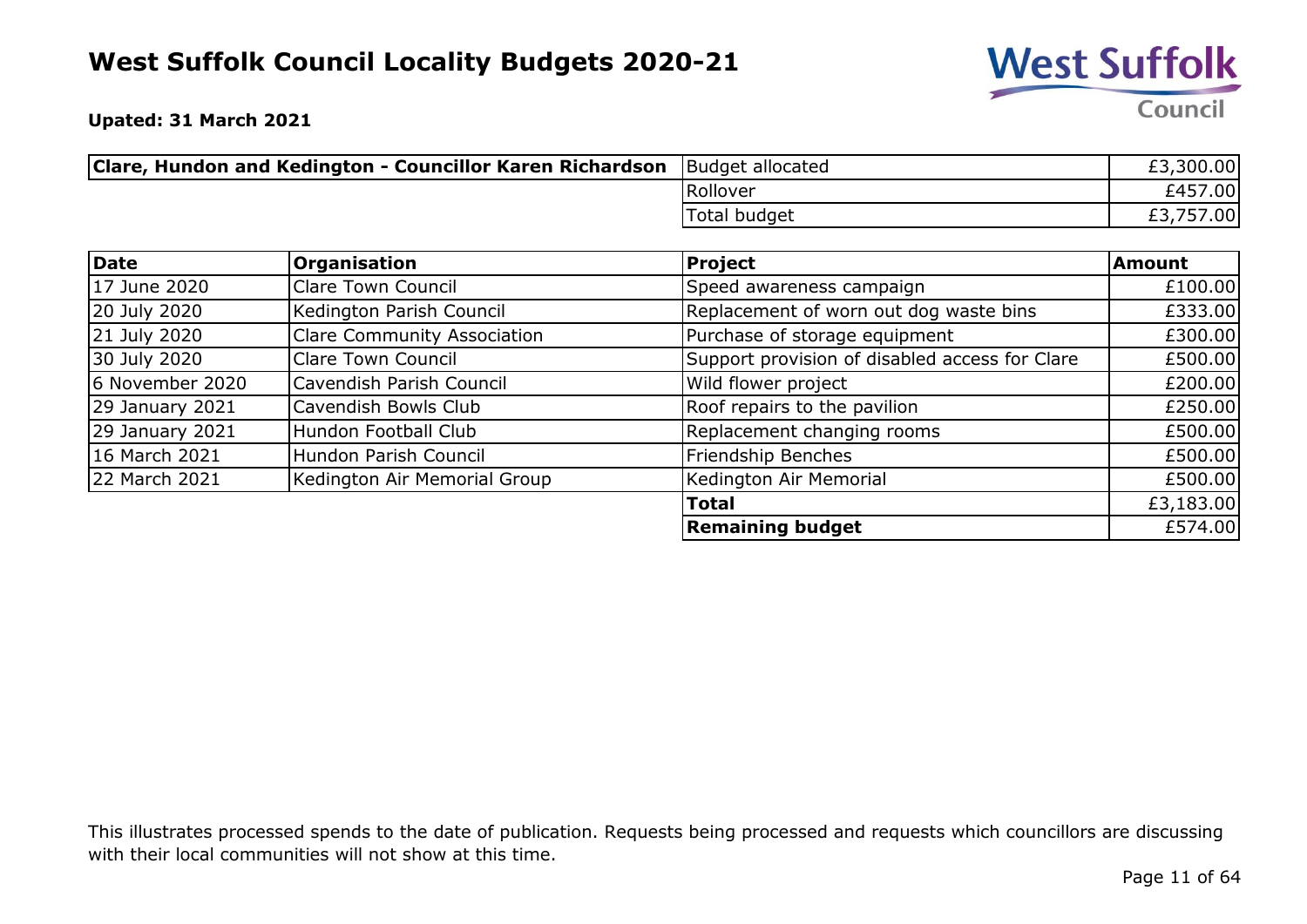

**Upated: 31 March 2021**

| <b>Clare, Hundon and Kedington - Councillor Karen Richardson</b> Budget allocated |              | £3,300.00 |
|-----------------------------------------------------------------------------------|--------------|-----------|
|                                                                                   | Rollover     | £457.00   |
|                                                                                   | Total budget | ,757.00   |

| Date            | Organisation                       | <b>Project</b>                                 | <b>Amount</b> |
|-----------------|------------------------------------|------------------------------------------------|---------------|
| 17 June 2020    | <b>Clare Town Council</b>          | Speed awareness campaign                       | £100.00       |
| 20 July 2020    | Kedington Parish Council           | Replacement of worn out dog waste bins         | £333.00       |
| 21 July 2020    | <b>Clare Community Association</b> | Purchase of storage equipment                  | £300.00       |
| 30 July 2020    | <b>Clare Town Council</b>          | Support provision of disabled access for Clare | £500.00       |
| 6 November 2020 | Cavendish Parish Council           | Wild flower project                            | £200.00       |
| 29 January 2021 | Cavendish Bowls Club               | Roof repairs to the pavilion                   | £250.00       |
| 29 January 2021 | Hundon Football Club               | Replacement changing rooms                     | £500.00       |
| 16 March 2021   | Hundon Parish Council              | Friendship Benches                             | £500.00       |
| 22 March 2021   | Kedington Air Memorial Group       | Kedington Air Memorial                         | £500.00       |
|                 |                                    | <b>Total</b>                                   | £3,183.00     |
|                 |                                    | <b>Remaining budget</b>                        | £574.00       |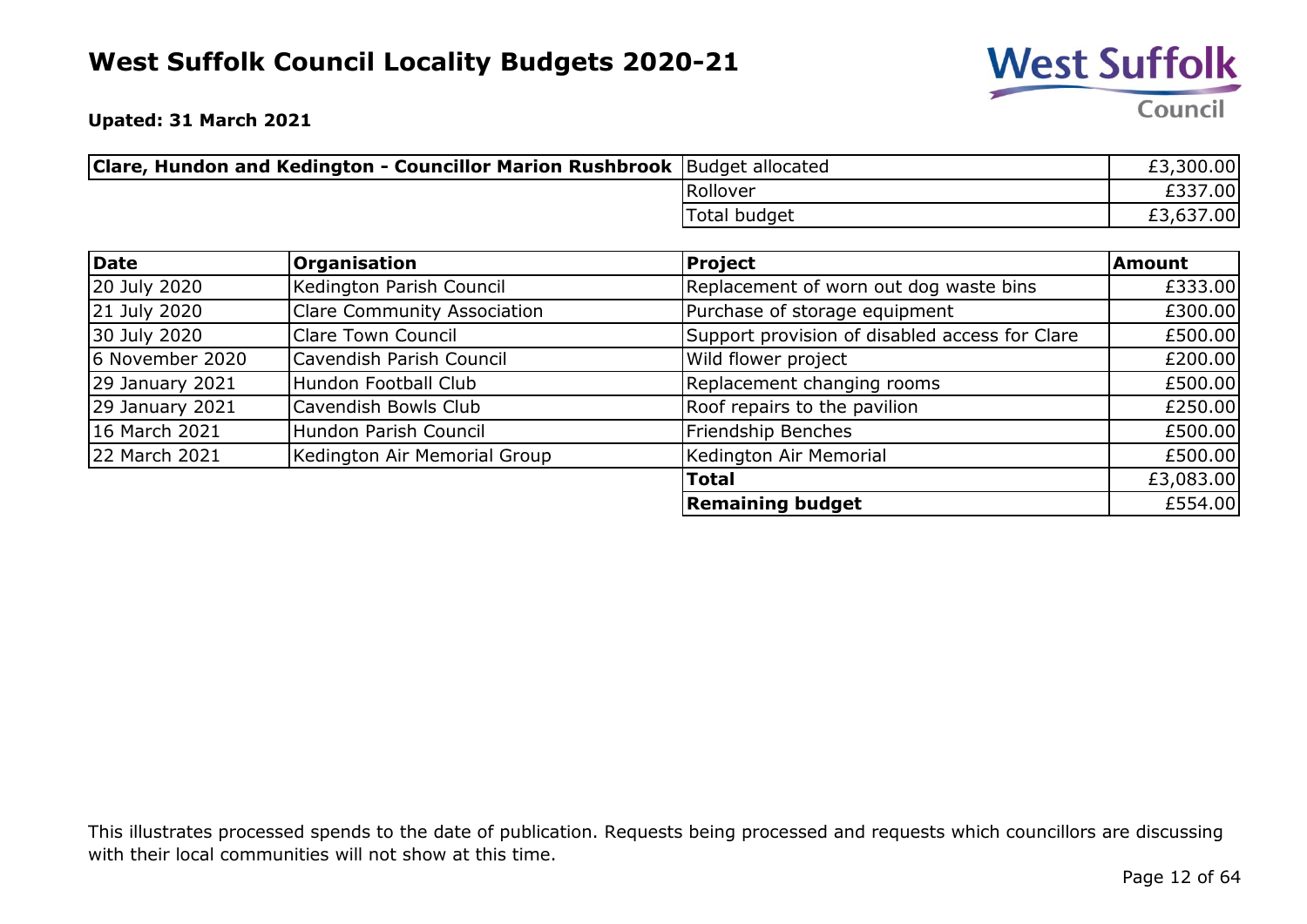

**Upated: 31 March 2021**

| <b>Clare, Hundon and Kedington - Councillor Marion Rushbrook</b> Budget allocated |              | £3,300.00 |
|-----------------------------------------------------------------------------------|--------------|-----------|
|                                                                                   | Rollover     | £337.00   |
|                                                                                   | Total budget | £3,637.00 |

| Date                   | Organisation                       | <b>Project</b>                                 | <b>Amount</b> |
|------------------------|------------------------------------|------------------------------------------------|---------------|
| 20 July 2020           | Kedington Parish Council           | Replacement of worn out dog waste bins         | £333.00       |
| 21 July 2020           | <b>Clare Community Association</b> | Purchase of storage equipment                  | £300.00       |
| 30 July 2020           | <b>Clare Town Council</b>          | Support provision of disabled access for Clare | £500.00       |
| 6 November 2020        | Cavendish Parish Council           | Wild flower project                            | £200.00       |
| $29$ January 2021      | Hundon Football Club               | Replacement changing rooms                     | £500.00       |
| <b>29 January 2021</b> | Cavendish Bowls Club               | Roof repairs to the pavilion                   | £250.00       |
| 16 March 2021          | Hundon Parish Council              | Friendship Benches                             | £500.00       |
| 22 March 2021          | Kedington Air Memorial Group       | Kedington Air Memorial                         | £500.00       |
|                        |                                    | <b>Total</b>                                   | £3,083.00     |
|                        |                                    | <b>Remaining budget</b>                        | £554.00       |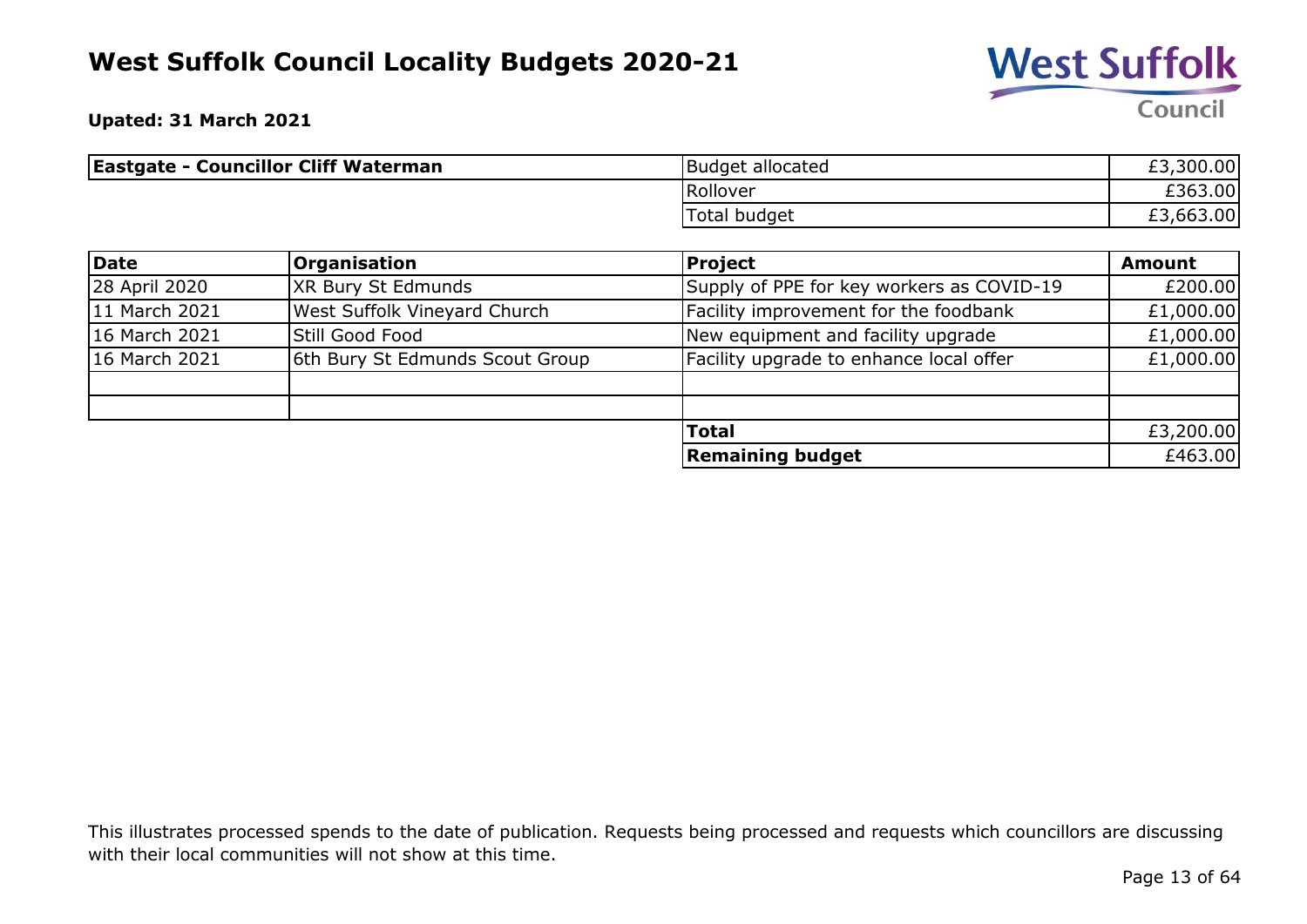

**Upated: 31 March 2021**

| <b>Eastgate - Councillor Cliff Waterman</b> | Budget allocated | £3,300.00 |
|---------------------------------------------|------------------|-----------|
|                                             | Rollover         | £363.00   |
|                                             | Total budget     | £3,663.00 |

| Date          | <b>Organisation</b>                 | <b>Project</b>                            | <b>Amount</b> |
|---------------|-------------------------------------|-------------------------------------------|---------------|
| 28 April 2020 | XR Bury St Edmunds                  | Supply of PPE for key workers as COVID-19 | £200.00       |
| 11 March 2021 | <b>West Suffolk Vineyard Church</b> | Facility improvement for the foodbank     | £1,000.00     |
| 16 March 2021 | Still Good Food                     | New equipment and facility upgrade        | £1,000.00     |
| 16 March 2021 | 6th Bury St Edmunds Scout Group     | Facility upgrade to enhance local offer   | £1,000.00     |
|               |                                     |                                           |               |
|               |                                     |                                           |               |
|               |                                     | <b>Total</b>                              | £3,200.00     |
|               |                                     | <b>Remaining budget</b>                   | £463.00       |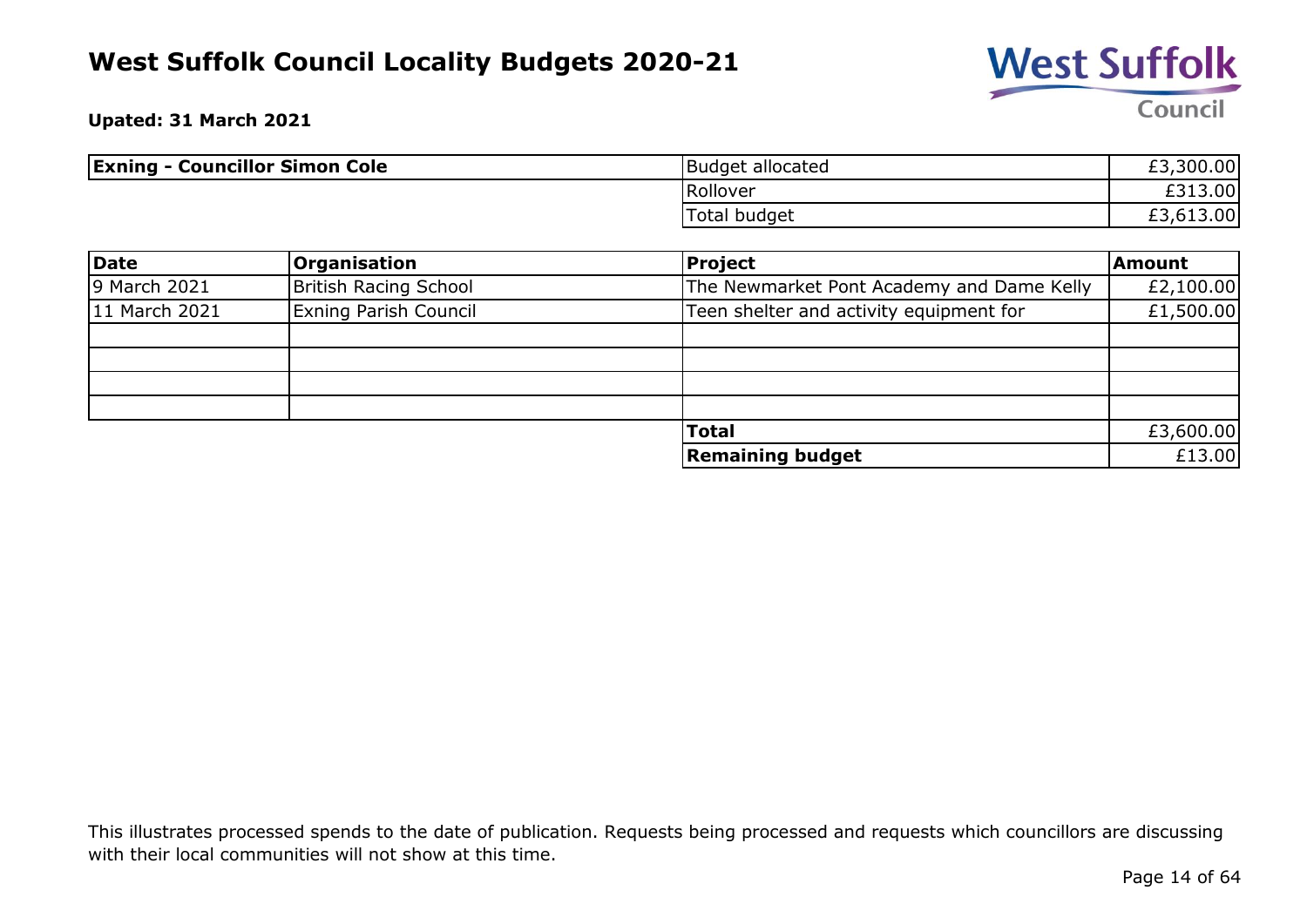

**Upated: 31 March 2021**

| <b>Exning - Councillor Simon Cole</b> | <b>Budget allocated</b> | £3,300.00   |
|---------------------------------------|-------------------------|-------------|
|                                       | Rollover                | <b>3.00</b> |
|                                       | Total budget            | £3,613.00   |

| <b>Date</b>   | <b>Organisation</b>          | <b>Project</b>                            | Amount    |
|---------------|------------------------------|-------------------------------------------|-----------|
| 9 March 2021  | British Racing School        | The Newmarket Pont Academy and Dame Kelly | £2,100.00 |
| 11 March 2021 | <b>Exning Parish Council</b> | Teen shelter and activity equipment for   | £1,500.00 |
|               |                              |                                           |           |
|               |                              |                                           |           |
|               |                              |                                           |           |
|               |                              |                                           |           |
|               |                              | <b>Total</b>                              | £3,600.00 |
|               |                              | <b>Remaining budget</b>                   | £13.00    |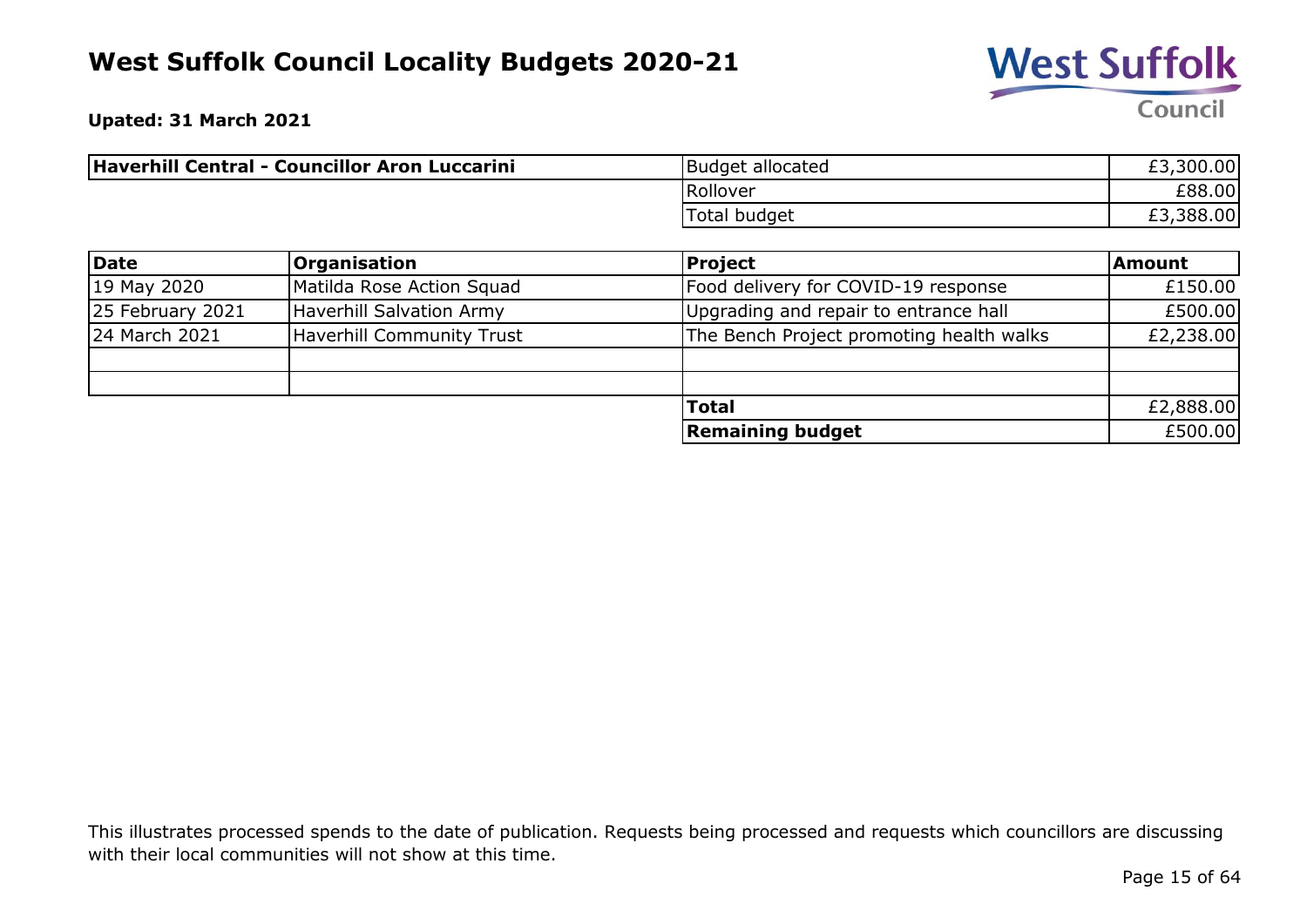

**Upated: 31 March 2021**

| Haverhill Central - Councillor Aron Luccarini | Budget allocated | £3,300.00 |
|-----------------------------------------------|------------------|-----------|
|                                               | Rollover         | £88.00    |
|                                               | Total budget     | £3,388.00 |

| Date             | <b>Organisation</b>       | <b>Project</b>                           | <b>Amount</b> |
|------------------|---------------------------|------------------------------------------|---------------|
| 19 May 2020      | Matilda Rose Action Squad | Food delivery for COVID-19 response      | £150.00       |
| 25 February 2021 | Haverhill Salvation Army  | Upgrading and repair to entrance hall    | £500.00       |
| 24 March 2021    | Haverhill Community Trust | The Bench Project promoting health walks | £2,238.00     |
|                  |                           |                                          |               |
|                  |                           |                                          |               |
|                  |                           | <b>Total</b>                             | £2,888.00     |
|                  |                           | <b>Remaining budget</b>                  | £500.00       |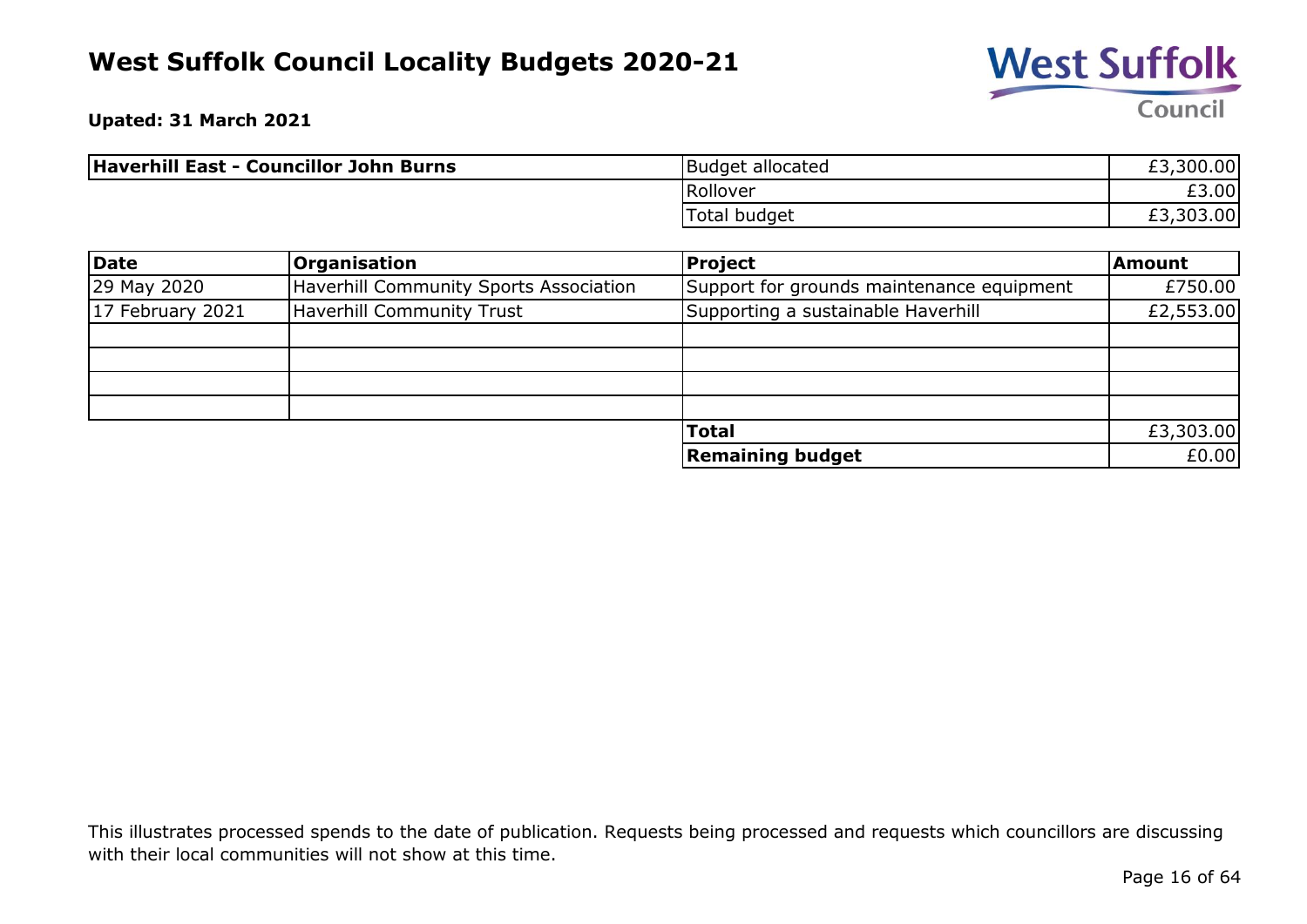

**Upated: 31 March 2021**

| Haverhill East - Councillor John Burns | <b>Budget allocated</b> | £3,300.00 |
|----------------------------------------|-------------------------|-----------|
|                                        | Rollover                | £3.00     |
|                                        | Total budget            | £3,303.00 |

| <b>Date</b>      | <b>Organisation</b>                    | <b>Project</b>                            | Amount    |
|------------------|----------------------------------------|-------------------------------------------|-----------|
| 29 May 2020      | Haverhill Community Sports Association | Support for grounds maintenance equipment | £750.00   |
| 17 February 2021 | Haverhill Community Trust              | Supporting a sustainable Haverhill        | £2,553.00 |
|                  |                                        |                                           |           |
|                  |                                        |                                           |           |
|                  |                                        |                                           |           |
|                  |                                        |                                           |           |
|                  |                                        | <b>Total</b>                              | £3,303.00 |
|                  |                                        | <b>Remaining budget</b>                   | £0.00     |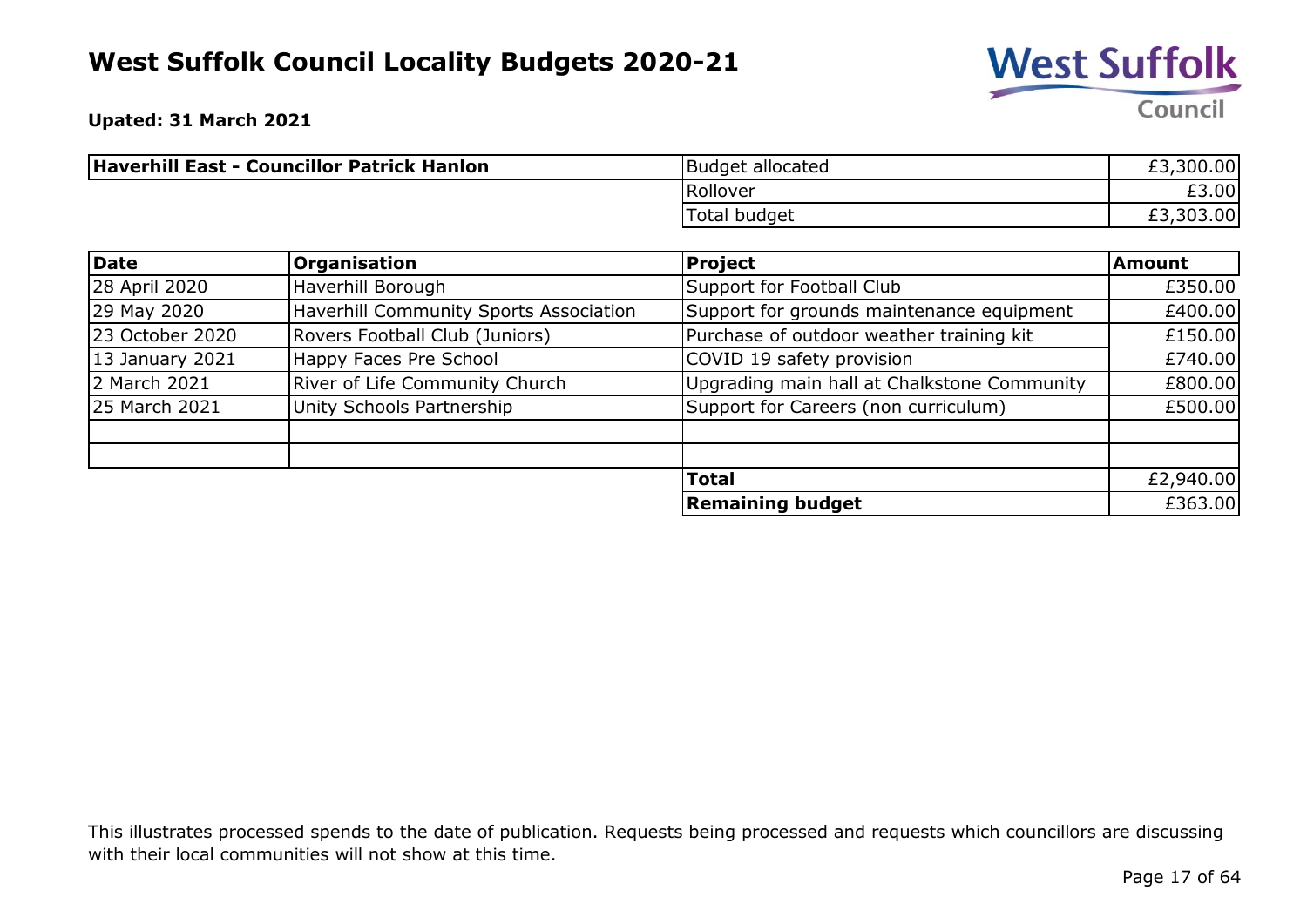

**Upated: 31 March 2021**

| Haverhill East - Councillor Patrick Hanlon | Budget allocated | £3,300.00 |
|--------------------------------------------|------------------|-----------|
|                                            | Rollover         | £3.00     |
|                                            | Total budget     | £3,303.00 |

| Date            | <b>Organisation</b>                    | Project                                     | <b>Amount</b> |
|-----------------|----------------------------------------|---------------------------------------------|---------------|
| 28 April 2020   | Haverhill Borough                      | Support for Football Club                   | £350.00       |
| 29 May 2020     | Haverhill Community Sports Association | Support for grounds maintenance equipment   | £400.00       |
| 23 October 2020 | Rovers Football Club (Juniors)         | Purchase of outdoor weather training kit    | £150.00       |
| 13 January 2021 | Happy Faces Pre School                 | COVID 19 safety provision                   | £740.00       |
| 2 March 2021    | River of Life Community Church         | Upgrading main hall at Chalkstone Community | £800.00       |
| 25 March 2021   | Unity Schools Partnership              | Support for Careers (non curriculum)        | £500.00       |
|                 |                                        |                                             |               |
|                 |                                        | <b>Total</b>                                | £2,940.00     |
|                 |                                        | <b>Remaining budget</b>                     | £363.00       |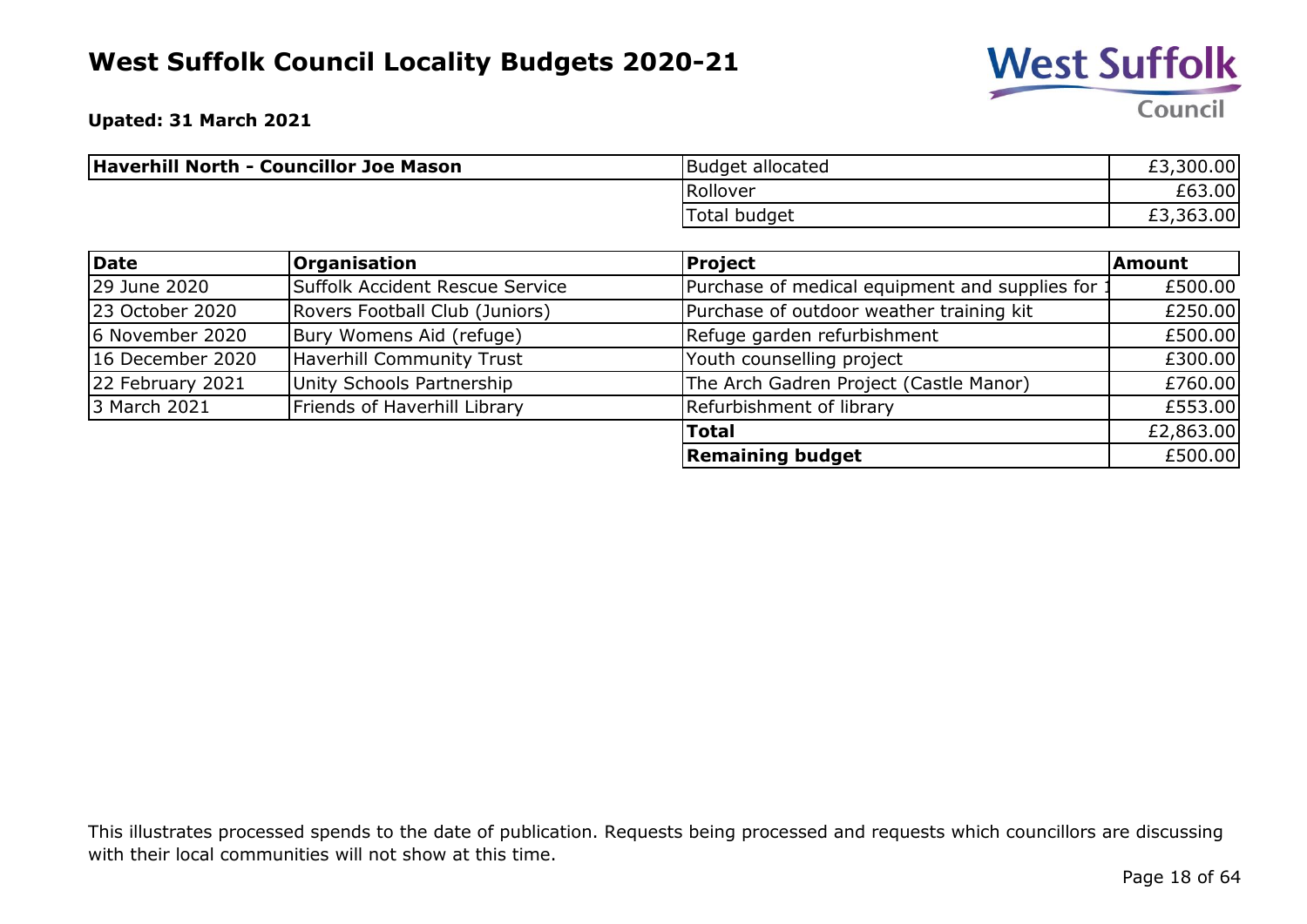

**Upated: 31 March 2021**

| Haverhill North - Councillor Joe Mason | <b>Budget allocated</b> | £3,300.00 |
|----------------------------------------|-------------------------|-----------|
|                                        | Rollover                | £63.00    |
|                                        | Total budget            | £3,363.00 |

| Date             | <b>Organisation</b>              | <b>Project</b>                                 | <b>Amount</b> |
|------------------|----------------------------------|------------------------------------------------|---------------|
| 29 June 2020     | Suffolk Accident Rescue Service  | Purchase of medical equipment and supplies for | £500.00       |
| 23 October 2020  | Rovers Football Club (Juniors)   | Purchase of outdoor weather training kit       | £250.00       |
| 6 November 2020  | Bury Womens Aid (refuge)         | Refuge garden refurbishment                    | £500.00       |
| 16 December 2020 | <b>Haverhill Community Trust</b> | Youth counselling project                      | £300.00       |
| 22 February 2021 | Unity Schools Partnership        | The Arch Gadren Project (Castle Manor)         | £760.00       |
| 3 March 2021     | Friends of Haverhill Library     | Refurbishment of library                       | £553.00       |
|                  |                                  | <b>Total</b>                                   | £2,863.00     |
|                  |                                  | <b>Remaining budget</b>                        | £500.00       |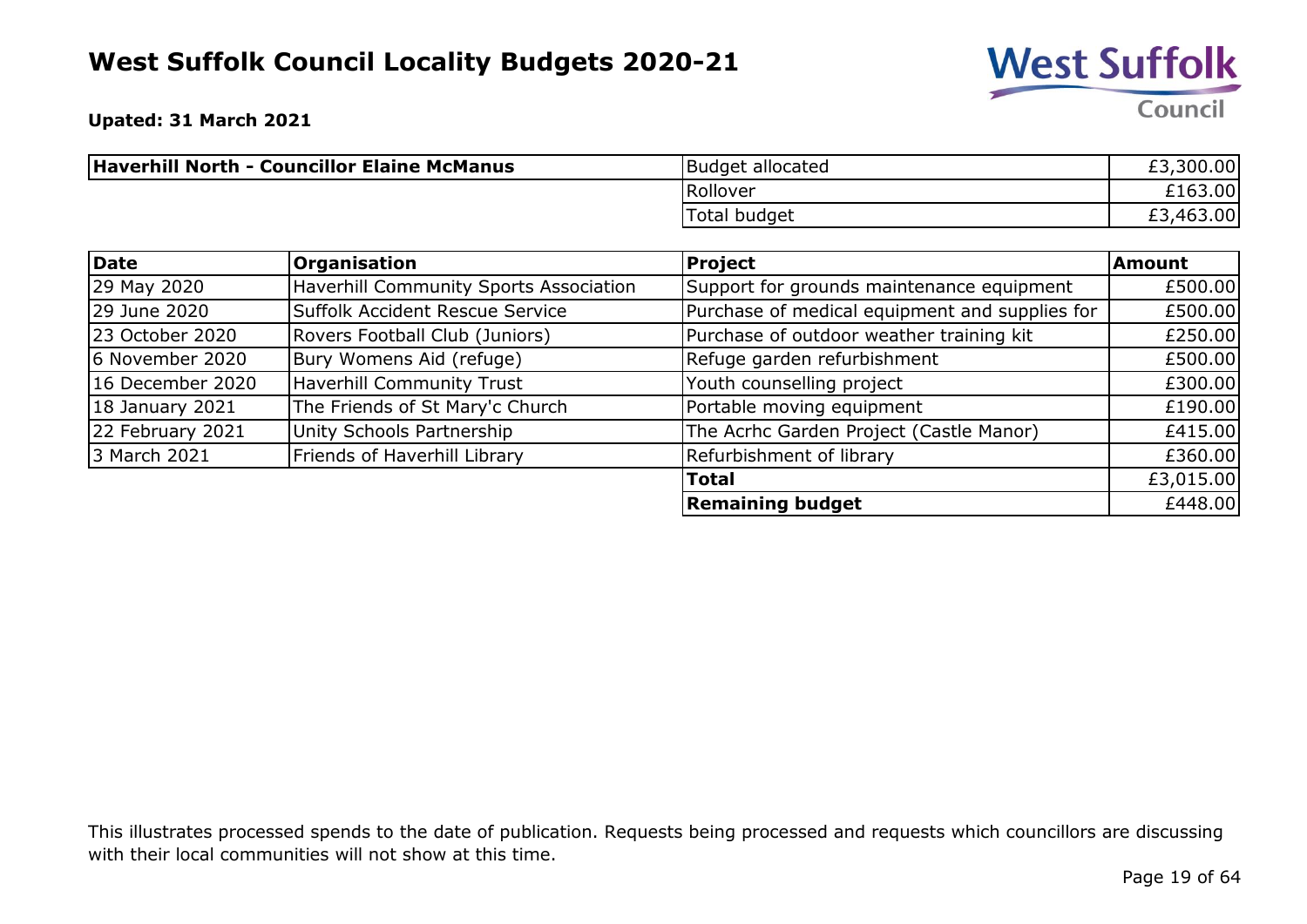

**Upated: 31 March 2021**

| Haverhill North - Councillor Elaine McManus | Budget allocated | £3,300.00 |
|---------------------------------------------|------------------|-----------|
|                                             | Rollover         | £163.00   |
|                                             | Total budget     | £3,463.00 |

| <b>Date</b>      | <b>Organisation</b>                    | Project                                        | Amount    |
|------------------|----------------------------------------|------------------------------------------------|-----------|
| 29 May 2020      | Haverhill Community Sports Association | Support for grounds maintenance equipment      | £500.00   |
| 29 June 2020     | Suffolk Accident Rescue Service        | Purchase of medical equipment and supplies for | £500.00   |
| 23 October 2020  | Rovers Football Club (Juniors)         | Purchase of outdoor weather training kit       | £250.00   |
| 6 November 2020  | Bury Womens Aid (refuge)               | Refuge garden refurbishment                    | £500.00   |
| 16 December 2020 | Haverhill Community Trust              | Youth counselling project                      | £300.00   |
| 18 January 2021  | The Friends of St Mary'c Church        | Portable moving equipment                      | £190.00   |
| 22 February 2021 | Unity Schools Partnership              | The Acrhc Garden Project (Castle Manor)        | £415.00   |
| 3 March 2021     | Friends of Haverhill Library           | Refurbishment of library                       | £360.00   |
|                  |                                        | <b>Total</b>                                   | £3,015.00 |
|                  |                                        | <b>Remaining budget</b>                        | £448.00   |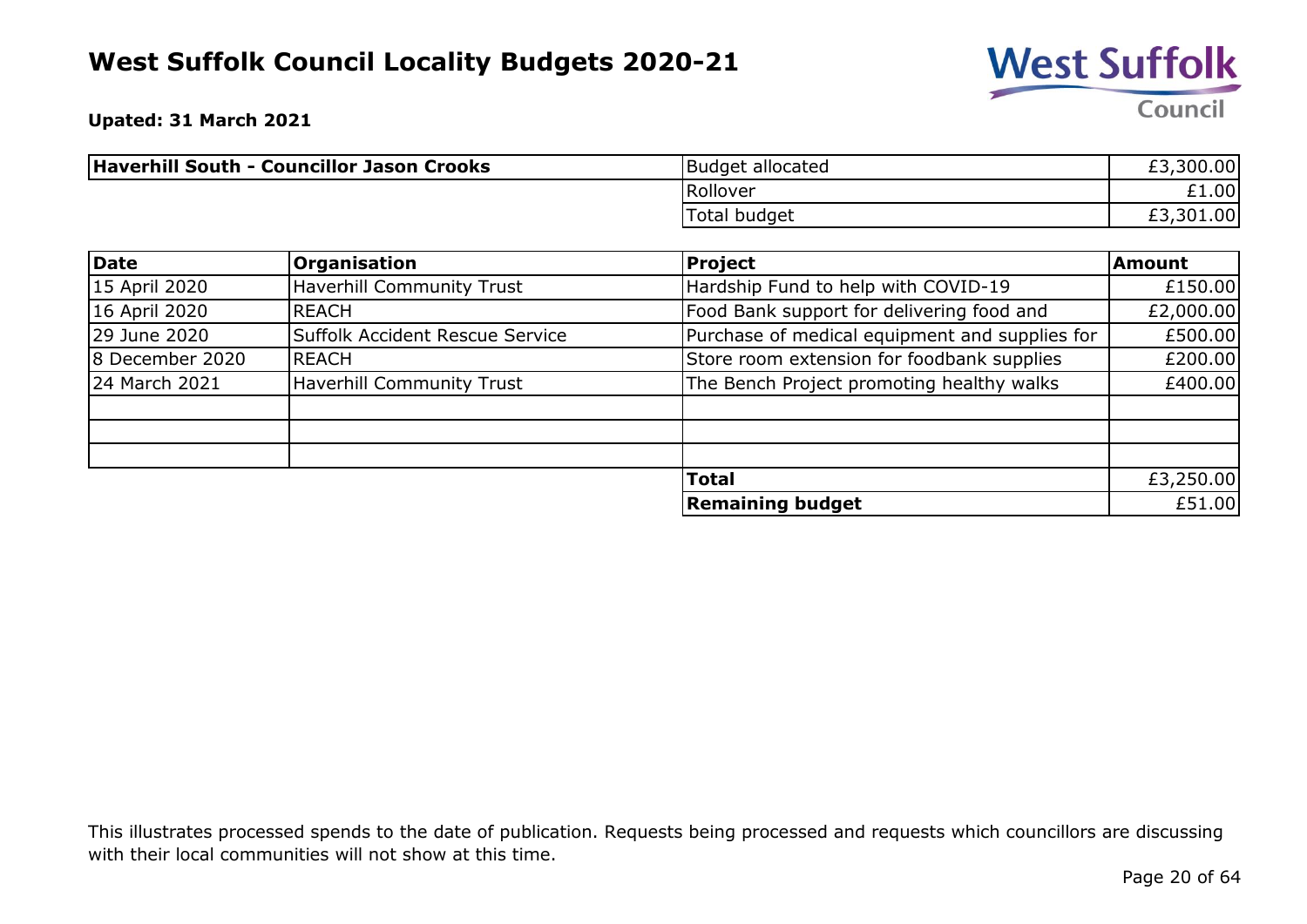

**Upated: 31 March 2021**

| Haverhill South - Councillor Jason Crooks | Budget allocated | £3,300.00 |
|-------------------------------------------|------------------|-----------|
|                                           | Rollover         | £1.00     |
|                                           | Total budget     | £3,301.00 |

| <b>Date</b>     | <b>Organisation</b>                    | <b>Project</b>                                 | <b>Amount</b> |
|-----------------|----------------------------------------|------------------------------------------------|---------------|
| 15 April 2020   | <b>Haverhill Community Trust</b>       | Hardship Fund to help with COVID-19            | £150.00       |
| 16 April 2020   | <b>REACH</b>                           | Food Bank support for delivering food and      | £2,000.00     |
| 29 June 2020    | <b>Suffolk Accident Rescue Service</b> | Purchase of medical equipment and supplies for | £500.00       |
| 8 December 2020 | <b>REACH</b>                           | Store room extension for foodbank supplies     | £200.00       |
| 24 March 2021   | <b>Haverhill Community Trust</b>       | The Bench Project promoting healthy walks      | £400.00       |
|                 |                                        |                                                |               |
|                 |                                        |                                                |               |
|                 |                                        |                                                |               |
|                 |                                        | <b>Total</b>                                   | £3,250.00     |
|                 |                                        | <b>Remaining budget</b>                        | £51.00        |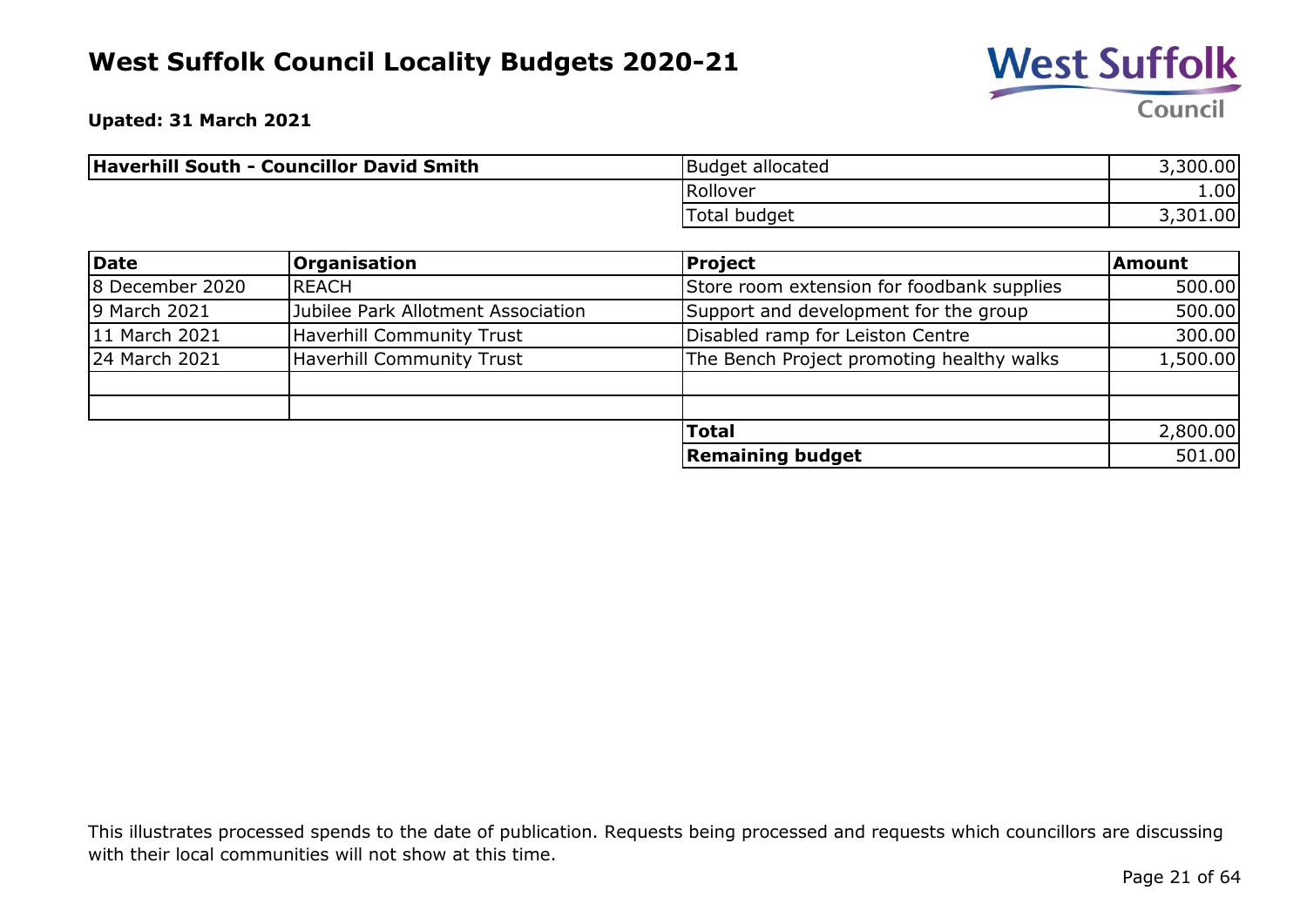

**Upated: 31 March 2021**

| Haverhill South - Councillor David Smith | Budget allocated | 3,300.00 |
|------------------------------------------|------------------|----------|
|                                          | Rollover         | 1.00     |
|                                          | Total budget     | 3,301.00 |

| Date            | <b>Organisation</b>                | Project                                    | <b>Amount</b> |
|-----------------|------------------------------------|--------------------------------------------|---------------|
| 8 December 2020 | <b>IREACH</b>                      | Store room extension for foodbank supplies | 500.00        |
| 9 March 2021    | Jubilee Park Allotment Association | Support and development for the group      | 500.00        |
| 11 March 2021   | Haverhill Community Trust          | Disabled ramp for Leiston Centre           | 300.00        |
| 24 March 2021   | <b>Haverhill Community Trust</b>   | The Bench Project promoting healthy walks  | 1,500.00      |
|                 |                                    |                                            |               |
|                 |                                    |                                            |               |
|                 |                                    | <b>Total</b>                               | 2,800.00      |
|                 |                                    | <b>Remaining budget</b>                    | 501.00        |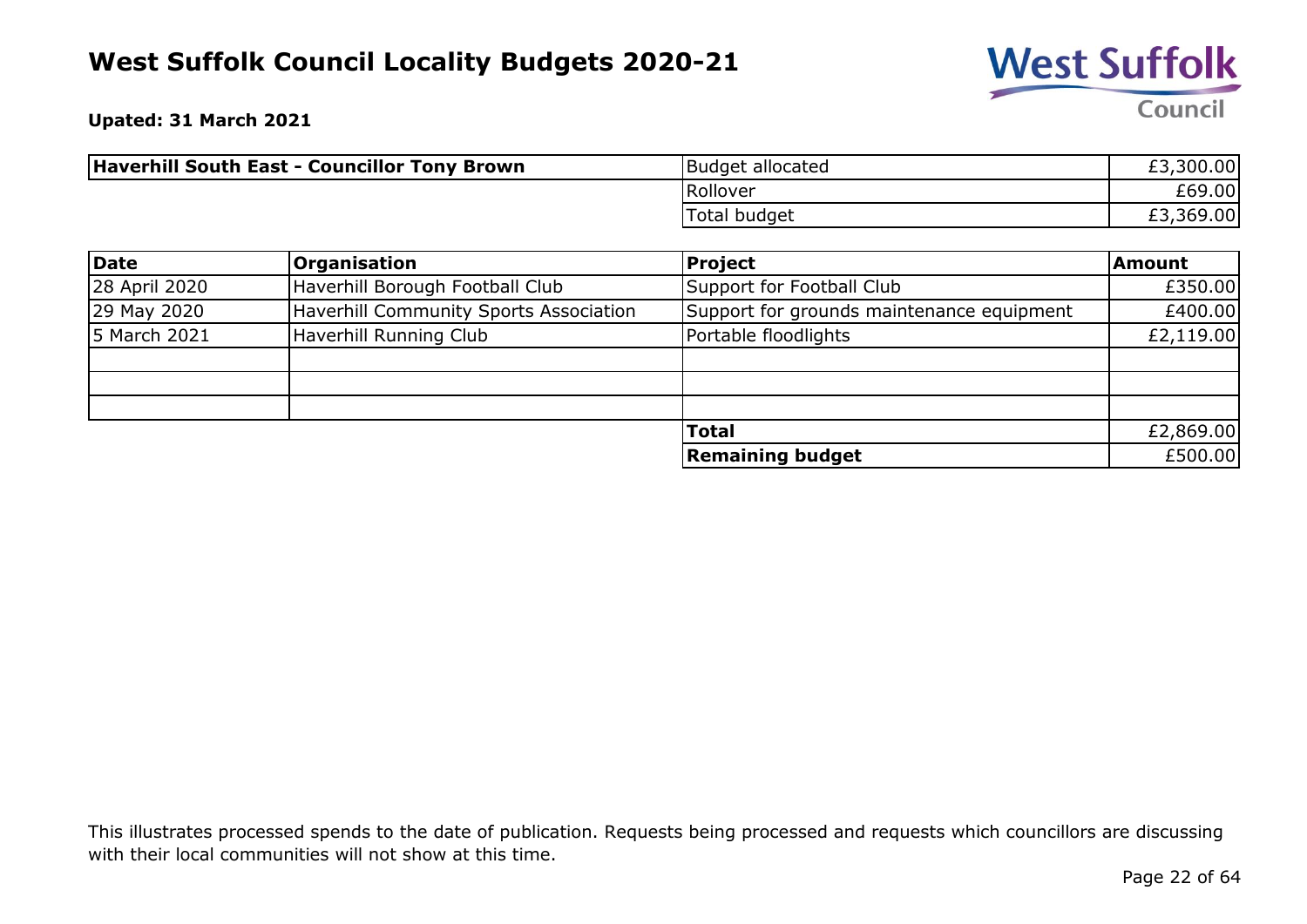

**Upated: 31 March 2021**

| <b>Haverhill South East - Councillor Tony Brown</b> | Budget allocated | £3,300.00 |
|-----------------------------------------------------|------------------|-----------|
|                                                     | Rollover         | £69.00    |
|                                                     | Total budget     | £3,369.00 |

| Date          | <b>Organisation</b>                    | Project                                   | Amount    |
|---------------|----------------------------------------|-------------------------------------------|-----------|
| 28 April 2020 | Haverhill Borough Football Club        | Support for Football Club                 | £350.00   |
| 29 May 2020   | Haverhill Community Sports Association | Support for grounds maintenance equipment | £400.00   |
| 15 March 2021 | Haverhill Running Club                 | Portable floodlights                      | £2,119.00 |
|               |                                        |                                           |           |
|               |                                        |                                           |           |
|               |                                        |                                           |           |
|               |                                        | <b>Total</b>                              | £2,869.00 |
|               |                                        | <b>Remaining budget</b>                   | £500.00   |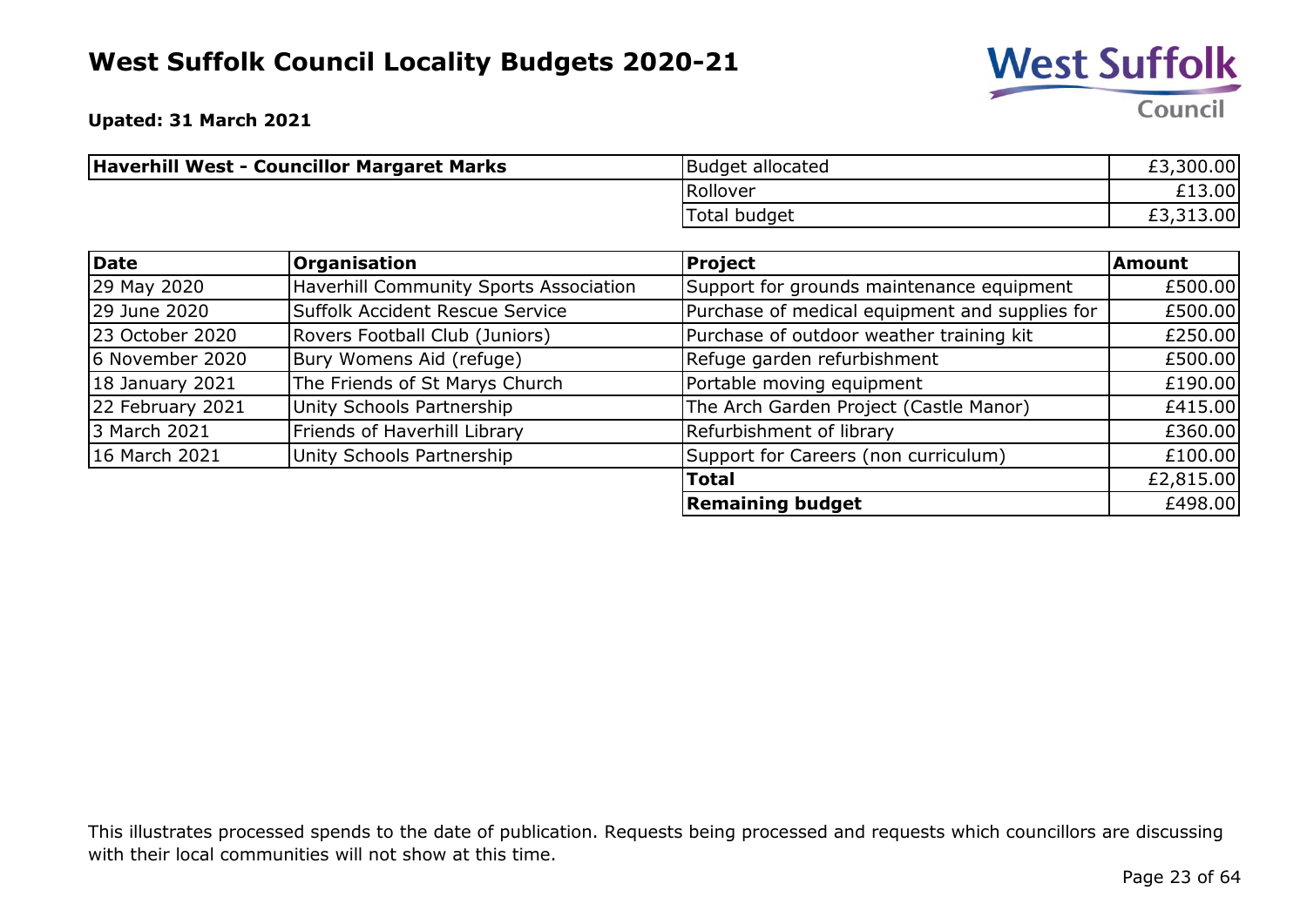

**Upated: 31 March 2021**

| Haverhill West - Councillor Margaret Marks | Budget allocated | £3,300.00 |
|--------------------------------------------|------------------|-----------|
|                                            | Rollover         | £13.00    |
|                                            | Total budget     | £3,313.00 |

| <b>Date</b>      | <b>Organisation</b>                    | <b>Project</b>                                 | Amount    |
|------------------|----------------------------------------|------------------------------------------------|-----------|
| 29 May 2020      | Haverhill Community Sports Association | Support for grounds maintenance equipment      | £500.00   |
| 29 June 2020     | Suffolk Accident Rescue Service        | Purchase of medical equipment and supplies for | £500.00   |
| 23 October 2020  | Rovers Football Club (Juniors)         | Purchase of outdoor weather training kit       | £250.00   |
| 6 November 2020  | Bury Womens Aid (refuge)               | Refuge garden refurbishment                    | £500.00   |
| 18 January 2021  | The Friends of St Marys Church         | Portable moving equipment                      | £190.00   |
| 22 February 2021 | Unity Schools Partnership              | The Arch Garden Project (Castle Manor)         | £415.00   |
| 3 March 2021     | Friends of Haverhill Library           | Refurbishment of library                       | £360.00   |
| 16 March 2021    | Unity Schools Partnership              | Support for Careers (non curriculum)           | £100.00   |
|                  |                                        | <b>Total</b>                                   | £2,815.00 |
|                  |                                        | <b>Remaining budget</b>                        | £498.00   |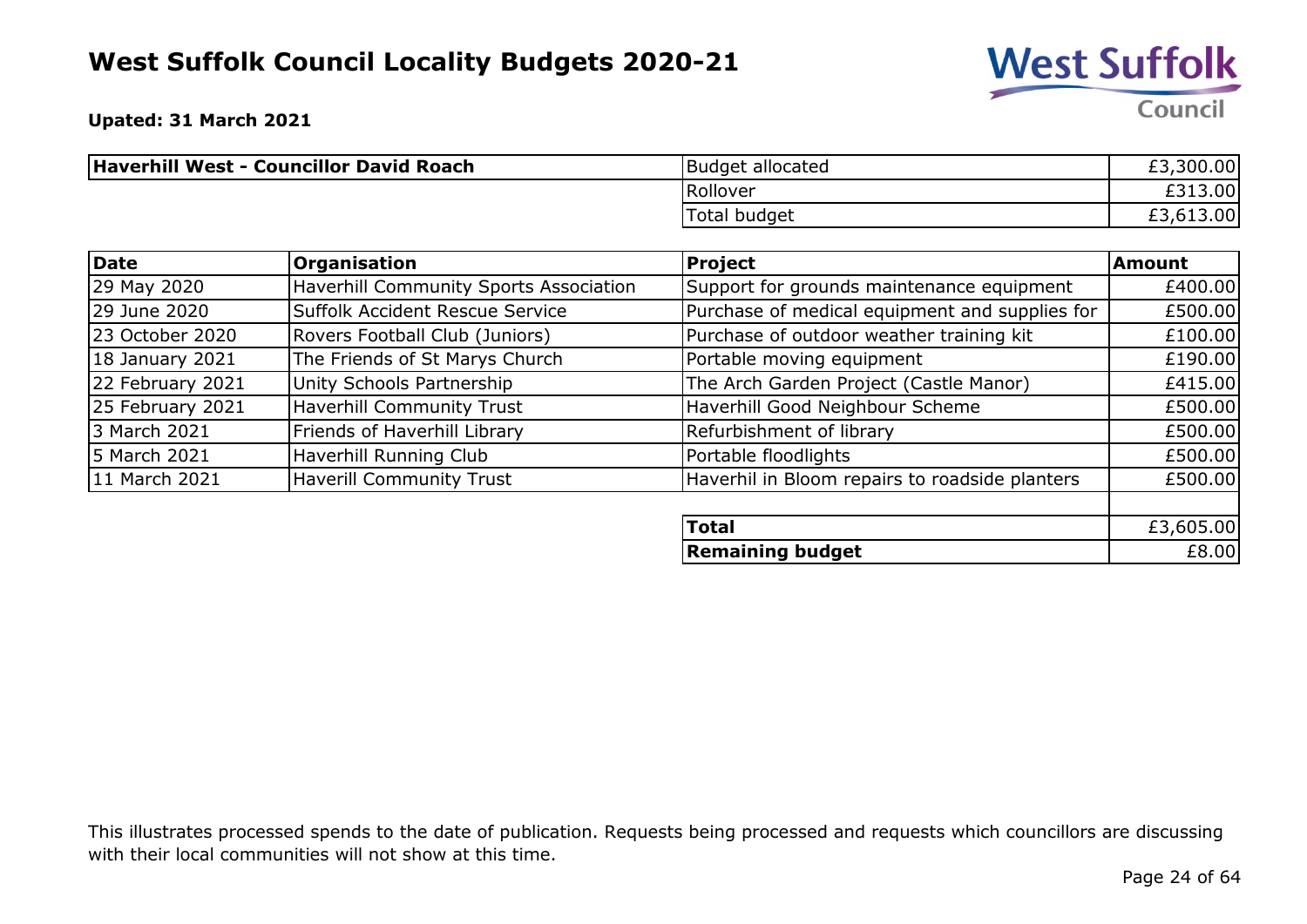

**Remaining budget**  $£8.00$ 

**Upated: 31 March 2021**

| Haverhill West - Councillor David Roach | Budget allocated | ,300.00 <br>EJ. |
|-----------------------------------------|------------------|-----------------|
|                                         | Rollover         | £313.00         |
|                                         | Total budget     | ,613.00         |

| Date             | Organisation                           | Project                                        | <b>Amount</b> |
|------------------|----------------------------------------|------------------------------------------------|---------------|
| 29 May 2020      | Haverhill Community Sports Association | Support for grounds maintenance equipment      | £400.00       |
| 29 June 2020     | Suffolk Accident Rescue Service        | Purchase of medical equipment and supplies for | £500.00       |
| 23 October 2020  | Rovers Football Club (Juniors)         | Purchase of outdoor weather training kit       | £100.00       |
| 18 January 2021  | The Friends of St Marys Church         | Portable moving equipment                      | £190.00       |
| 22 February 2021 | Unity Schools Partnership              | The Arch Garden Project (Castle Manor)         | £415.00       |
| 25 February 2021 | <b>Haverhill Community Trust</b>       | Haverhill Good Neighbour Scheme                | £500.00       |
| 3 March 2021     | Friends of Haverhill Library           | Refurbishment of library                       | £500.00       |
| 5 March 2021     | Haverhill Running Club                 | Portable floodlights                           | £500.00       |
| 11 March 2021    | <b>Haverill Community Trust</b>        | Haverhil in Bloom repairs to roadside planters | £500.00       |
|                  |                                        |                                                |               |
|                  |                                        | <b>Total</b>                                   | £3,605.00     |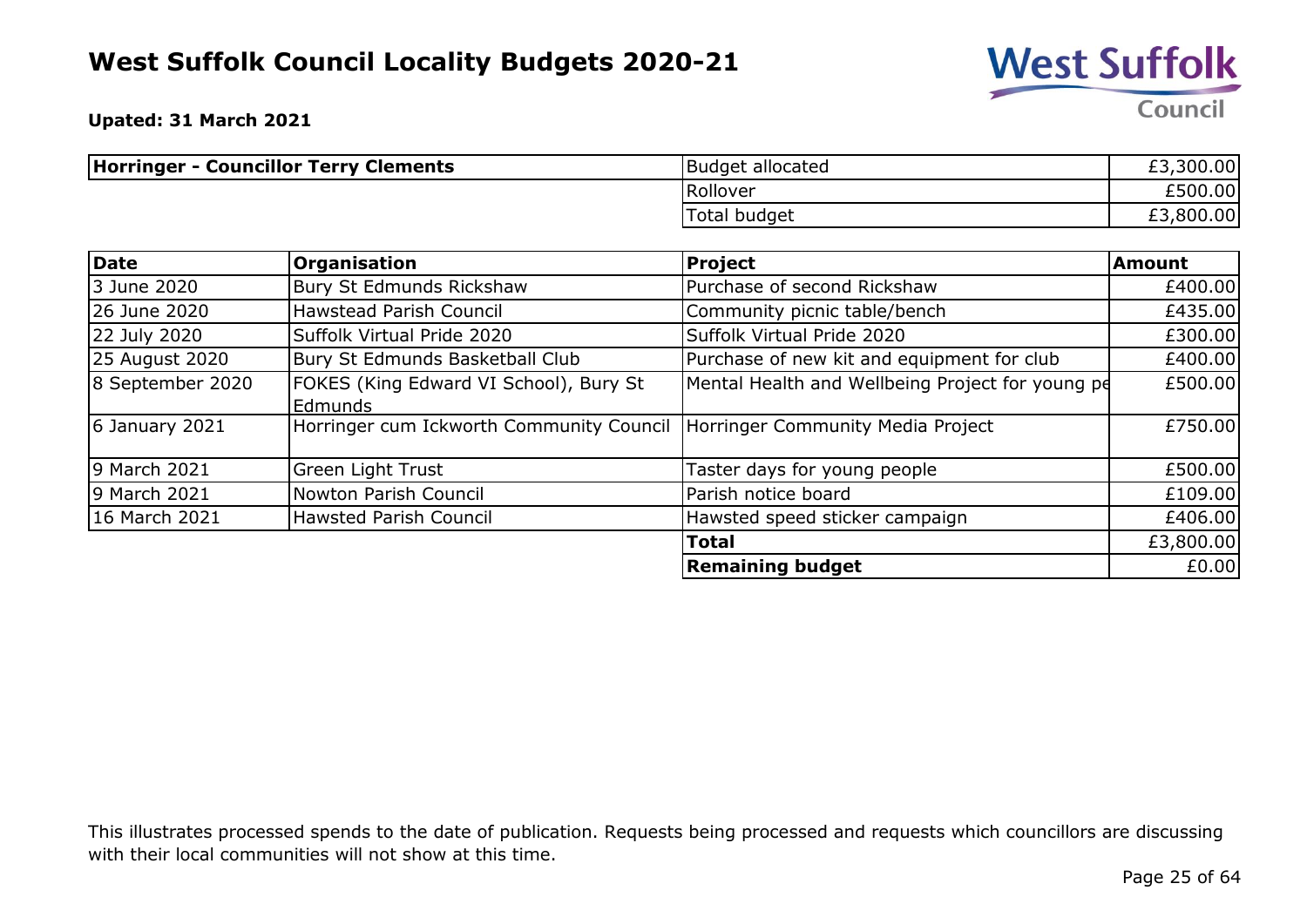

**Upated: 31 March 2021**

| <b>Horringer - Councillor Terry Clements</b> | Budget allocated | £3,300.00 |
|----------------------------------------------|------------------|-----------|
|                                              | Rollover         | £500.00   |
|                                              | Total budget     | £3,800.00 |

| Date             | Organisation                                                                 | <b>Project</b>                                   | Amount    |
|------------------|------------------------------------------------------------------------------|--------------------------------------------------|-----------|
| 3 June 2020      | Bury St Edmunds Rickshaw                                                     | Purchase of second Rickshaw                      | £400.00   |
| 26 June 2020     | <b>Hawstead Parish Council</b>                                               | Community picnic table/bench                     | £435.00   |
| 22 July 2020     | Suffolk Virtual Pride 2020                                                   | Suffolk Virtual Pride 2020                       | £300.00   |
| 25 August 2020   | Bury St Edmunds Basketball Club                                              | Purchase of new kit and equipment for club       | £400.00   |
| 8 September 2020 | FOKES (King Edward VI School), Bury St<br><b>Edmunds</b>                     | Mental Health and Wellbeing Project for young pe | £500.00   |
| $6$ January 2021 | Horringer cum Ickworth Community Council   Horringer Community Media Project |                                                  | £750.00   |
| 9 March 2021     | Green Light Trust                                                            | Taster days for young people                     | £500.00   |
| 9 March 2021     | Nowton Parish Council                                                        | Parish notice board                              | £109.00   |
| 16 March 2021    | <b>Hawsted Parish Council</b>                                                | Hawsted speed sticker campaign                   | £406.00   |
|                  |                                                                              | <b>Total</b>                                     | £3,800.00 |
|                  |                                                                              | <b>Remaining budget</b>                          | £0.00     |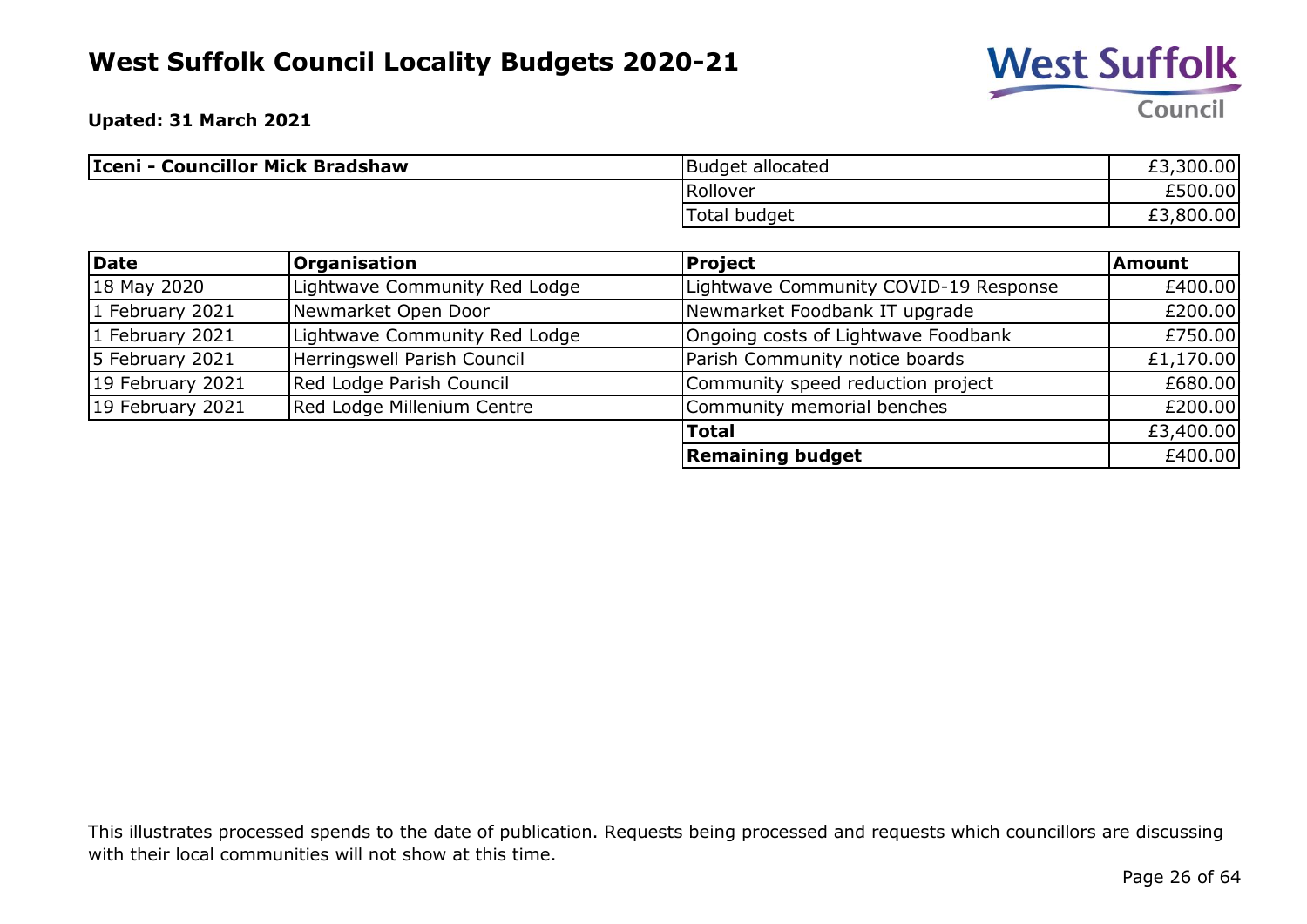

**Upated: 31 March 2021**

| Iceni - Councillor Mick Bradshaw | Budget allocated | £3,300.00 |
|----------------------------------|------------------|-----------|
|                                  | Rollover         | £500.00   |
|                                  | Total budget     | £3,800.00 |

| <b>Date</b>       | <b>Organisation</b>           | <b>Project</b>                        | <b>Amount</b> |
|-------------------|-------------------------------|---------------------------------------|---------------|
| 18 May 2020       | Lightwave Community Red Lodge | Lightwave Community COVID-19 Response | £400.00       |
| 1 February 2021   | Newmarket Open Door           | Newmarket Foodbank IT upgrade         | £200.00       |
| $1$ February 2021 | Lightwave Community Red Lodge | Ongoing costs of Lightwave Foodbank   | £750.00       |
| 5 February 2021   | Herringswell Parish Council   | Parish Community notice boards        | £1,170.00     |
| 19 February 2021  | Red Lodge Parish Council      | Community speed reduction project     | £680.00       |
| 19 February 2021  | Red Lodge Millenium Centre    | Community memorial benches            | £200.00       |
|                   |                               | <b>Total</b>                          | £3,400.00     |
|                   |                               | <b>Remaining budget</b>               | £400.00       |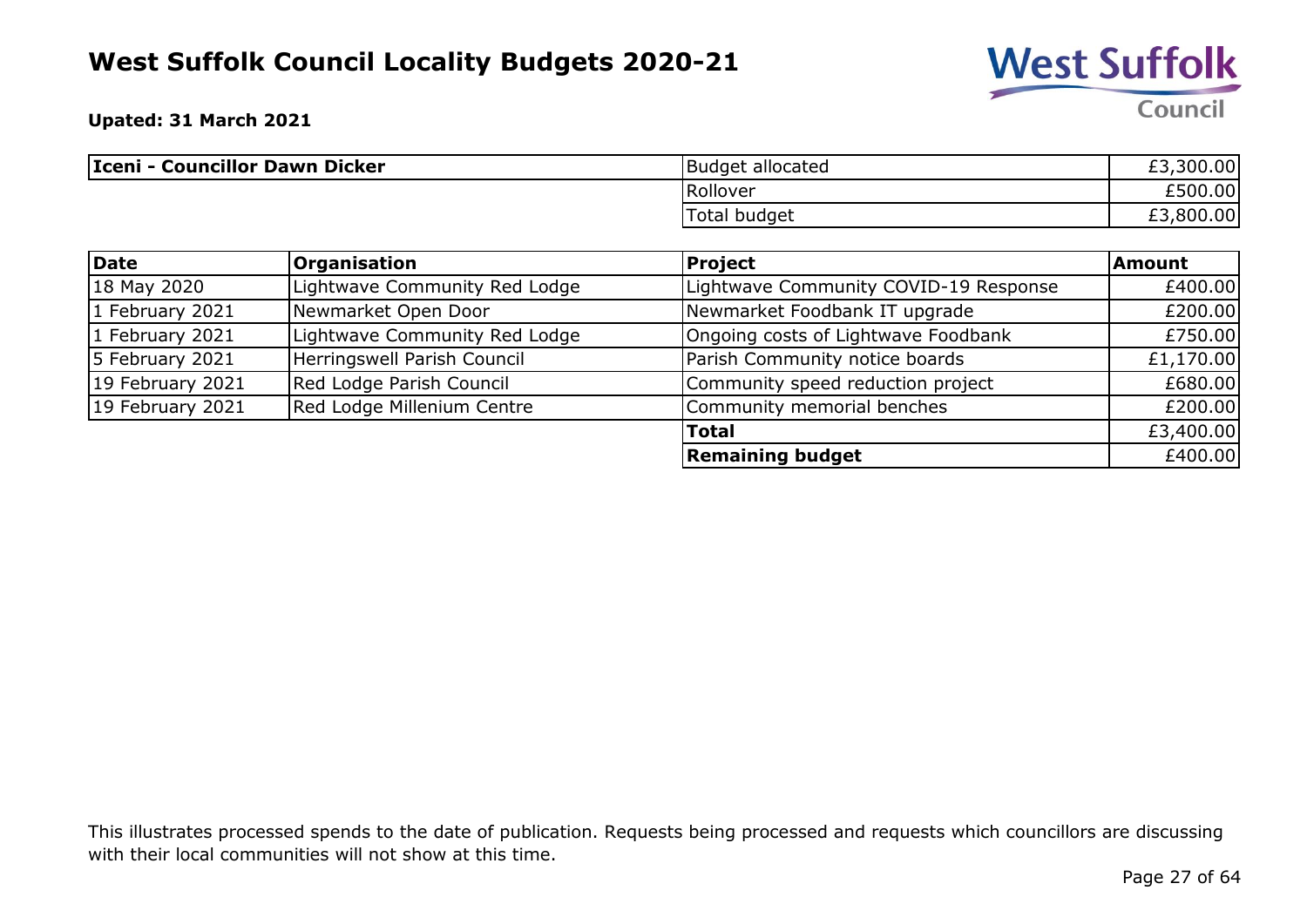

**Upated: 31 March 2021**

| Iceni - Councillor Dawn Dicker | <b>Budget allocated</b> | £3,300.00 |
|--------------------------------|-------------------------|-----------|
|                                | Rollover                | £500.00   |
|                                | Total budget            | £3,800.00 |

| <b>Date</b>      | <b>Organisation</b>           | <b>Project</b>                        | <b>Amount</b> |
|------------------|-------------------------------|---------------------------------------|---------------|
| 18 May 2020      | Lightwave Community Red Lodge | Lightwave Community COVID-19 Response | £400.00       |
| 1 February 2021  | Newmarket Open Door           | Newmarket Foodbank IT upgrade         | £200.00       |
| 1 February 2021  | Lightwave Community Red Lodge | Ongoing costs of Lightwave Foodbank   | £750.00       |
| 5 February 2021  | Herringswell Parish Council   | Parish Community notice boards        | £1,170.00     |
| 19 February 2021 | Red Lodge Parish Council      | Community speed reduction project     | £680.00       |
| 19 February 2021 | Red Lodge Millenium Centre    | Community memorial benches            | £200.00       |
|                  |                               | <b>Total</b>                          | £3,400.00     |
|                  |                               | <b>Remaining budget</b>               | £400.00       |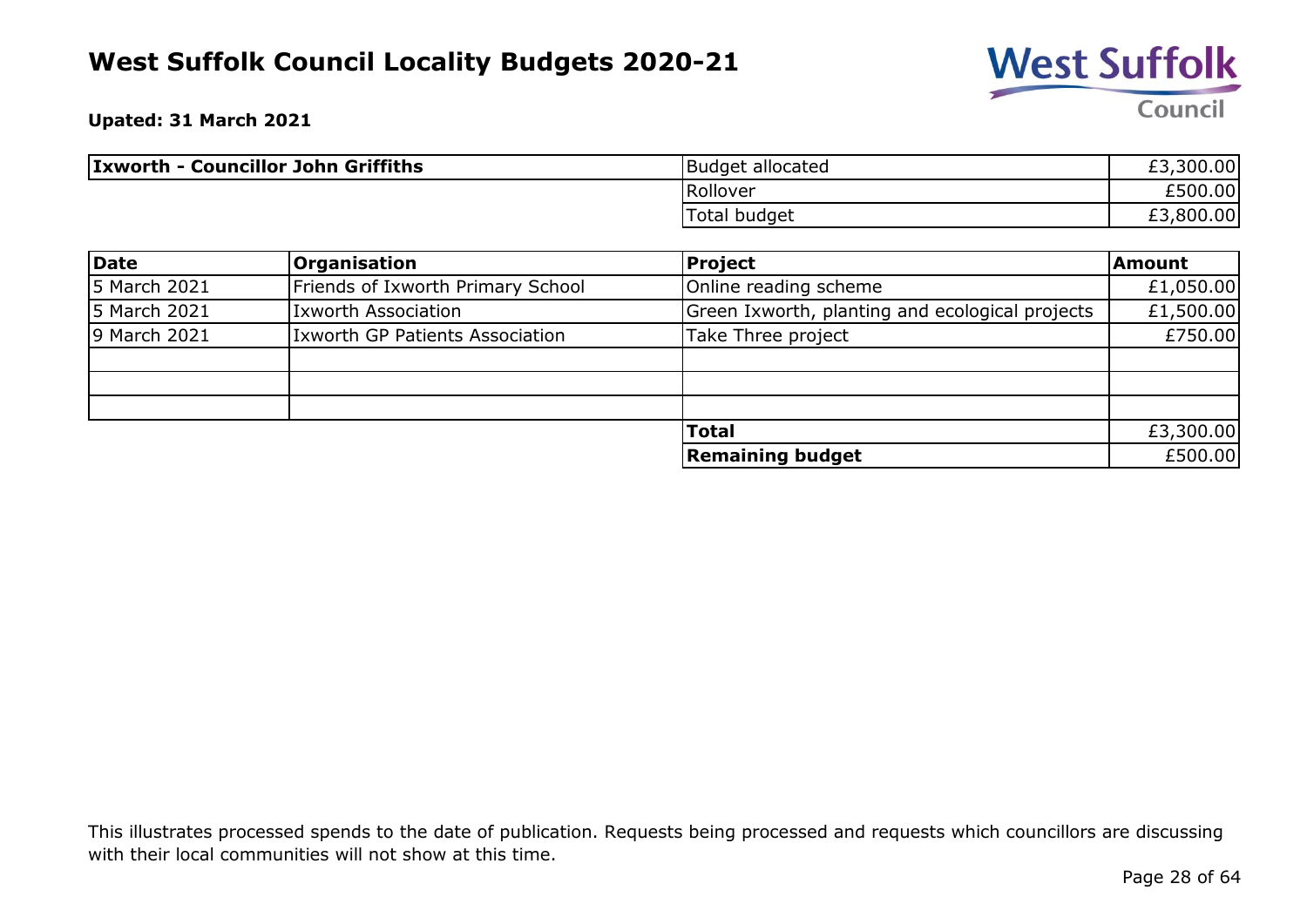

**Upated: 31 March 2021**

| <b>Ixworth - Councillor John Griffiths</b> | Budget allocated | £3,300.00 |
|--------------------------------------------|------------------|-----------|
|                                            | Rollover         | £500.00   |
|                                            | Total budget     | £3,800.00 |

| Date         | <b>Organisation</b>                    | <b>Project</b>                                  | Amount    |
|--------------|----------------------------------------|-------------------------------------------------|-----------|
| 5 March 2021 | Friends of Ixworth Primary School      | Online reading scheme                           | £1,050.00 |
| 5 March 2021 | <b>Ixworth Association</b>             | Green Ixworth, planting and ecological projects | £1,500.00 |
| 9 March 2021 | <b>Ixworth GP Patients Association</b> | Take Three project                              | £750.00   |
|              |                                        |                                                 |           |
|              |                                        |                                                 |           |
|              |                                        |                                                 |           |
|              |                                        | <b>Total</b>                                    | £3,300.00 |
|              |                                        | <b>Remaining budget</b>                         | £500.00   |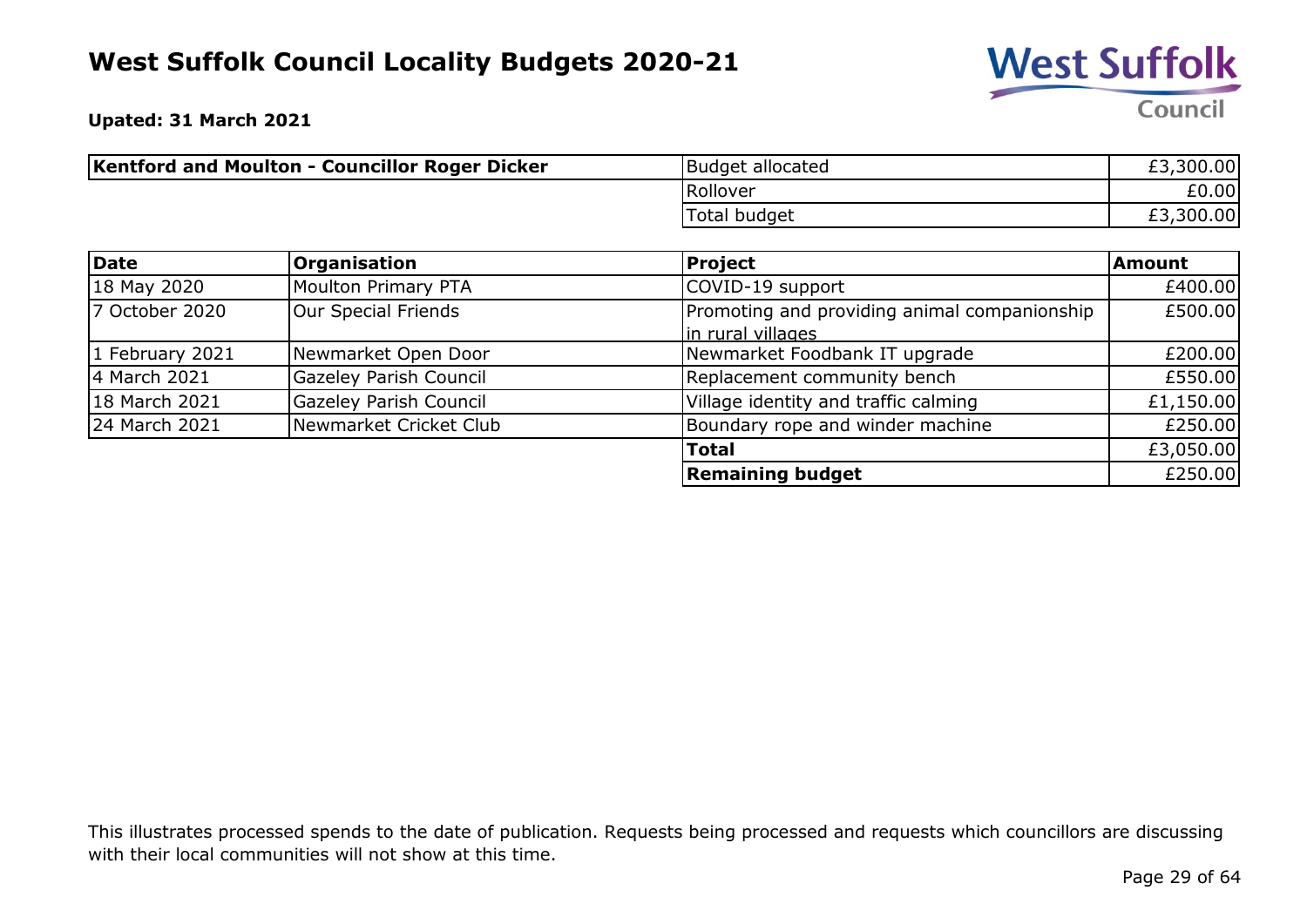

**Upated: 31 March 2021**

| <b>Kentford and Moulton - Councillor Roger Dicker</b> | Budget allocated | £3,300.00 |
|-------------------------------------------------------|------------------|-----------|
|                                                       | Rollover         | E0.00     |
|                                                       | Total budget     | £3,300.00 |

| Date            | <b>Organisation</b>    | <b>Project</b>                                                    | <b>Amount</b> |
|-----------------|------------------------|-------------------------------------------------------------------|---------------|
| 18 May 2020     | Moulton Primary PTA    | COVID-19 support                                                  | £400.00       |
| 7 October 2020  | Our Special Friends    | Promoting and providing animal companionship<br>in rural villages | £500.00       |
| 1 February 2021 | Newmarket Open Door    | Newmarket Foodbank IT upgrade                                     | £200.00       |
| 4 March 2021    | Gazeley Parish Council | Replacement community bench                                       | £550.00       |
| 18 March 2021   | Gazeley Parish Council | Village identity and traffic calming                              | £1,150.00     |
| 24 March 2021   | Newmarket Cricket Club | Boundary rope and winder machine                                  | £250.00       |
|                 |                        | <b>Total</b>                                                      | £3,050.00     |
|                 |                        | <b>Remaining budget</b>                                           | £250.00       |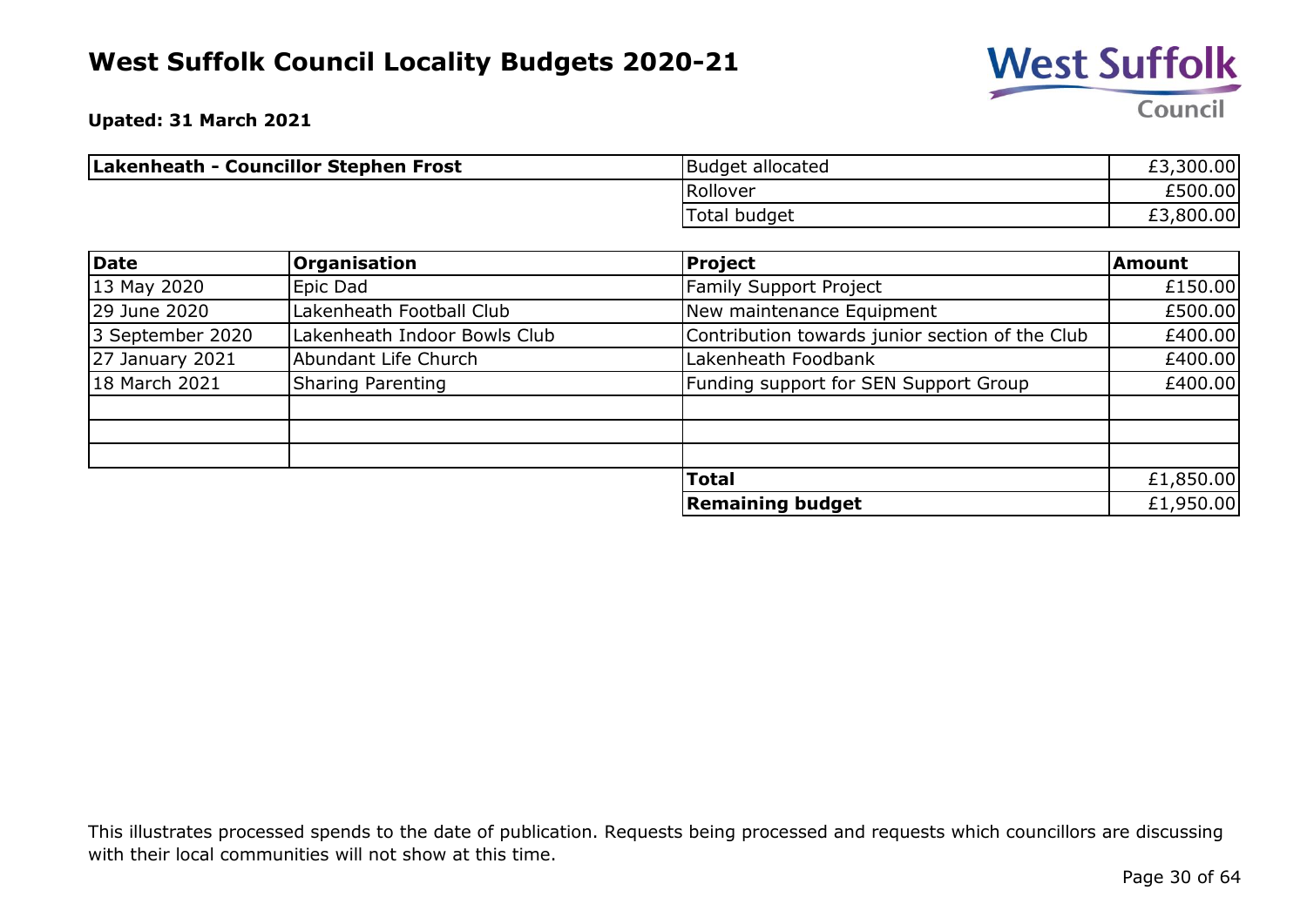

**Upated: 31 March 2021**

| Lakenheath - Councillor Stephen Frost | Budget allocated | £3,300.00 |
|---------------------------------------|------------------|-----------|
|                                       | Rollover         | £500.00   |
|                                       | Total budget     | £3,800.00 |

| <b>Date</b>            | <b>Organisation</b>          | Project                                         | <b>Amount</b> |
|------------------------|------------------------------|-------------------------------------------------|---------------|
| 13 May 2020            | Epic Dad                     | <b>Family Support Project</b>                   | £150.00       |
| 29 June 2020           | Lakenheath Football Club     | New maintenance Equipment                       | £500.00       |
| 3 September 2020       | Lakenheath Indoor Bowls Club | Contribution towards junior section of the Club | £400.00       |
| <b>27 January 2021</b> | Abundant Life Church         | Lakenheath Foodbank                             | £400.00       |
| 18 March 2021          | <b>Sharing Parenting</b>     | Funding support for SEN Support Group           | £400.00       |
|                        |                              |                                                 |               |
|                        |                              |                                                 |               |
|                        |                              |                                                 |               |
|                        |                              | <b>Total</b>                                    | £1,850.00     |
|                        |                              | <b>Remaining budget</b>                         | £1,950.00     |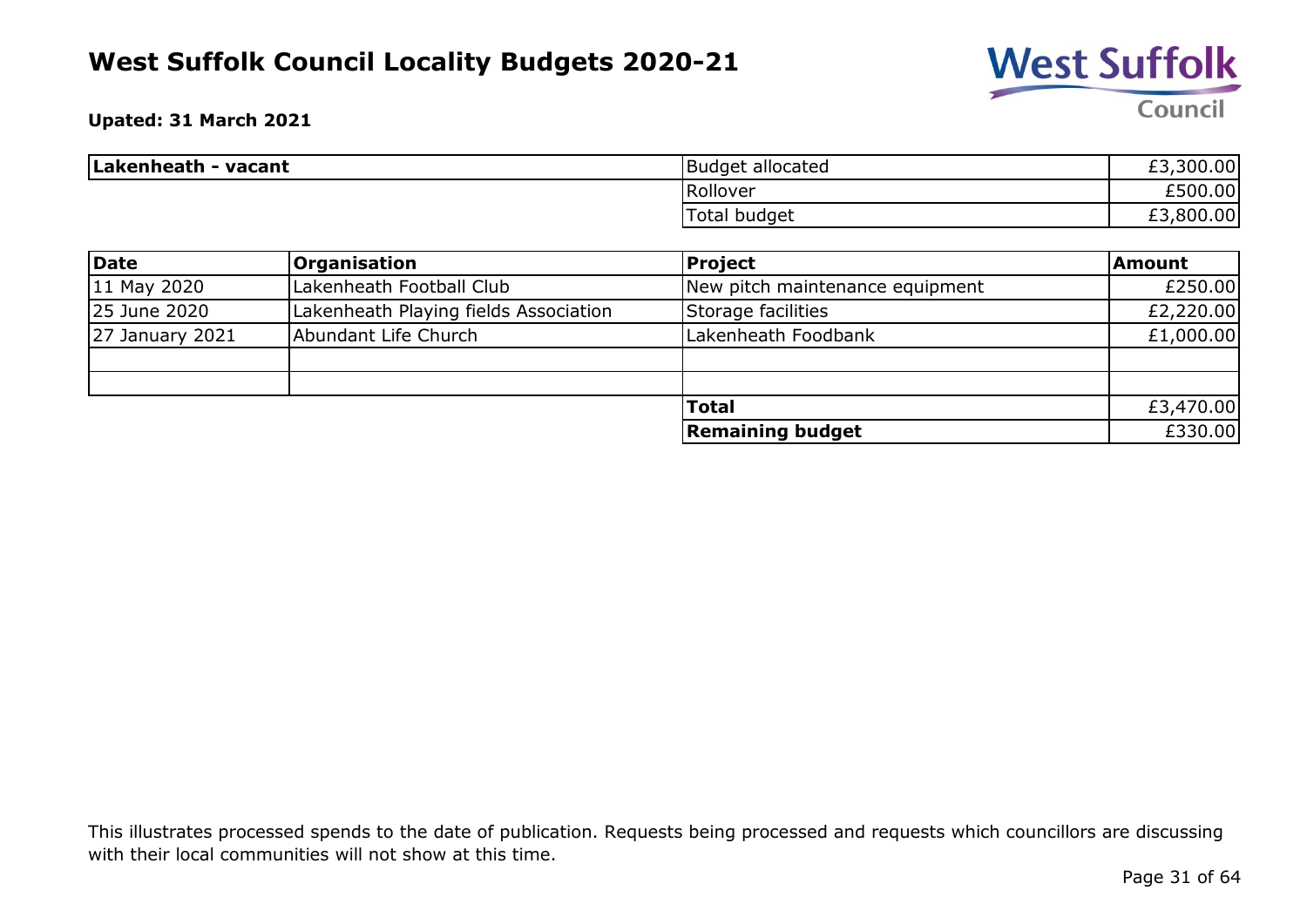

#### **Upated: 31 March 2021**

| Lakenheath - vacant | <b>Budget allocated</b> | ,300.00<br>ro<br>EJ.   |
|---------------------|-------------------------|------------------------|
|                     | Rollover                | £500.00                |
|                     | __<br>Total budget      | ,800.00<br>r di<br>EJ. |

| Date                   | Organisation                          | <b>Project</b>                  | Amount    |
|------------------------|---------------------------------------|---------------------------------|-----------|
| $11$ May 2020          | Lakenheath Football Club              | New pitch maintenance equipment | £250.00   |
| 25 June 2020           | Lakenheath Playing fields Association | Storage facilities              | £2,220.00 |
| <b>27 January 2021</b> | Abundant Life Church                  | Lakenheath Foodbank             | £1,000.00 |
|                        |                                       |                                 |           |
|                        |                                       |                                 |           |
|                        |                                       | <b>Total</b>                    | £3,470.00 |
|                        |                                       | <b>Remaining budget</b>         | £330.00   |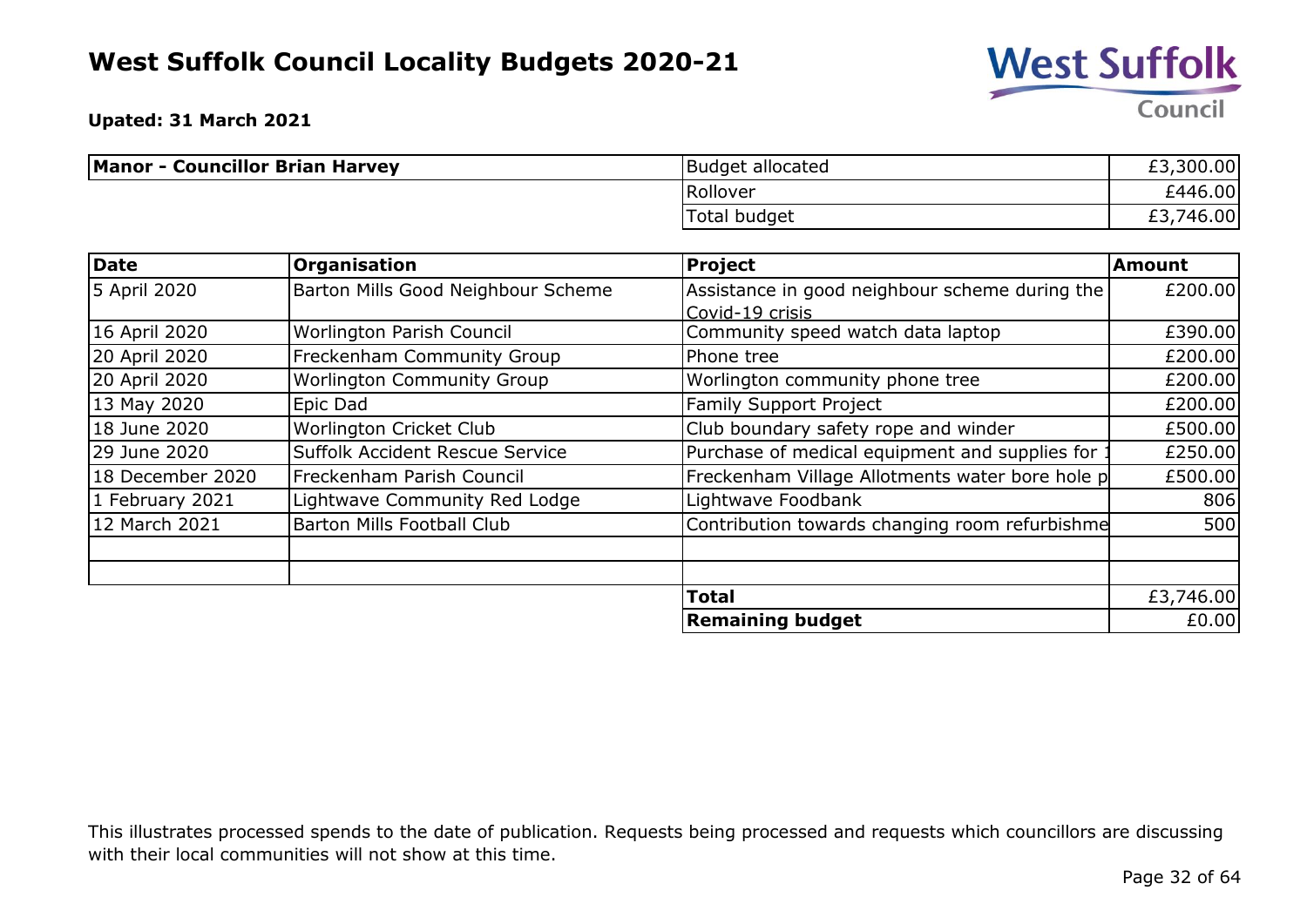

**Upated: 31 March 2021**

| <b>Manor - Councillor Brian Harvey</b> | <b>Budget allocated</b> | £3,300.00 |
|----------------------------------------|-------------------------|-----------|
|                                        | Rollover                | £446.00   |
|                                        | Total budget            | 3,746.00  |

| <b>Date</b>      | Organisation                       | <b>Project</b>                                  | Amount    |
|------------------|------------------------------------|-------------------------------------------------|-----------|
| 5 April 2020     | Barton Mills Good Neighbour Scheme | Assistance in good neighbour scheme during the  | £200.00   |
|                  |                                    | Covid-19 crisis                                 |           |
| 16 April 2020    | Worlington Parish Council          | Community speed watch data laptop               | £390.00   |
| 20 April 2020    | <b>Freckenham Community Group</b>  | Phone tree                                      | £200.00   |
| 20 April 2020    | <b>Worlington Community Group</b>  | Worlington community phone tree                 | £200.00   |
| 13 May 2020      | Epic Dad                           | <b>Family Support Project</b>                   | £200.00   |
| 18 June 2020     | Worlington Cricket Club            | Club boundary safety rope and winder            | £500.00   |
| 29 June 2020     | Suffolk Accident Rescue Service    | Purchase of medical equipment and supplies for  | £250.00   |
| 18 December 2020 | Freckenham Parish Council          | Freckenham Village Allotments water bore hole p | £500.00   |
| 1 February 2021  | Lightwave Community Red Lodge      | Lightwave Foodbank                              | 806       |
| 12 March 2021    | <b>Barton Mills Football Club</b>  | Contribution towards changing room refurbishme  | 500       |
|                  |                                    |                                                 |           |
|                  |                                    | <b>Total</b>                                    | £3,746.00 |
|                  |                                    | <b>Remaining budget</b>                         | £0.00     |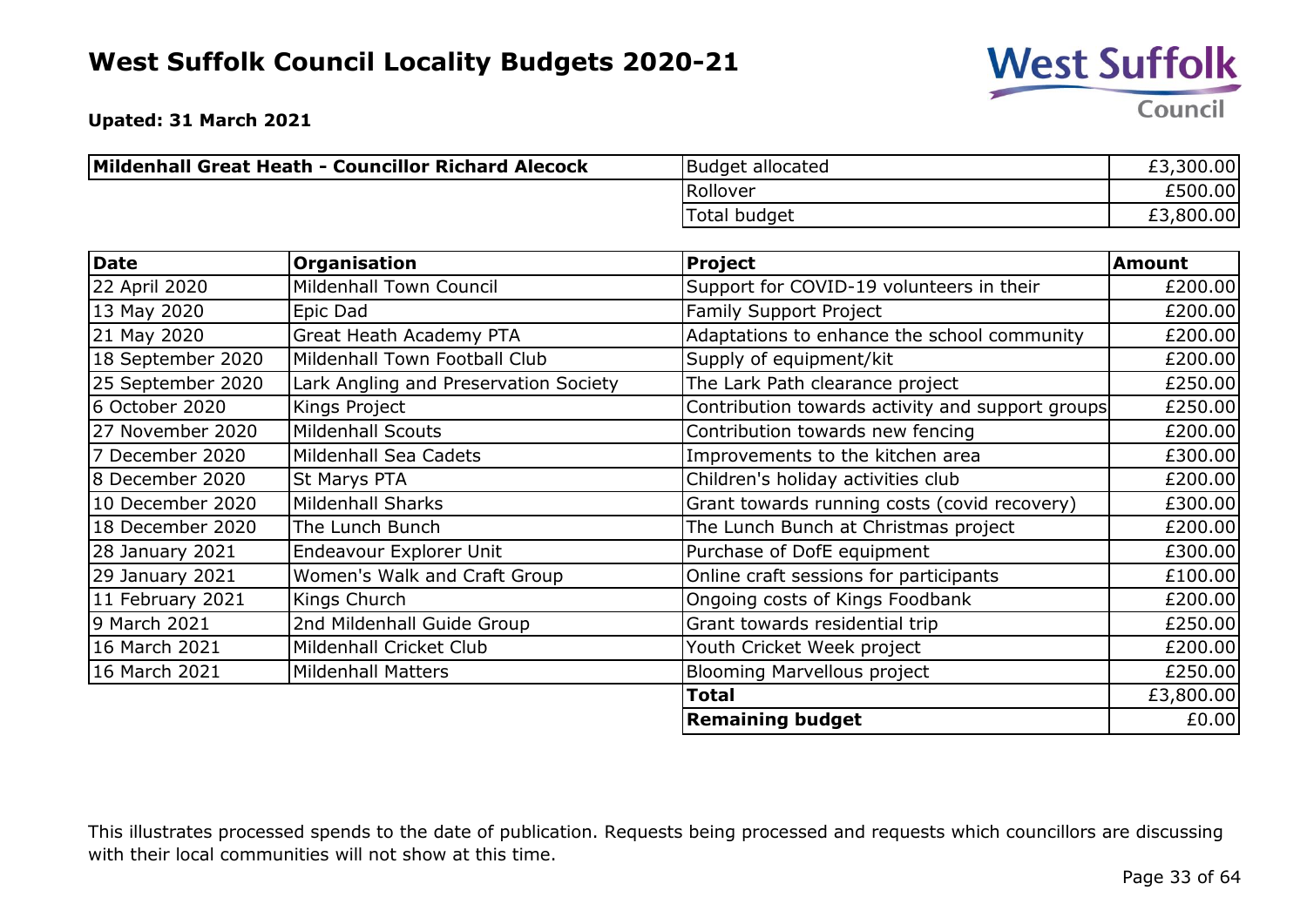

**Upated: 31 March 2021**

| Mildenhall Great Heath - Councillor Richard Alecock | <b>Budget allocated</b> | £3,300.00 |
|-----------------------------------------------------|-------------------------|-----------|
|                                                     | Rollover                | £500.00   |
|                                                     | Total budget            | £3,800.00 |

| <b>Date</b>       | Organisation                          | <b>Project</b>                                   | <b>Amount</b> |
|-------------------|---------------------------------------|--------------------------------------------------|---------------|
| 22 April 2020     | <b>Mildenhall Town Council</b>        | Support for COVID-19 volunteers in their         | £200.00       |
| 13 May 2020       | Epic Dad                              | <b>Family Support Project</b>                    | £200.00       |
| 21 May 2020       | <b>Great Heath Academy PTA</b>        | Adaptations to enhance the school community      | £200.00       |
| 18 September 2020 | Mildenhall Town Football Club         | Supply of equipment/kit                          | £200.00       |
| 25 September 2020 | Lark Angling and Preservation Society | The Lark Path clearance project                  | £250.00       |
| 6 October 2020    | Kings Project                         | Contribution towards activity and support groups | £250.00       |
| 27 November 2020  | <b>Mildenhall Scouts</b>              | Contribution towards new fencing                 | £200.00       |
| 7 December 2020   | Mildenhall Sea Cadets                 | Improvements to the kitchen area                 | £300.00       |
| 8 December 2020   | St Marys PTA                          | Children's holiday activities club               | £200.00       |
| 10 December 2020  | <b>Mildenhall Sharks</b>              | Grant towards running costs (covid recovery)     | £300.00       |
| 18 December 2020  | The Lunch Bunch                       | The Lunch Bunch at Christmas project             | £200.00       |
| 28 January 2021   | Endeavour Explorer Unit               | Purchase of DofE equipment                       | £300.00       |
| 29 January 2021   | Women's Walk and Craft Group          | Online craft sessions for participants           | £100.00       |
| 11 February 2021  | Kings Church                          | Ongoing costs of Kings Foodbank                  | £200.00       |
| 9 March 2021      | 2nd Mildenhall Guide Group            | Grant towards residential trip                   | £250.00       |
| 16 March 2021     | Mildenhall Cricket Club               | Youth Cricket Week project                       | £200.00       |
| 16 March 2021     | <b>Mildenhall Matters</b>             | <b>Blooming Marvellous project</b>               | £250.00       |
|                   |                                       | <b>Total</b>                                     | £3,800.00     |
|                   |                                       | <b>Remaining budget</b>                          | £0.00         |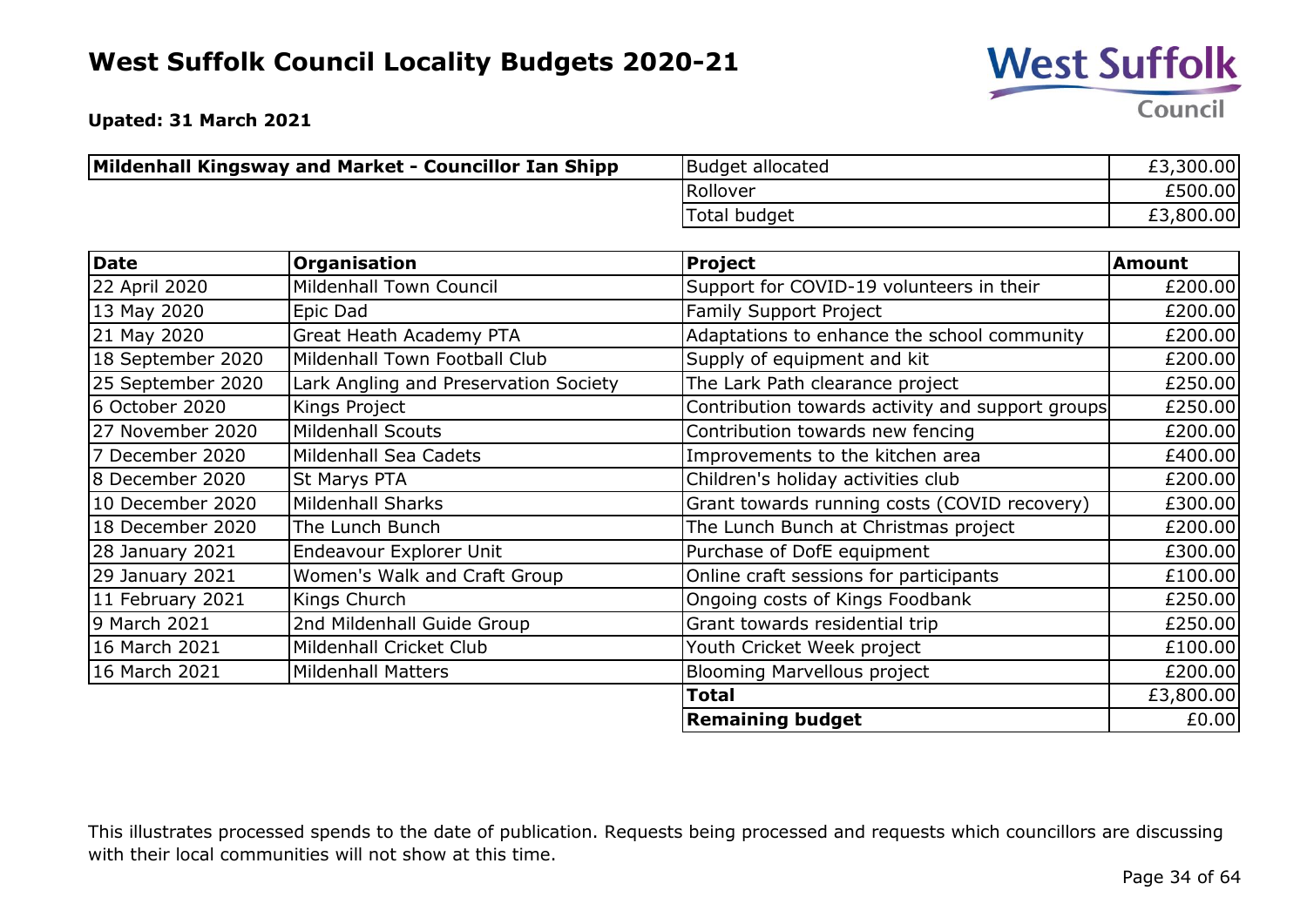

**Upated: 31 March 2021**

| Mildenhall Kingsway and Market - Councillor Ian Shipp | Budget allocated | £3,300.00 |
|-------------------------------------------------------|------------------|-----------|
|                                                       | Rollover         | £500.00   |
|                                                       | Total budget     | £3,800.00 |

| <b>Date</b>       | Organisation                          | <b>Project</b>                                   | <b>Amount</b> |
|-------------------|---------------------------------------|--------------------------------------------------|---------------|
| 22 April 2020     | <b>Mildenhall Town Council</b>        | Support for COVID-19 volunteers in their         | £200.00       |
| 13 May 2020       | Epic Dad                              | Family Support Project                           | £200.00       |
| 21 May 2020       | <b>Great Heath Academy PTA</b>        | Adaptations to enhance the school community      | £200.00       |
| 18 September 2020 | Mildenhall Town Football Club         | Supply of equipment and kit                      | £200.00       |
| 25 September 2020 | Lark Angling and Preservation Society | The Lark Path clearance project                  | £250.00       |
| 6 October 2020    | Kings Project                         | Contribution towards activity and support groups | £250.00       |
| 27 November 2020  | <b>Mildenhall Scouts</b>              | Contribution towards new fencing                 | £200.00       |
| 7 December 2020   | Mildenhall Sea Cadets                 | Improvements to the kitchen area                 | £400.00       |
| 8 December 2020   | St Marys PTA                          | Children's holiday activities club               | £200.00       |
| 10 December 2020  | <b>Mildenhall Sharks</b>              | Grant towards running costs (COVID recovery)     | £300.00       |
| 18 December 2020  | The Lunch Bunch                       | The Lunch Bunch at Christmas project             | £200.00       |
| 28 January 2021   | Endeavour Explorer Unit               | Purchase of DofE equipment                       | £300.00       |
| 29 January 2021   | Women's Walk and Craft Group          | Online craft sessions for participants           | £100.00       |
| 11 February 2021  | Kings Church                          | Ongoing costs of Kings Foodbank                  | £250.00       |
| 9 March 2021      | 2nd Mildenhall Guide Group            | Grant towards residential trip                   | £250.00       |
| 16 March 2021     | Mildenhall Cricket Club               | Youth Cricket Week project                       | £100.00       |
| 16 March 2021     | <b>Mildenhall Matters</b>             | <b>Blooming Marvellous project</b>               | £200.00       |
|                   |                                       | <b>Total</b>                                     | £3,800.00     |
|                   |                                       | <b>Remaining budget</b>                          | £0.00         |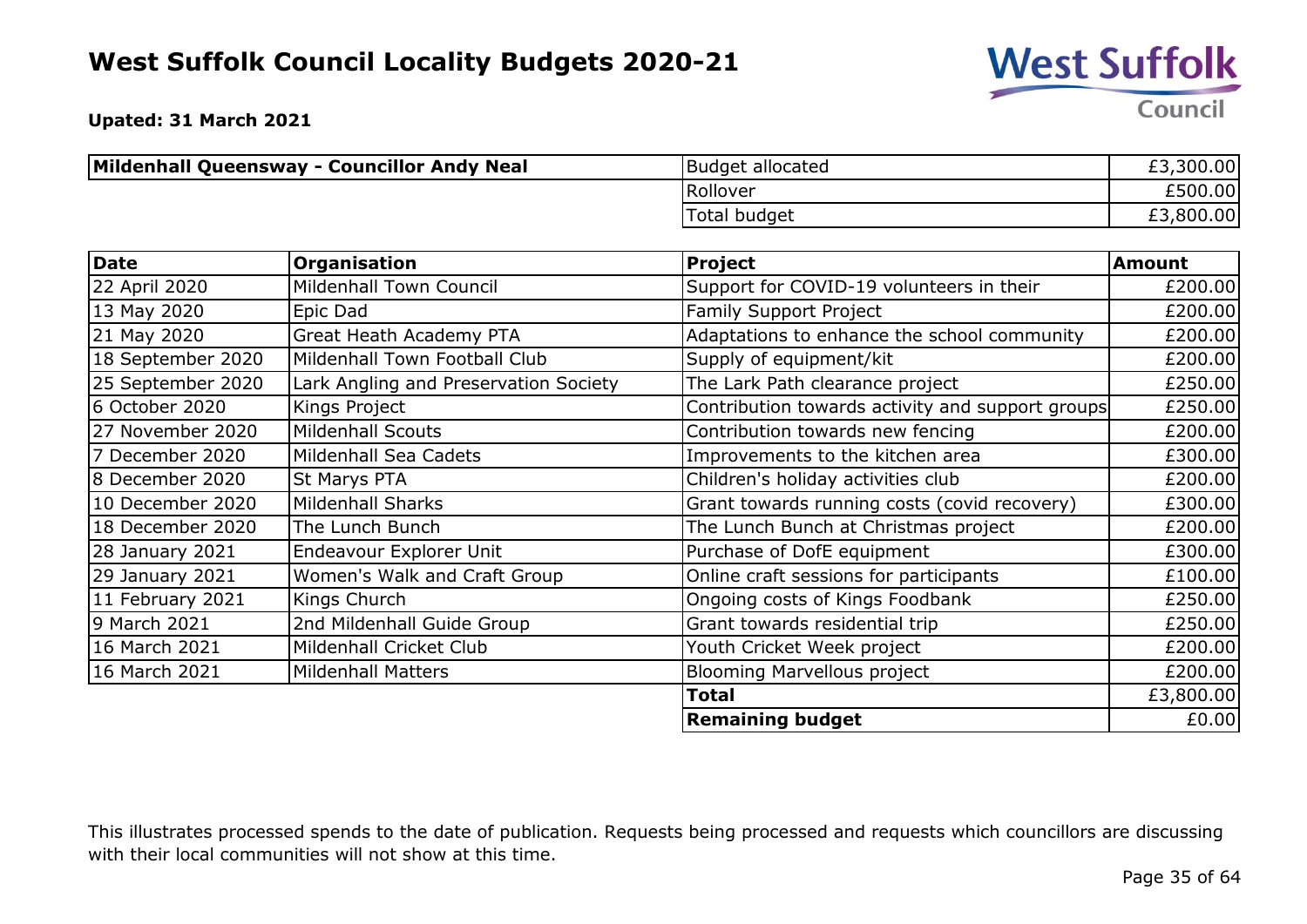

**Upated: 31 March 2021**

| Mildenhall Queensway - Councillor Andy Neal | Budget allocated | £3,300.00 |
|---------------------------------------------|------------------|-----------|
|                                             | Rollover         | £500.00   |
|                                             | Total budget     | £3,800.00 |

| <b>Date</b>       | Organisation                          | <b>Project</b>                                   | <b>Amount</b> |
|-------------------|---------------------------------------|--------------------------------------------------|---------------|
| 22 April 2020     | <b>Mildenhall Town Council</b>        | Support for COVID-19 volunteers in their         | £200.00       |
| 13 May 2020       | Epic Dad                              | Family Support Project                           | £200.00       |
| 21 May 2020       | <b>Great Heath Academy PTA</b>        | Adaptations to enhance the school community      | £200.00       |
| 18 September 2020 | Mildenhall Town Football Club         | Supply of equipment/kit                          | £200.00       |
| 25 September 2020 | Lark Angling and Preservation Society | The Lark Path clearance project                  | £250.00       |
| 6 October 2020    | Kings Project                         | Contribution towards activity and support groups | £250.00       |
| 27 November 2020  | <b>Mildenhall Scouts</b>              | Contribution towards new fencing                 | £200.00       |
| 7 December 2020   | Mildenhall Sea Cadets                 | Improvements to the kitchen area                 | £300.00       |
| 8 December 2020   | St Marys PTA                          | Children's holiday activities club               | £200.00       |
| 10 December 2020  | <b>Mildenhall Sharks</b>              | Grant towards running costs (covid recovery)     | £300.00       |
| 18 December 2020  | The Lunch Bunch                       | The Lunch Bunch at Christmas project             | £200.00       |
| 28 January 2021   | Endeavour Explorer Unit               | Purchase of DofE equipment                       | £300.00       |
| 29 January 2021   | Women's Walk and Craft Group          | Online craft sessions for participants           | £100.00       |
| 11 February 2021  | Kings Church                          | Ongoing costs of Kings Foodbank                  | £250.00       |
| 9 March 2021      | 2nd Mildenhall Guide Group            | Grant towards residential trip                   | £250.00       |
| 16 March 2021     | Mildenhall Cricket Club               | Youth Cricket Week project                       | £200.00       |
| 16 March 2021     | <b>Mildenhall Matters</b>             | <b>Blooming Marvellous project</b>               | £200.00       |
|                   |                                       | <b>Total</b>                                     | £3,800.00     |
|                   |                                       | <b>Remaining budget</b>                          | £0.00         |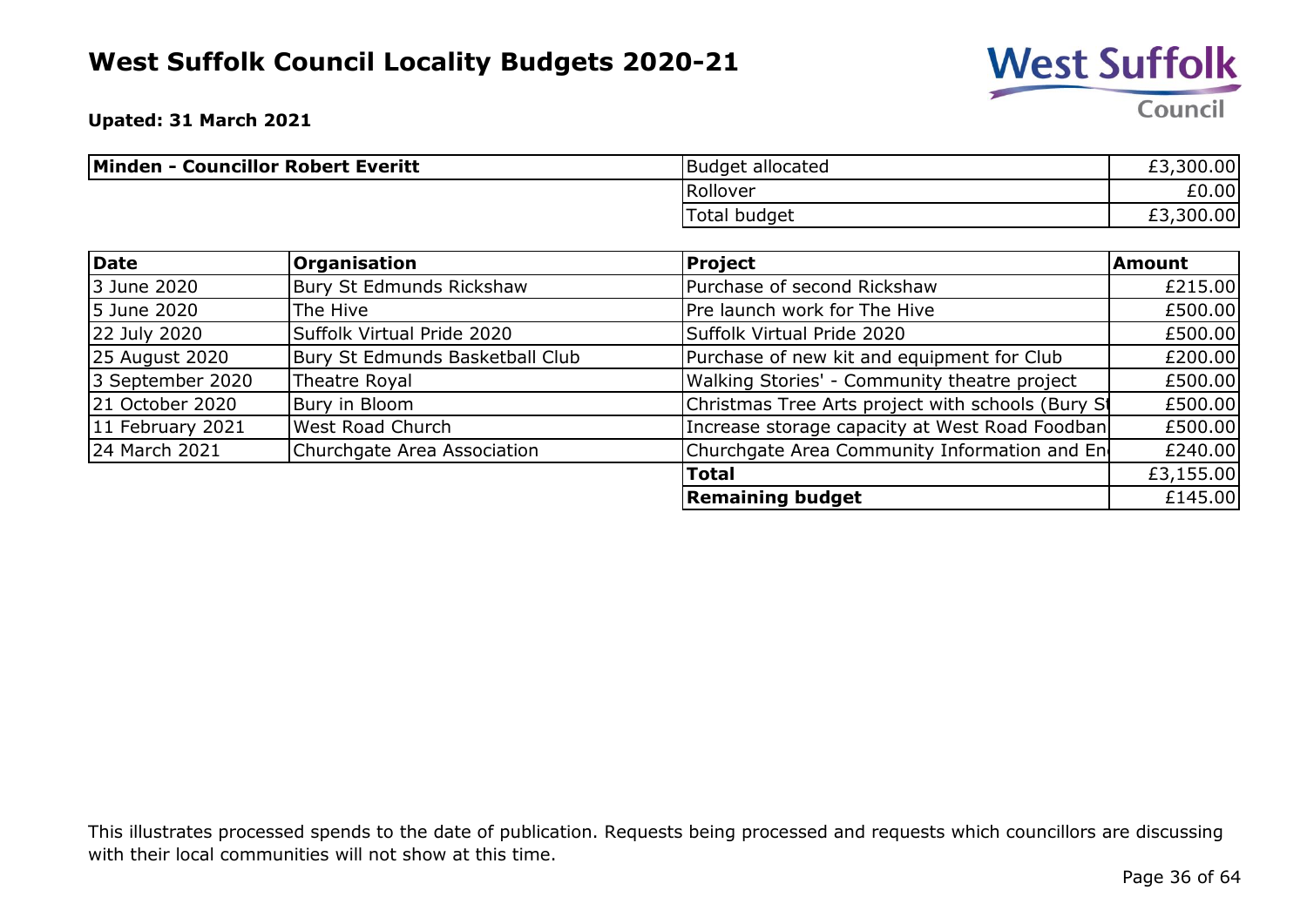

**Upated: 31 March 2021**

| Minden - Councillor Robert Everitt | Budget allocated | £3,300.00                |
|------------------------------------|------------------|--------------------------|
|                                    | Rollover         | £0.00                    |
|                                    | Total budget     | ,300.00<br>$\sim$<br>ŁЗ. |

| Date             | <b>Organisation</b>             | <b>Project</b>                                    | Amount    |
|------------------|---------------------------------|---------------------------------------------------|-----------|
| 3 June 2020      | Bury St Edmunds Rickshaw        | Purchase of second Rickshaw                       | £215.00   |
| 5 June 2020      | The Hive                        | Pre launch work for The Hive                      | £500.00   |
| 22 July 2020     | Suffolk Virtual Pride 2020      | Suffolk Virtual Pride 2020                        | £500.00   |
| 25 August 2020   | Bury St Edmunds Basketball Club | Purchase of new kit and equipment for Club        | £200.00   |
| 3 September 2020 | Theatre Royal                   | Walking Stories' - Community theatre project      | £500.00   |
| 21 October 2020  | Bury in Bloom                   | Christmas Tree Arts project with schools (Bury St | £500.00   |
| 11 February 2021 | West Road Church                | Increase storage capacity at West Road Foodban    | £500.00   |
| 24 March 2021    | Churchgate Area Association     | Churchgate Area Community Information and En      | £240.00   |
|                  |                                 | <b>Total</b>                                      | £3,155.00 |
|                  |                                 | <b>Remaining budget</b>                           | £145.00   |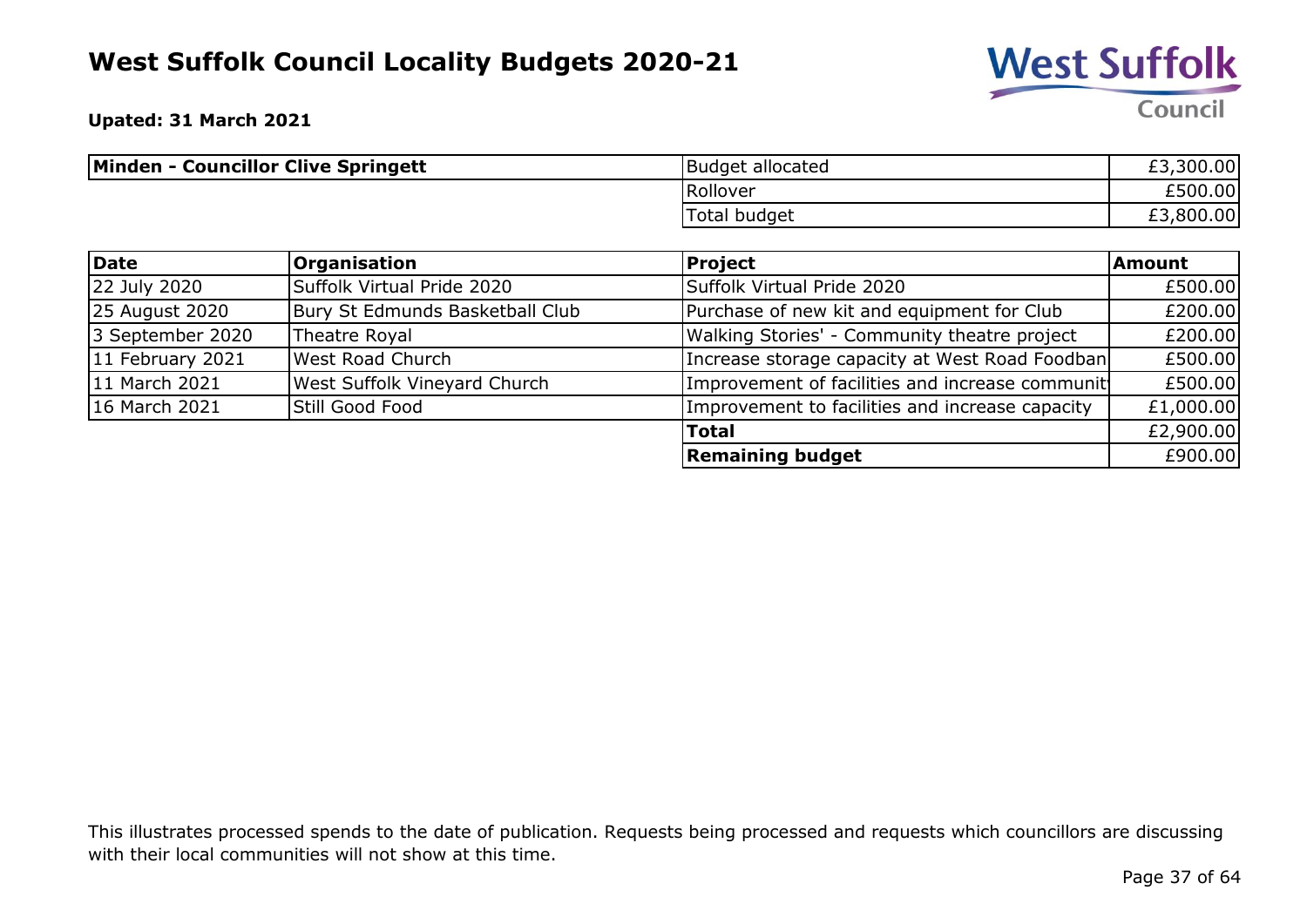

**Upated: 31 March 2021**

| <b>Minden - Councillor Clive Springett</b> | Budget allocated | £3,300.00 |
|--------------------------------------------|------------------|-----------|
|                                            | Rollover         | £500.00   |
|                                            | Total budget     | £3,800.00 |

| Date             | <b>Organisation</b>             | <b>Project</b>                                  | <b>Amount</b> |
|------------------|---------------------------------|-------------------------------------------------|---------------|
| 22 July 2020     | Suffolk Virtual Pride 2020      | Suffolk Virtual Pride 2020                      | £500.00       |
| 25 August 2020   | Bury St Edmunds Basketball Club | Purchase of new kit and equipment for Club      | £200.00       |
| 3 September 2020 | Theatre Royal                   | Walking Stories' - Community theatre project    | £200.00       |
| 11 February 2021 | West Road Church                | Increase storage capacity at West Road Foodban  | £500.00       |
| 11 March 2021    | West Suffolk Vineyard Church    | Improvement of facilities and increase communit | £500.00       |
| 16 March 2021    | Still Good Food                 | Improvement to facilities and increase capacity | £1,000.00     |
|                  |                                 | <b>Total</b>                                    | £2,900.00     |
|                  |                                 | <b>Remaining budget</b>                         | £900.00       |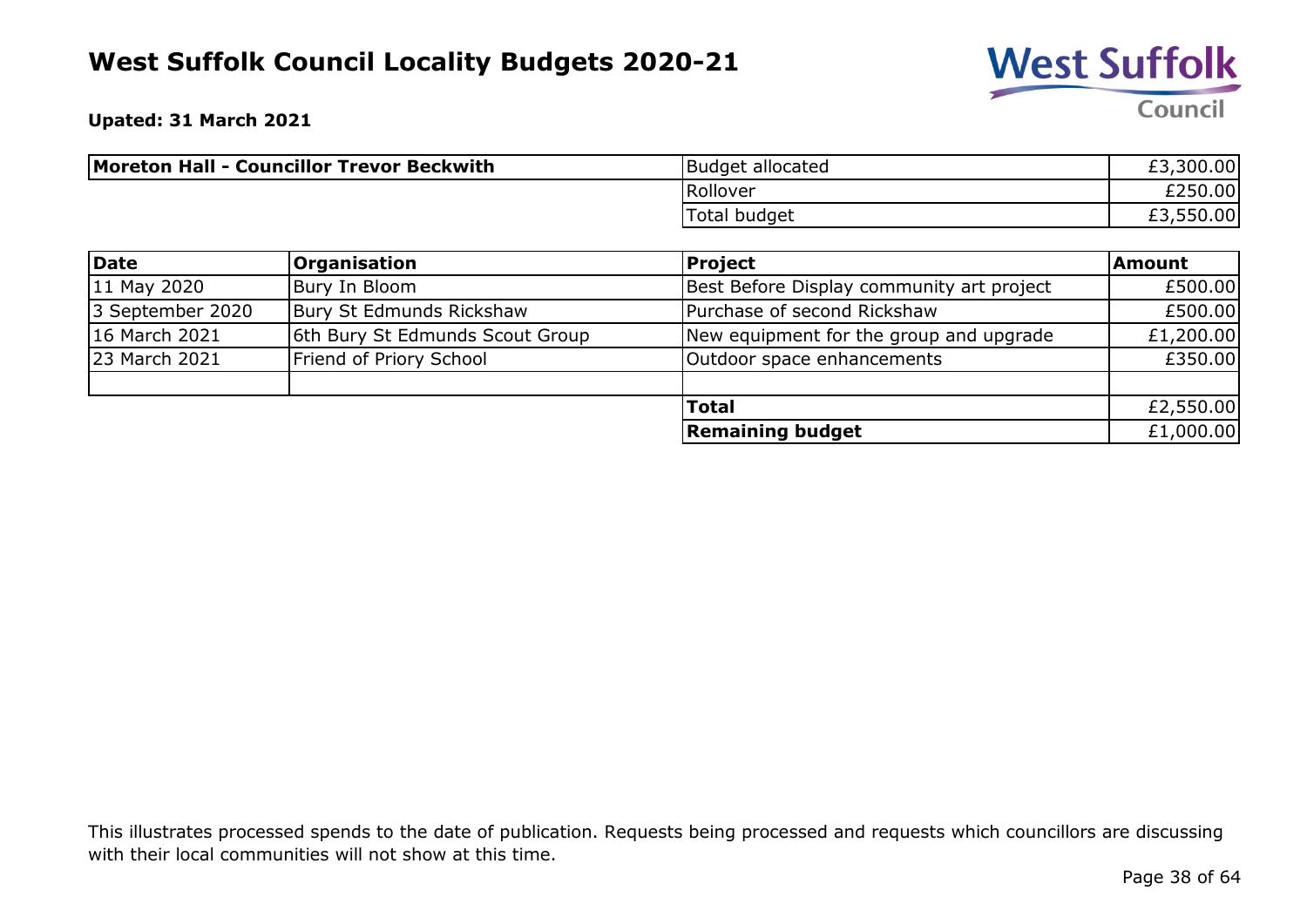

**Upated: 31 March 2021**

| Moreton Hall - Councillor Trevor Beckwith | <b>Budget allocated</b> | £3,300.00 |
|-------------------------------------------|-------------------------|-----------|
|                                           | Rollover                | £250.00   |
|                                           | Total budget            | £3,550.00 |

| Date             | <b>Organisation</b>             | Project                                   | Amount    |
|------------------|---------------------------------|-------------------------------------------|-----------|
| 11 May 2020      | Bury In Bloom                   | Best Before Display community art project | £500.00   |
| 3 September 2020 | Bury St Edmunds Rickshaw        | Purchase of second Rickshaw               | £500.00   |
| 16 March 2021    | 6th Bury St Edmunds Scout Group | New equipment for the group and upgrade   | £1,200.00 |
| 23 March 2021    | Friend of Priory School         | Outdoor space enhancements                | £350.00   |
|                  |                                 |                                           |           |
|                  |                                 | <b>Total</b>                              | £2,550.00 |
|                  |                                 | <b>Remaining budget</b>                   | £1,000.00 |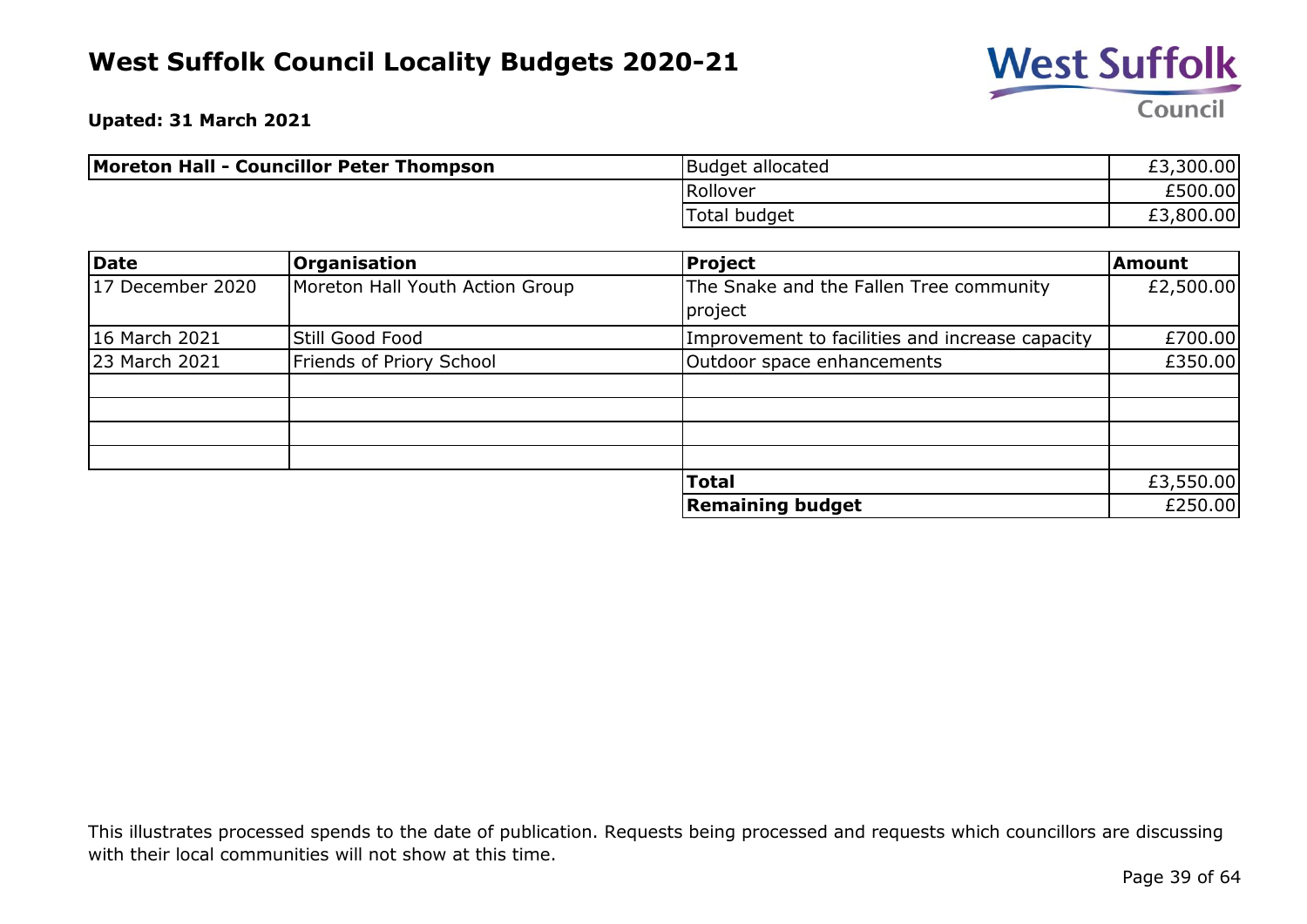

**Upated: 31 March 2021**

| Moreton Hall - Councillor Peter Thompson | Budget allocated | £3,300.00 |
|------------------------------------------|------------------|-----------|
|                                          | Rollover         | £500.00   |
|                                          | Total budget     | £3,800.00 |

| <b>Date</b>      | <b>Organisation</b>             | Project                                            | Amount    |
|------------------|---------------------------------|----------------------------------------------------|-----------|
| 17 December 2020 | Moreton Hall Youth Action Group | The Snake and the Fallen Tree community<br>project | £2,500.00 |
| 16 March 2021    | Still Good Food                 | Improvement to facilities and increase capacity    | £700.00   |
| 23 March 2021    | Friends of Priory School        | Outdoor space enhancements                         | £350.00   |
|                  |                                 |                                                    |           |
|                  |                                 |                                                    |           |
|                  |                                 |                                                    |           |
|                  |                                 |                                                    |           |
|                  |                                 | <b>Total</b>                                       | £3,550.00 |
|                  |                                 | <b>Remaining budget</b>                            | £250.00   |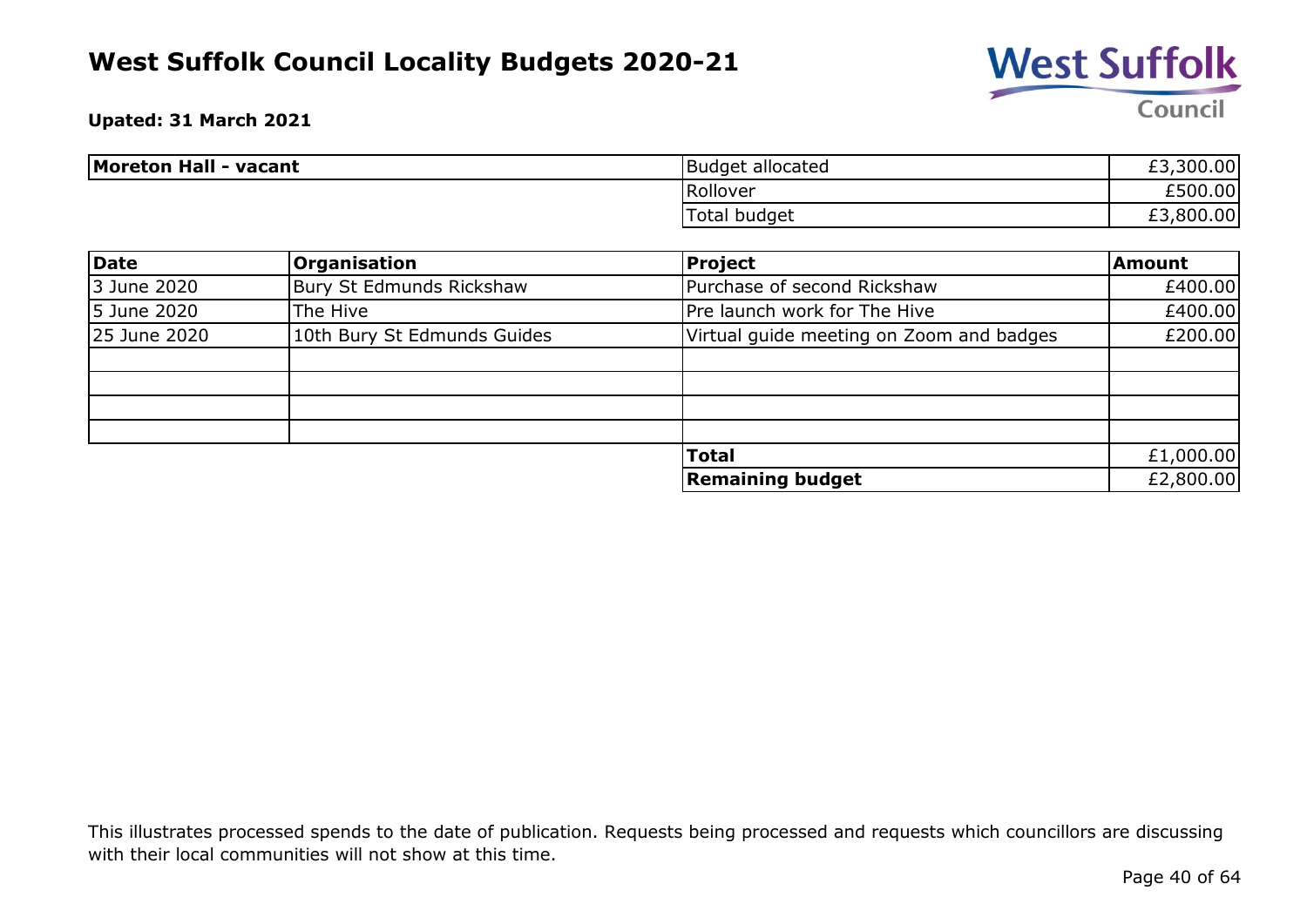

**Upated: 31 March 2021**

| <b>Moreton Hall - vacant</b> | Budget allocated | £3,300.00              |
|------------------------------|------------------|------------------------|
|                              | Rollover         | £500.00                |
|                              | Total budget     | ,800.00<br>r di<br>£٦. |

| Date         | <b>Organisation</b>         | <b>Project</b>                           | <b>Amount</b> |
|--------------|-----------------------------|------------------------------------------|---------------|
| 3 June 2020  | Bury St Edmunds Rickshaw    | Purchase of second Rickshaw              | £400.00       |
| 5 June 2020  | The Hive                    | Pre launch work for The Hive             | £400.00       |
| 25 June 2020 | 10th Bury St Edmunds Guides | Virtual guide meeting on Zoom and badges | £200.00       |
|              |                             |                                          |               |
|              |                             |                                          |               |
|              |                             |                                          |               |
|              |                             |                                          |               |
|              |                             | <b>Total</b>                             | £1,000.00     |
|              |                             | <b>Remaining budget</b>                  | £2,800.00     |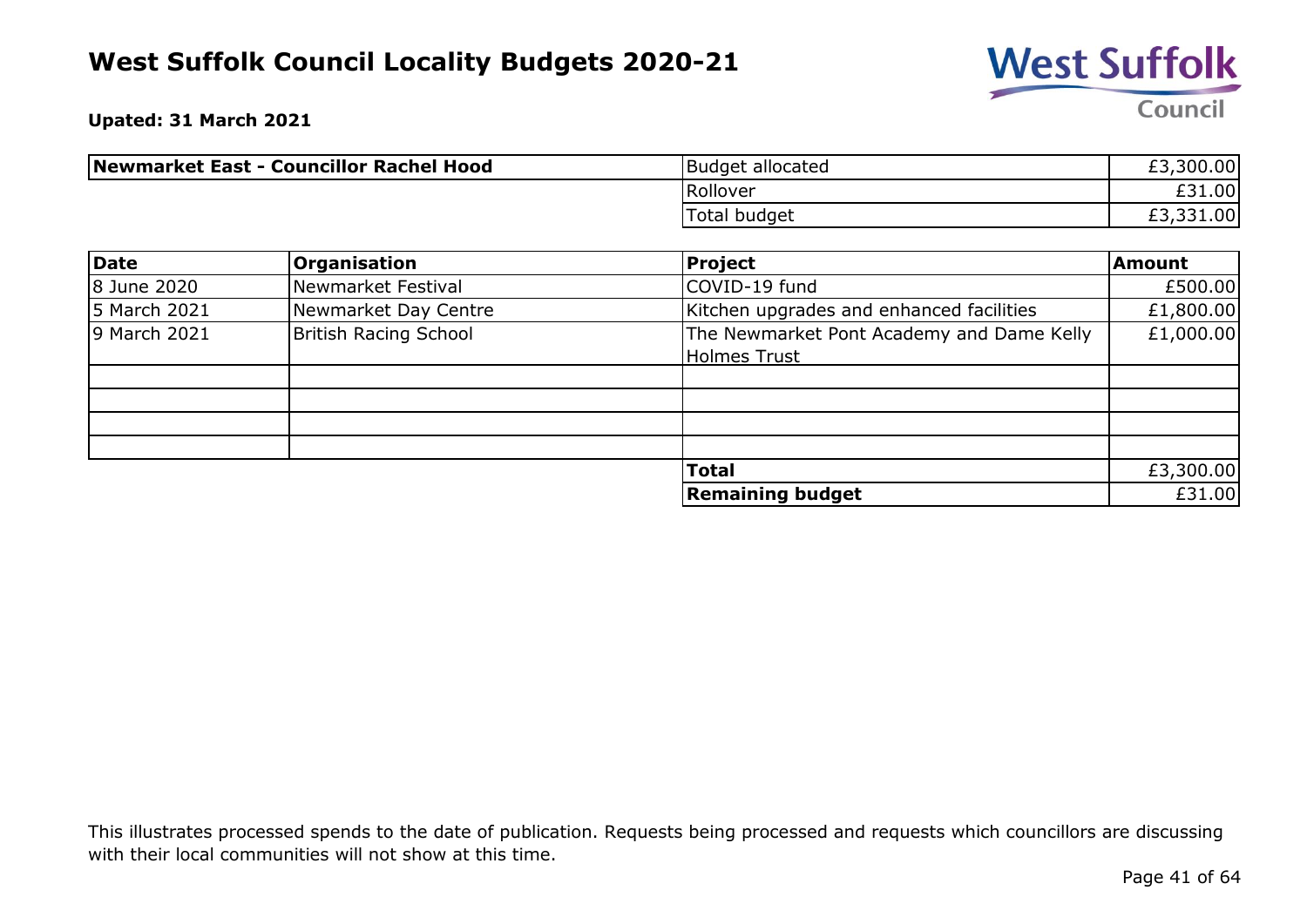

**Upated: 31 March 2021**

| Newmarket East - Councillor Rachel Hood | <b>Budget allocated</b> | £3,300.00 |
|-----------------------------------------|-------------------------|-----------|
|                                         | Rollover                | £31.00    |
|                                         | Total budget            | £3,331.00 |

| Date         | <b>Organisation</b>          | Project                                                          | Amount    |
|--------------|------------------------------|------------------------------------------------------------------|-----------|
| 8 June 2020  | Newmarket Festival           | COVID-19 fund                                                    | £500.00   |
| 5 March 2021 | Newmarket Day Centre         | Kitchen upgrades and enhanced facilities                         | £1,800.00 |
| 9 March 2021 | <b>British Racing School</b> | The Newmarket Pont Academy and Dame Kelly<br><b>Holmes Trust</b> | £1,000.00 |
|              |                              |                                                                  |           |
|              |                              |                                                                  |           |
|              |                              |                                                                  |           |
|              |                              |                                                                  |           |
|              |                              | <b>Total</b>                                                     | £3,300.00 |
|              |                              | <b>Remaining budget</b>                                          | £31.00    |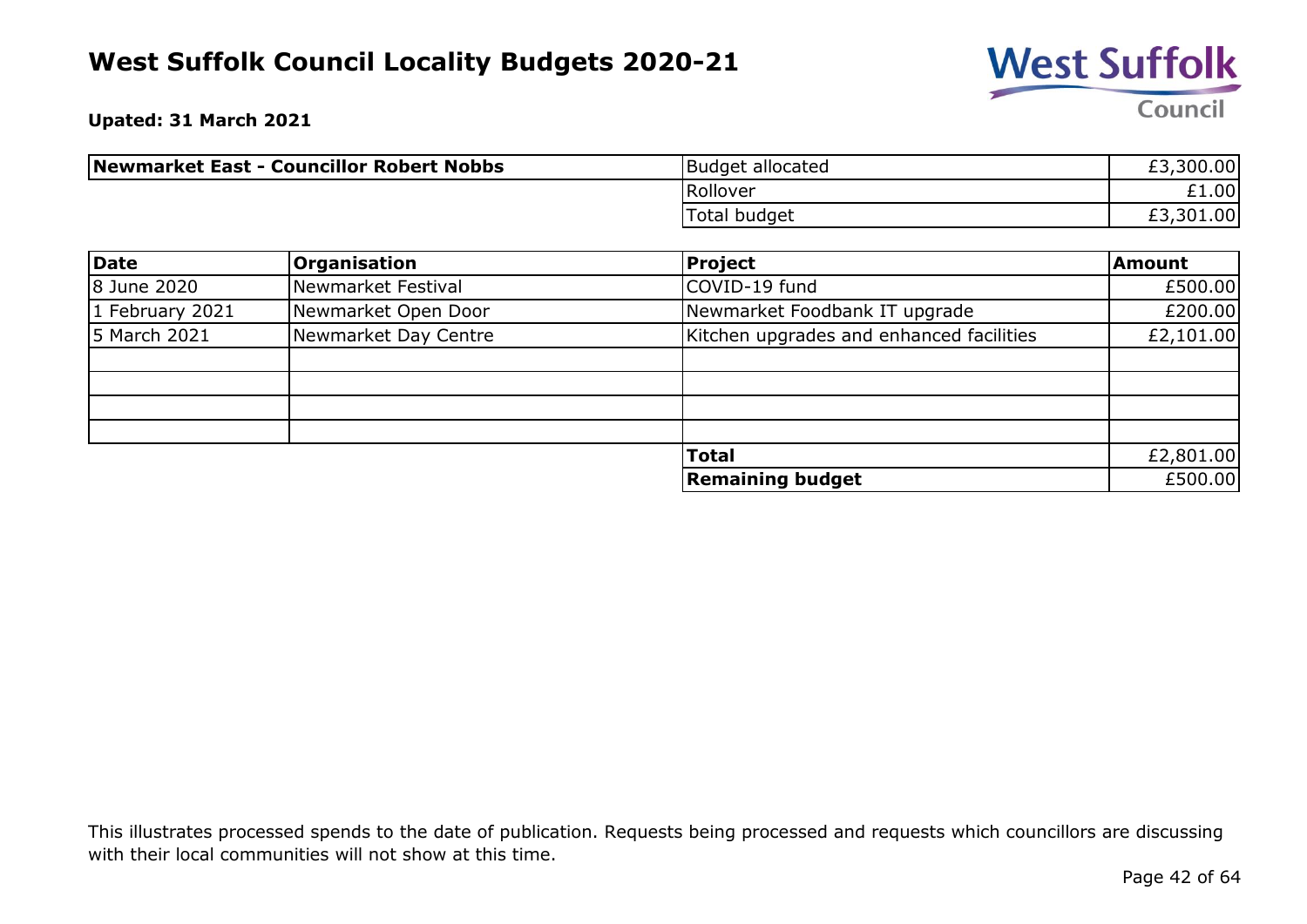

**Upated: 31 March 2021**

| Newmarket East - Councillor Robert Nobbs | Budget allocated | £3,300.00 |
|------------------------------------------|------------------|-----------|
|                                          | Rollover         | £1.00     |
|                                          | Total budget     | £3,301.00 |

| Date            | <b>Organisation</b>  | Project                                  | <b>Amount</b> |
|-----------------|----------------------|------------------------------------------|---------------|
| 8 June 2020     | Newmarket Festival   | COVID-19 fund                            | £500.00       |
| 1 February 2021 | Newmarket Open Door  | Newmarket Foodbank IT upgrade            | £200.00       |
| 5 March 2021    | Newmarket Day Centre | Kitchen upgrades and enhanced facilities | £2,101.00     |
|                 |                      |                                          |               |
|                 |                      |                                          |               |
|                 |                      |                                          |               |
|                 |                      |                                          |               |
|                 |                      | <b>Total</b>                             | £2,801.00     |
|                 |                      | <b>Remaining budget</b>                  | £500.00       |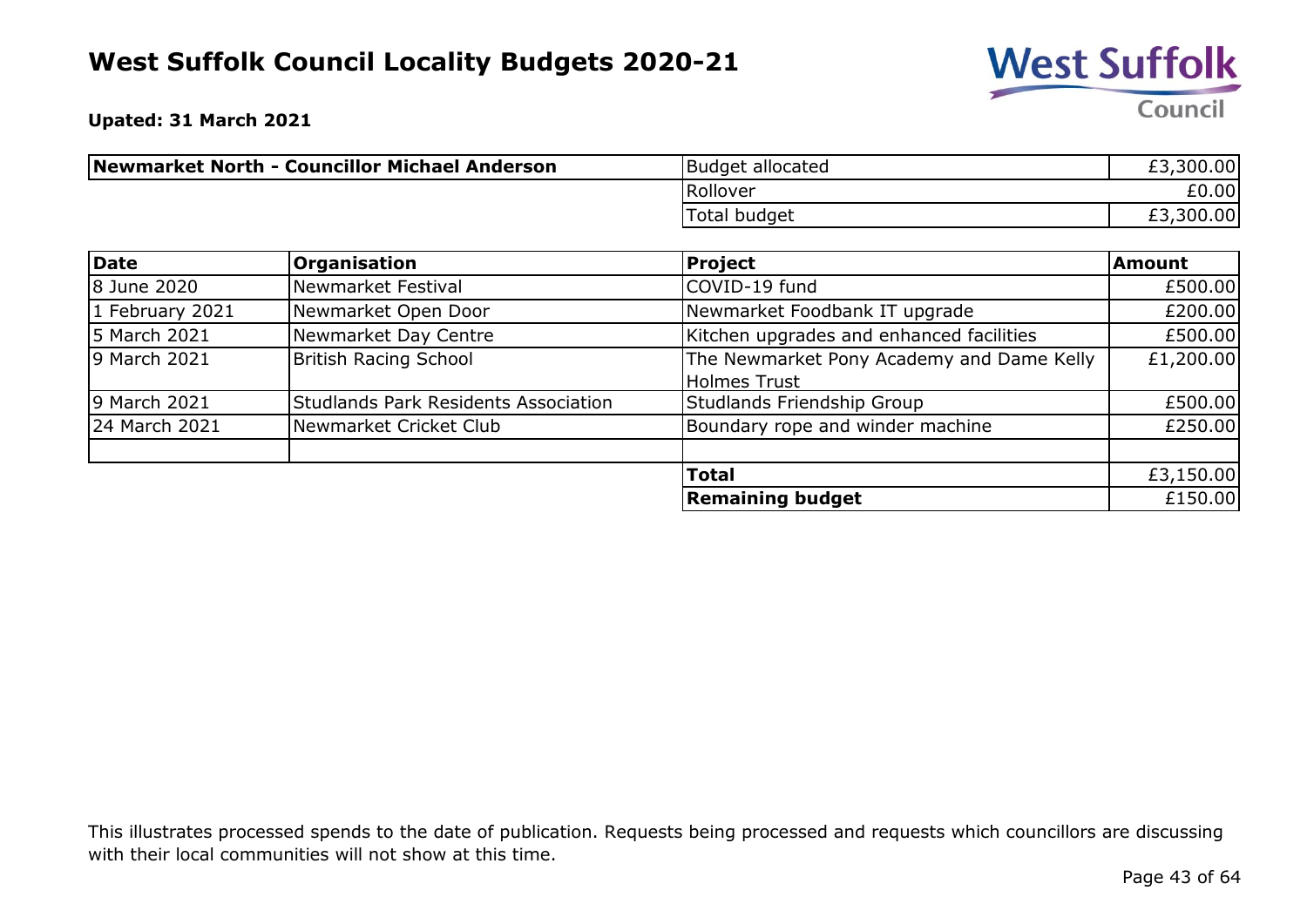

**Upated: 31 March 2021**

| Newmarket North - Councillor Michael Anderson | Budget allocated | £3,300.00 |
|-----------------------------------------------|------------------|-----------|
|                                               | Rollover         | £0.00     |
|                                               | Total budget     | £3,300.00 |

| Date            | <b>Organisation</b>                         | <b>Project</b>                                                   | <b>Amount</b> |
|-----------------|---------------------------------------------|------------------------------------------------------------------|---------------|
| 8 June 2020     | Newmarket Festival                          | COVID-19 fund                                                    | £500.00       |
| 1 February 2021 | Newmarket Open Door                         | Newmarket Foodbank IT upgrade                                    | £200.00       |
| 5 March 2021    | Newmarket Day Centre                        | Kitchen upgrades and enhanced facilities                         | £500.00       |
| 9 March 2021    | British Racing School                       | The Newmarket Pony Academy and Dame Kelly<br><b>Holmes Trust</b> | £1,200.00     |
| 9 March 2021    | <b>Studlands Park Residents Association</b> | Studlands Friendship Group                                       | £500.00       |
| 24 March 2021   | Newmarket Cricket Club                      | Boundary rope and winder machine                                 | £250.00       |
|                 |                                             | <b>Total</b>                                                     | £3,150.00     |
|                 |                                             | <b>Remaining budget</b>                                          | £150.00       |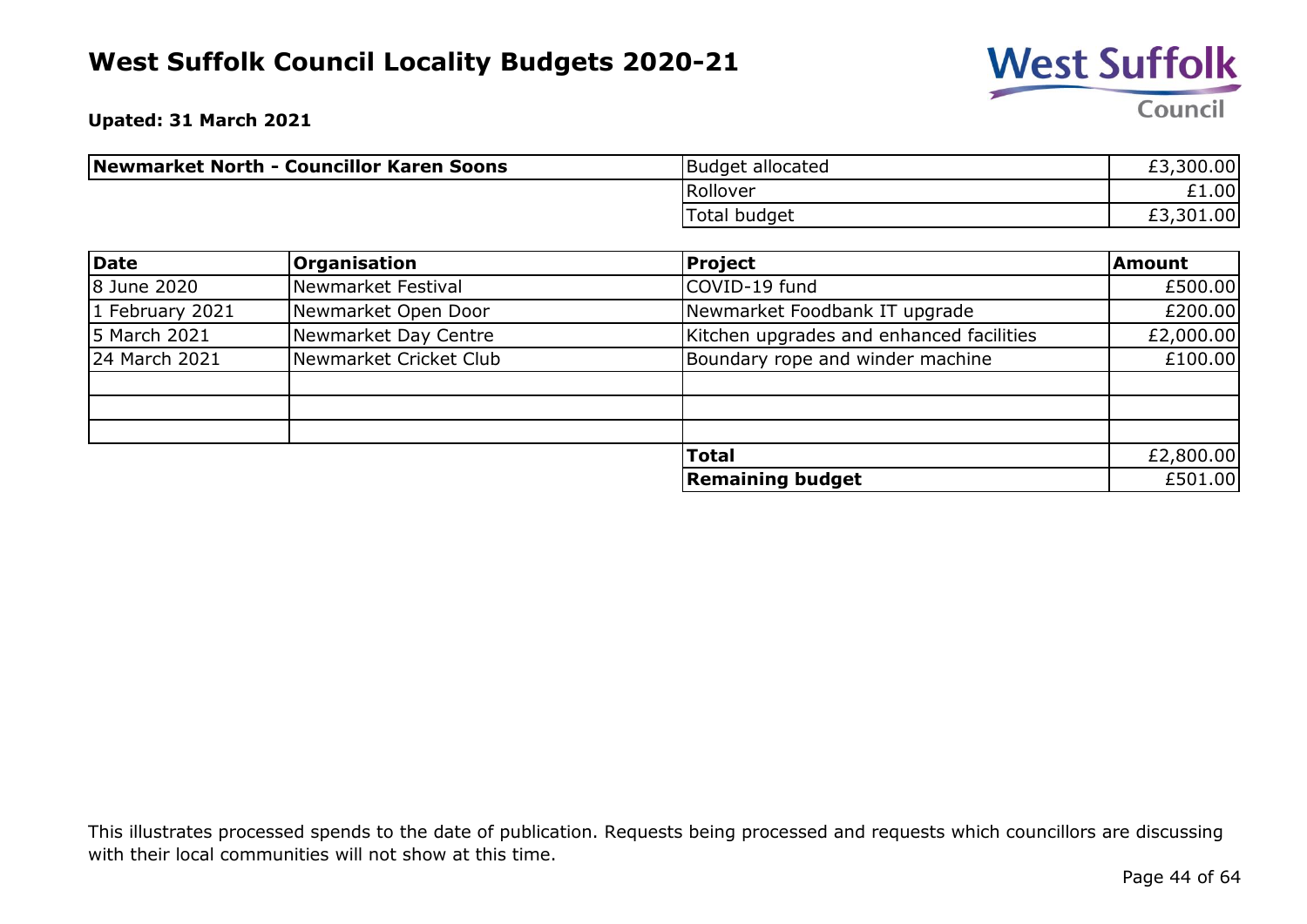

**Upated: 31 March 2021**

| Newmarket North - Councillor Karen Soons | Budget allocated | £3,300.00 |
|------------------------------------------|------------------|-----------|
|                                          | Rollover         | £1.00     |
|                                          | Total budget     | £3,301.00 |

| Date              | <b>Organisation</b>    | Project                                  | <b>Amount</b> |
|-------------------|------------------------|------------------------------------------|---------------|
| 8 June 2020       | Newmarket Festival     | COVID-19 fund                            | £500.00       |
| $1$ February 2021 | Newmarket Open Door    | Newmarket Foodbank IT upgrade            | £200.00       |
| 5 March 2021      | Newmarket Day Centre   | Kitchen upgrades and enhanced facilities | £2,000.00     |
| 24 March 2021     | Newmarket Cricket Club | Boundary rope and winder machine         | £100.00       |
|                   |                        |                                          |               |
|                   |                        |                                          |               |
|                   |                        |                                          |               |
|                   |                        | <b>Total</b>                             | £2,800.00     |
|                   |                        | <b>Remaining budget</b>                  | £501.00       |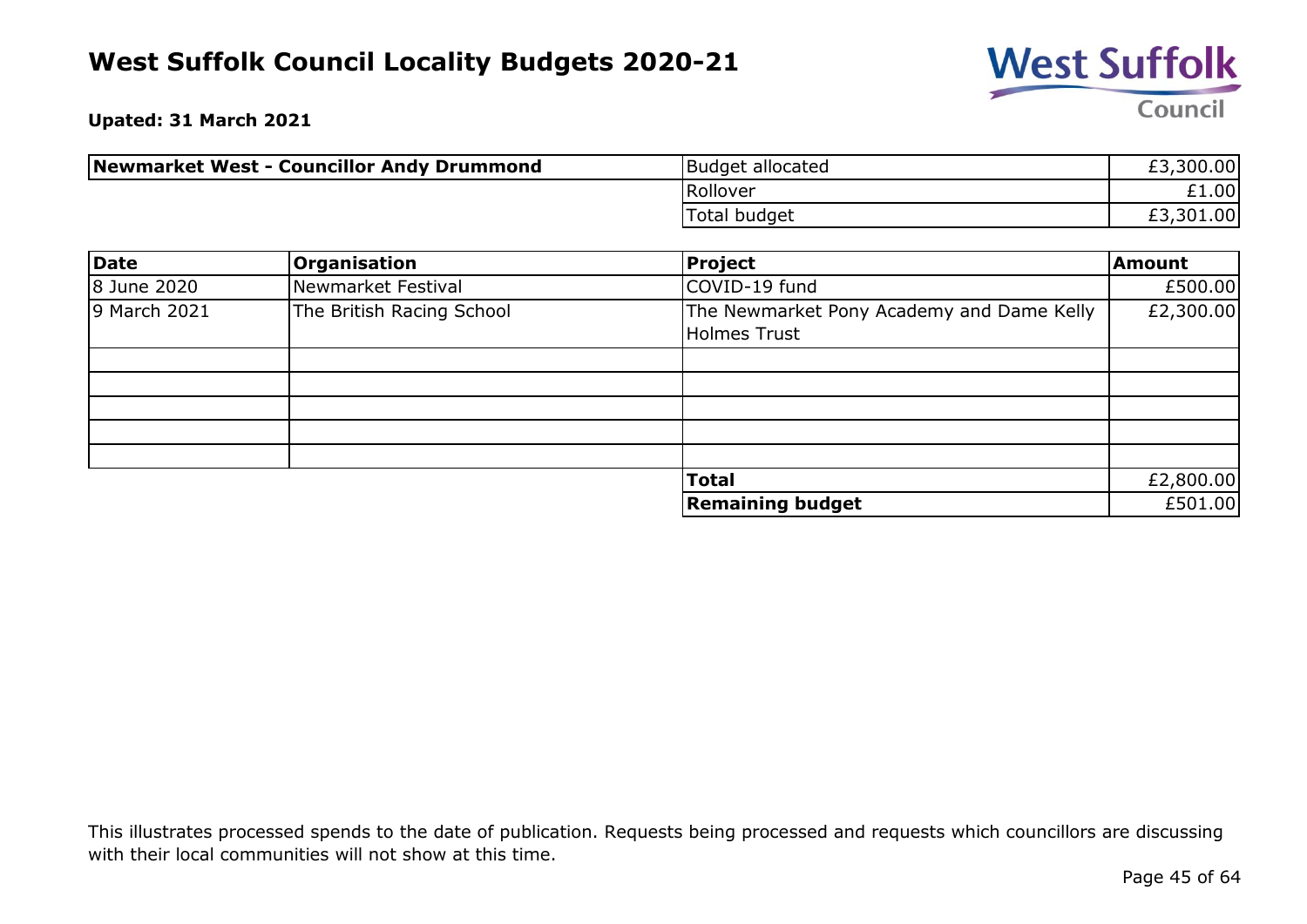

**Upated: 31 March 2021**

| Newmarket West - Councillor Andy Drummond | Budget allocated | £3,300.00 |
|-------------------------------------------|------------------|-----------|
|                                           | Rollover         | £1.00     |
|                                           | Total budget     | £3,301.00 |

| Date         | <b>Organisation</b>       | Project                                                          | Amount    |
|--------------|---------------------------|------------------------------------------------------------------|-----------|
| 8 June 2020  | Newmarket Festival        | COVID-19 fund                                                    | £500.00   |
| 9 March 2021 | The British Racing School | The Newmarket Pony Academy and Dame Kelly<br><b>Holmes Trust</b> | £2,300.00 |
|              |                           |                                                                  |           |
|              |                           |                                                                  |           |
|              |                           |                                                                  |           |
|              |                           |                                                                  |           |
|              |                           |                                                                  |           |
|              |                           | <b>Total</b>                                                     | £2,800.00 |
|              |                           | <b>Remaining budget</b>                                          | £501.00   |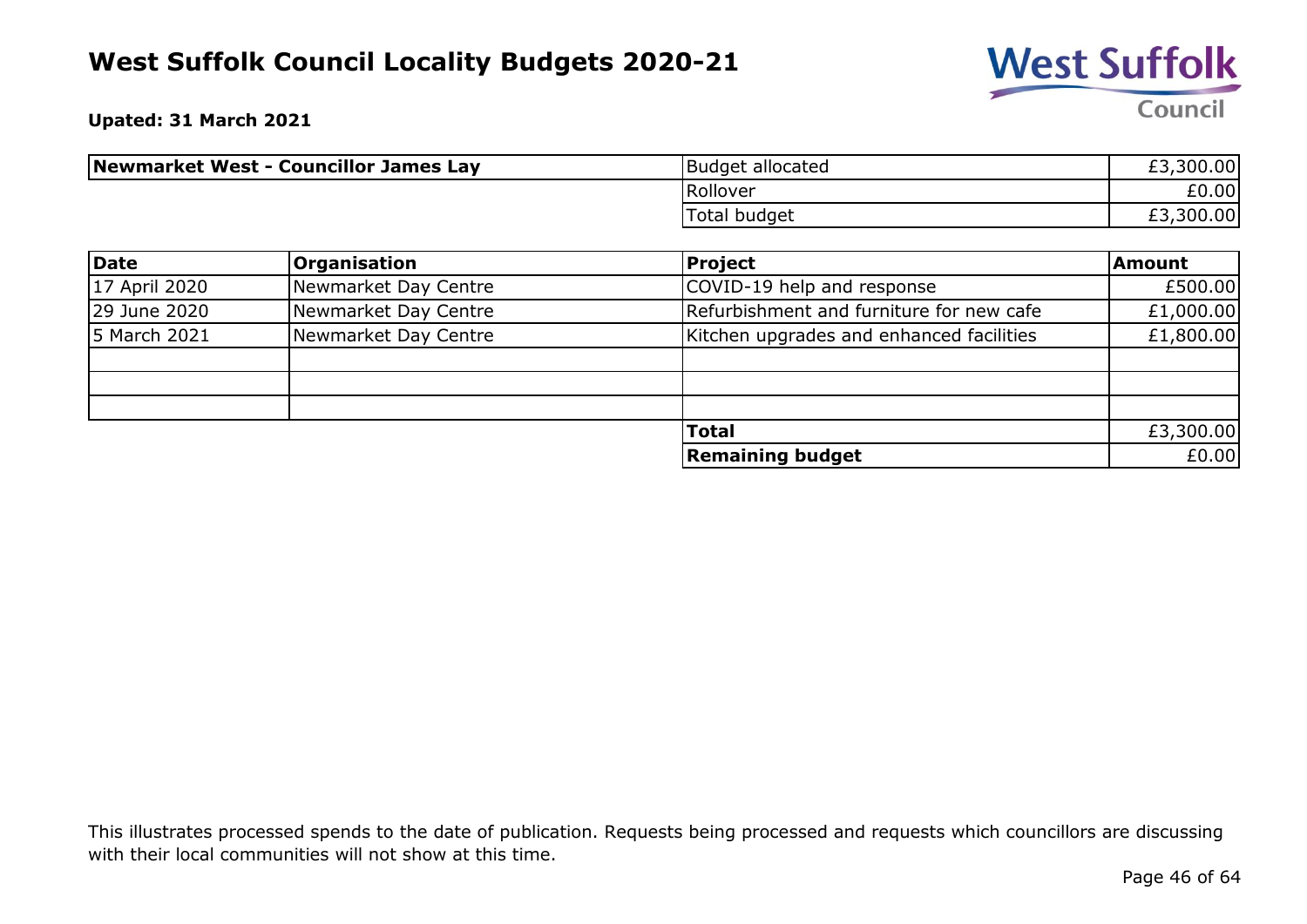

**Upated: 31 March 2021**

| Newmarket West - Councillor James Lay | Budget allocated | £3,300.00 |
|---------------------------------------|------------------|-----------|
|                                       | Rollover         | £0.00     |
|                                       | Total budget     | £3,300.00 |

| Date          | <b>Organisation</b>  | <b>Project</b>                           | Amount    |
|---------------|----------------------|------------------------------------------|-----------|
| 17 April 2020 | Newmarket Day Centre | COVID-19 help and response               | £500.00   |
| 29 June 2020  | Newmarket Day Centre | Refurbishment and furniture for new cafe | £1,000.00 |
| 5 March 2021  | Newmarket Day Centre | Kitchen upgrades and enhanced facilities | £1,800.00 |
|               |                      |                                          |           |
|               |                      |                                          |           |
|               |                      |                                          |           |
|               |                      | <b>Total</b>                             | £3,300.00 |
|               |                      | <b>Remaining budget</b>                  | £0.00     |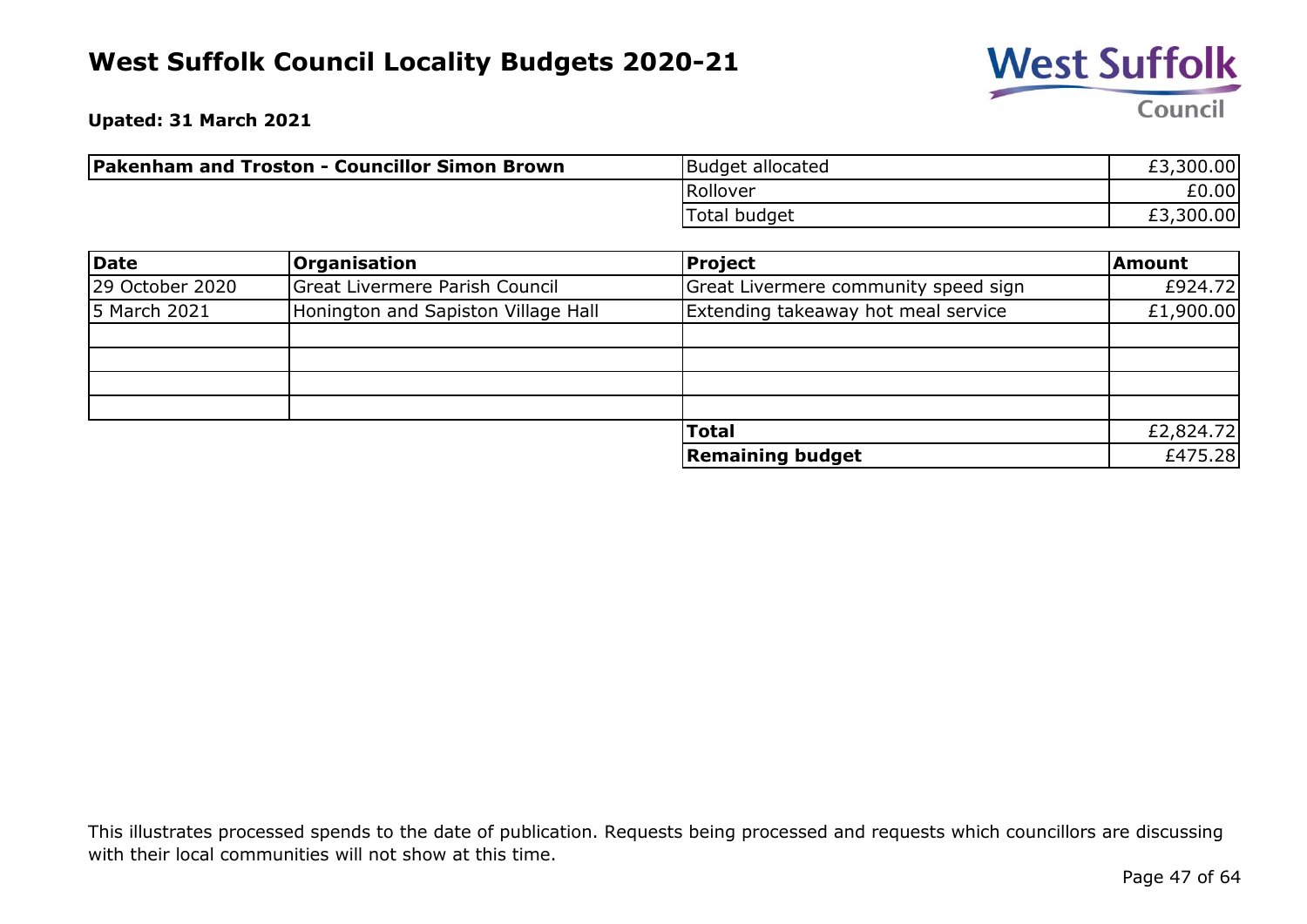

**Upated: 31 March 2021**

| <b>Pakenham and Troston - Councillor Simon Brown</b> | Budget allocated | £3,300.00 |
|------------------------------------------------------|------------------|-----------|
|                                                      | Rollover         | £0.00     |
|                                                      | Total budget     | £3,300.00 |

| Date            | <b>Organisation</b>                 | <b>Project</b>                       | <b>Amount</b> |
|-----------------|-------------------------------------|--------------------------------------|---------------|
| 29 October 2020 | Great Livermere Parish Council      | Great Livermere community speed sign | £924.72       |
| 5 March 2021    | Honington and Sapiston Village Hall | Extending takeaway hot meal service  | £1,900.00     |
|                 |                                     |                                      |               |
|                 |                                     |                                      |               |
|                 |                                     |                                      |               |
|                 |                                     |                                      |               |
|                 |                                     | <b>Total</b>                         | £2,824.72     |
|                 |                                     | <b>Remaining budget</b>              | £475.28       |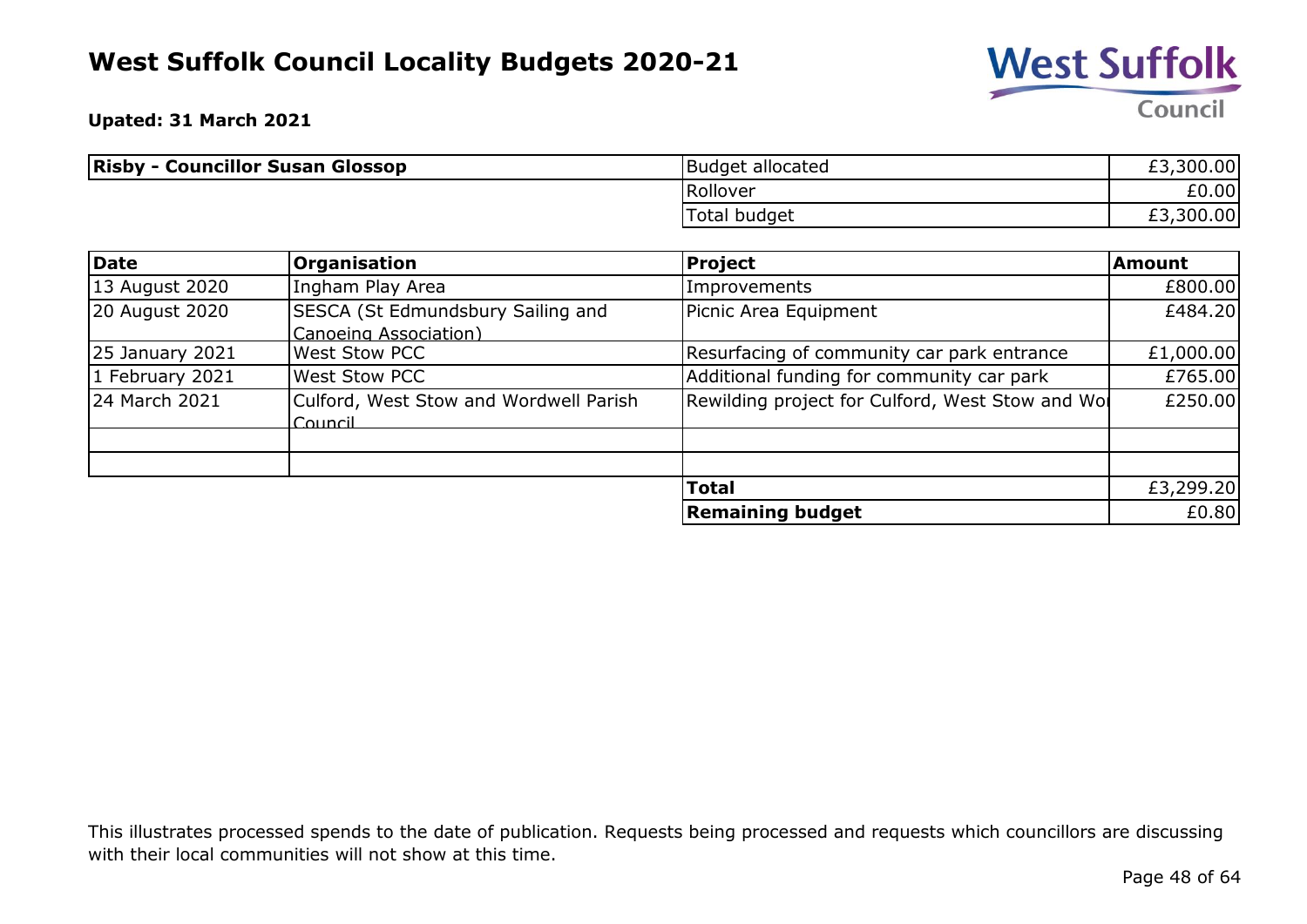

**Upated: 31 March 2021**

| <b>Risby - Councillor Susan Glossop</b> | Budget allocated    | £3,300.00 |
|-----------------------------------------|---------------------|-----------|
|                                         | Rollover            | £0.00     |
|                                         | <b>Total budget</b> | £3,300.00 |

| <b>Date</b>            | <b>Organisation</b>                                        | <b>Project</b>                                   | <b>Amount</b> |
|------------------------|------------------------------------------------------------|--------------------------------------------------|---------------|
| 13 August 2020         | Ingham Play Area                                           | Improvements                                     | £800.00       |
| 20 August 2020         | SESCA (St Edmundsbury Sailing and<br>Canoeing Association) | Picnic Area Equipment                            | £484.20       |
| <b>25 January 2021</b> | <b>West Stow PCC</b>                                       | Resurfacing of community car park entrance       | £1,000.00     |
| 1 February 2021        | <b>West Stow PCC</b>                                       | Additional funding for community car park        | £765.00       |
| 24 March 2021          | Culford, West Stow and Wordwell Parish<br>$C$ ouncil       | Rewilding project for Culford, West Stow and Wol | £250.00       |
|                        |                                                            |                                                  |               |
|                        |                                                            |                                                  |               |
|                        |                                                            | <b>Total</b>                                     | £3,299.20     |
|                        |                                                            | <b>Remaining budget</b>                          | £0.80         |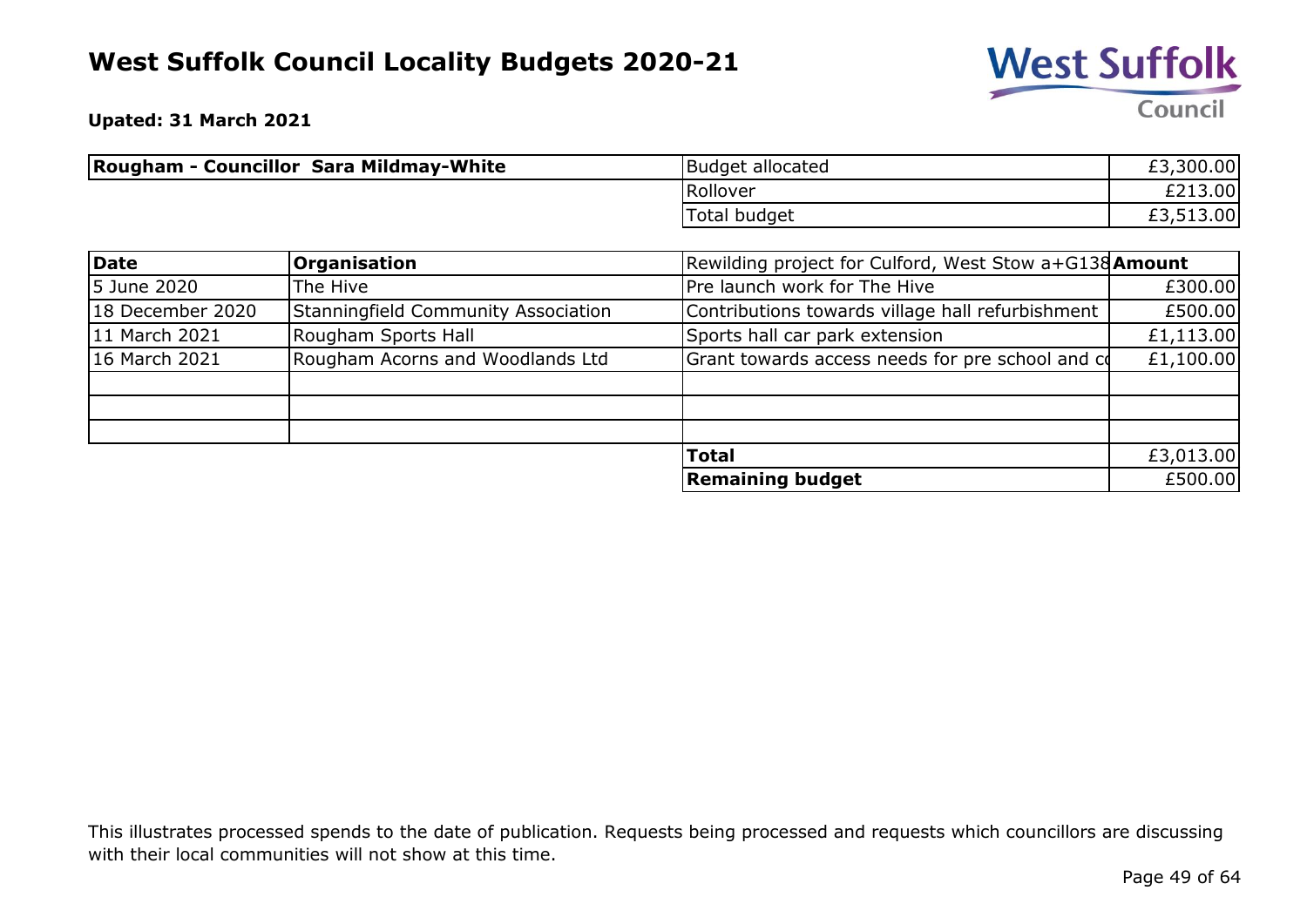

**Upated: 31 March 2021**

| <b>Rougham - Councillor Sara Mildmay-White</b> | Budget allocated | £3,300.00 |
|------------------------------------------------|------------------|-----------|
|                                                | Rollover         | £213.00   |
|                                                | Total budget     | £3,513.00 |

| Date             | <b>Organisation</b>                 | Rewilding project for Culford, West Stow a+G138 <b>Amount</b> |           |
|------------------|-------------------------------------|---------------------------------------------------------------|-----------|
| 5 June 2020      | The Hive                            | Pre launch work for The Hive                                  | £300.00   |
| 18 December 2020 | Stanningfield Community Association | Contributions towards village hall refurbishment              | £500.00   |
| 11 March 2021    | Rougham Sports Hall                 | Sports hall car park extension                                | £1,113.00 |
| 16 March 2021    | Rougham Acorns and Woodlands Ltd    | Grant towards access needs for pre school and co              | £1,100.00 |
|                  |                                     |                                                               |           |
|                  |                                     |                                                               |           |
|                  |                                     |                                                               |           |
|                  |                                     | <b>Total</b>                                                  | £3,013.00 |
|                  |                                     | <b>Remaining budget</b>                                       | £500.00   |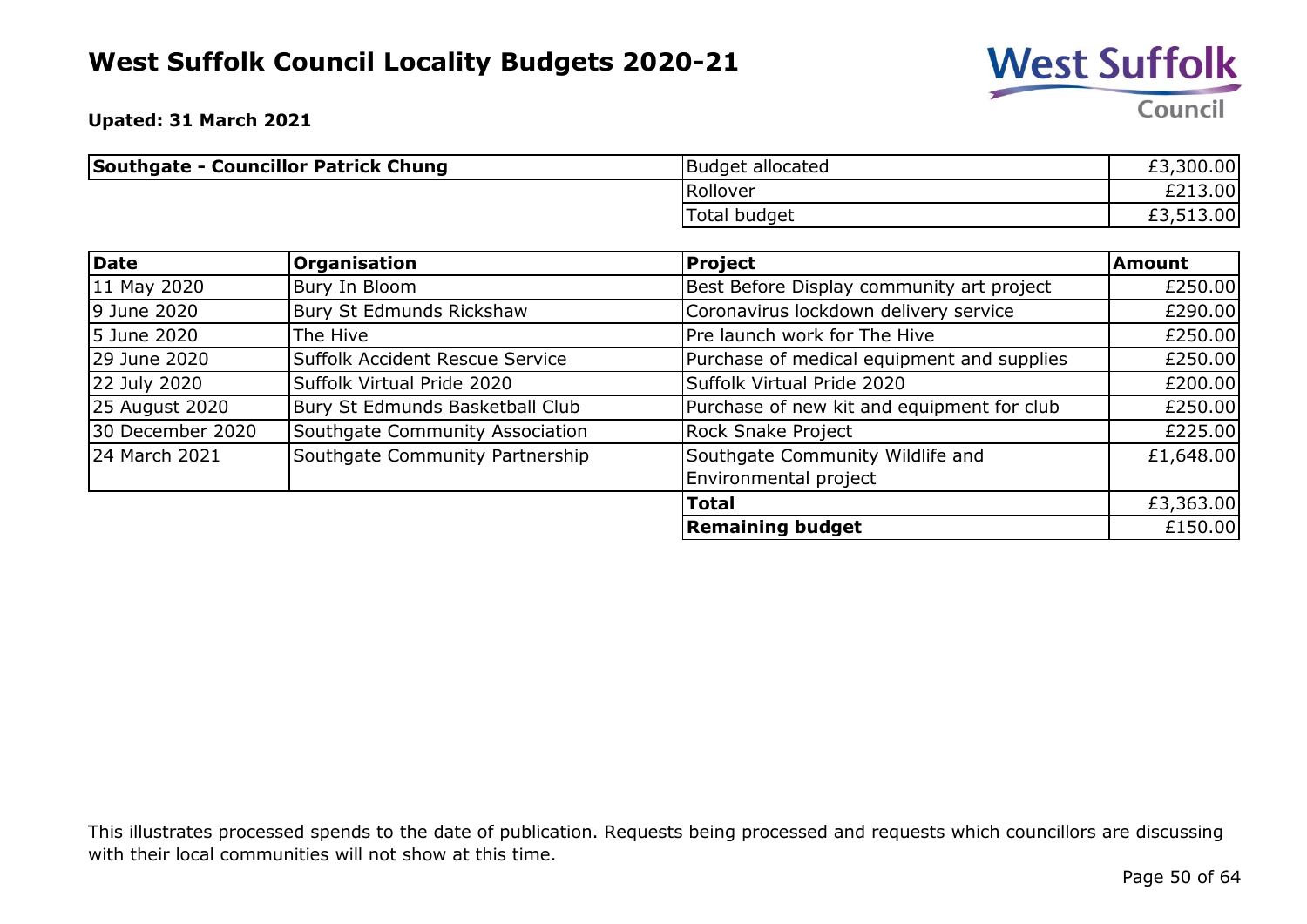

**Upated: 31 March 2021**

| Southgate - Councillor Patrick Chung | Budget allocated    | £3,300.00 |
|--------------------------------------|---------------------|-----------|
|                                      | Rollover            | £213.00   |
|                                      | <b>Total budget</b> | £3,513.00 |

| Date             | Organisation                    | <b>Project</b>                             | Amount    |
|------------------|---------------------------------|--------------------------------------------|-----------|
| 11 May 2020      | Bury In Bloom                   | Best Before Display community art project  | £250.00   |
| 9 June 2020      | Bury St Edmunds Rickshaw        | Coronavirus lockdown delivery service      | £290.00   |
| 5 June 2020      | The Hive                        | Pre launch work for The Hive               | £250.00   |
| 29 June 2020     | Suffolk Accident Rescue Service | Purchase of medical equipment and supplies | £250.00   |
| 22 July 2020     | Suffolk Virtual Pride 2020      | Suffolk Virtual Pride 2020                 | £200.00   |
| 25 August 2020   | Bury St Edmunds Basketball Club | Purchase of new kit and equipment for club | £250.00   |
| 30 December 2020 | Southgate Community Association | Rock Snake Project                         | £225.00   |
| 24 March 2021    | Southgate Community Partnership | Southgate Community Wildlife and           | £1,648.00 |
|                  |                                 | Environmental project                      |           |
|                  |                                 | <b>Total</b>                               | £3,363.00 |
|                  |                                 | <b>Remaining budget</b>                    | £150.00   |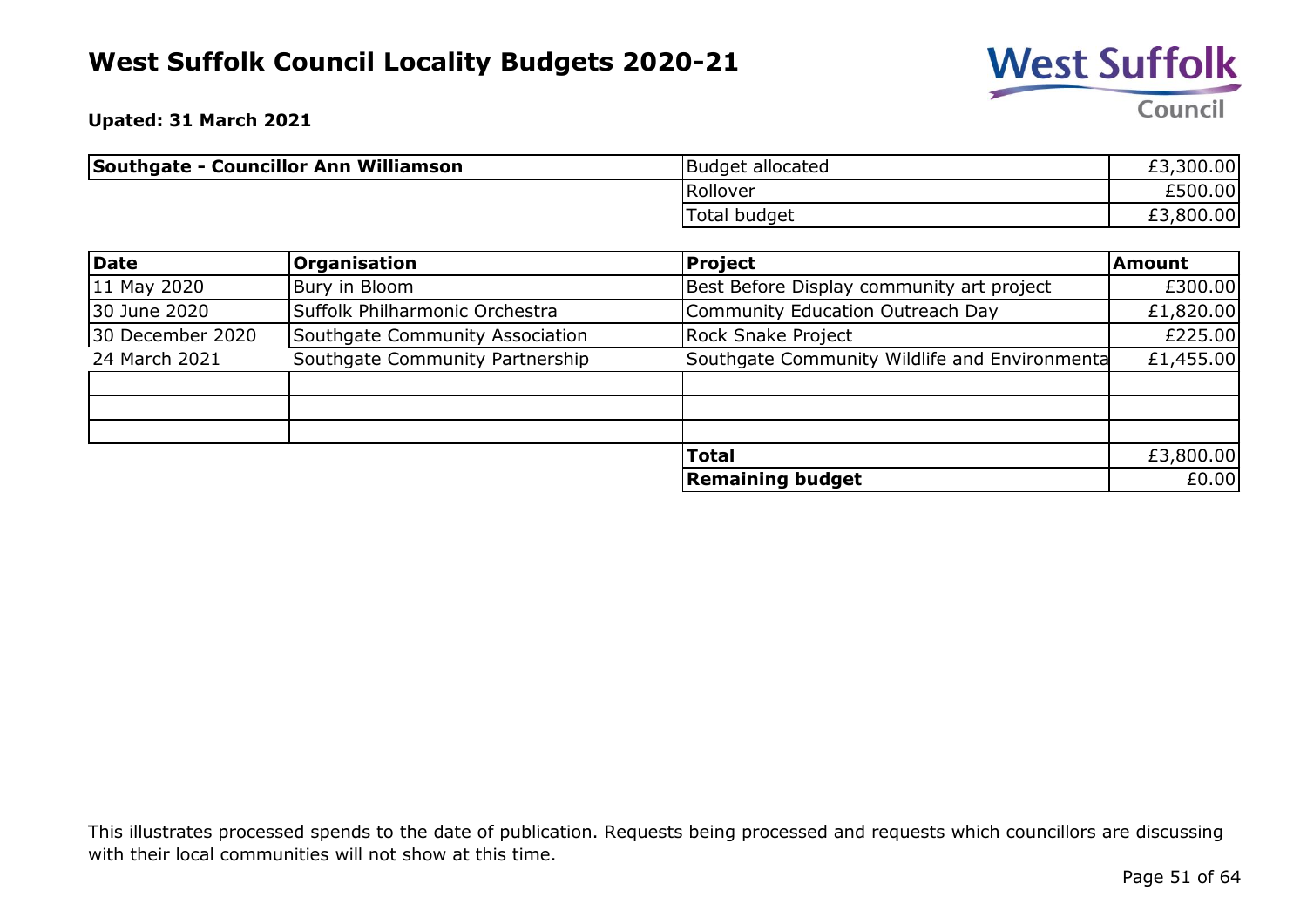

**Upated: 31 March 2021**

| <b>Southgate - Councillor Ann Williamson</b> | <b>Budget allocated</b> | £3,300.00 |
|----------------------------------------------|-------------------------|-----------|
|                                              | Rollover                | £500.00   |
|                                              | Total budget            | £3,800.00 |

| Date             | <b>Organisation</b>             | <b>Project</b>                                | <b>Amount</b> |
|------------------|---------------------------------|-----------------------------------------------|---------------|
| 11 May 2020      | Bury in Bloom                   | Best Before Display community art project     | £300.00       |
| 30 June 2020     | Suffolk Philharmonic Orchestra  | Community Education Outreach Day              | £1,820.00     |
| 30 December 2020 | Southgate Community Association | <b>Rock Snake Project</b>                     | £225.00       |
| 24 March 2021    | Southgate Community Partnership | Southgate Community Wildlife and Environmenta | £1,455.00     |
|                  |                                 |                                               |               |
|                  |                                 |                                               |               |
|                  |                                 |                                               |               |
|                  |                                 | <b>Total</b>                                  | £3,800.00     |
|                  |                                 | <b>Remaining budget</b>                       | £0.00         |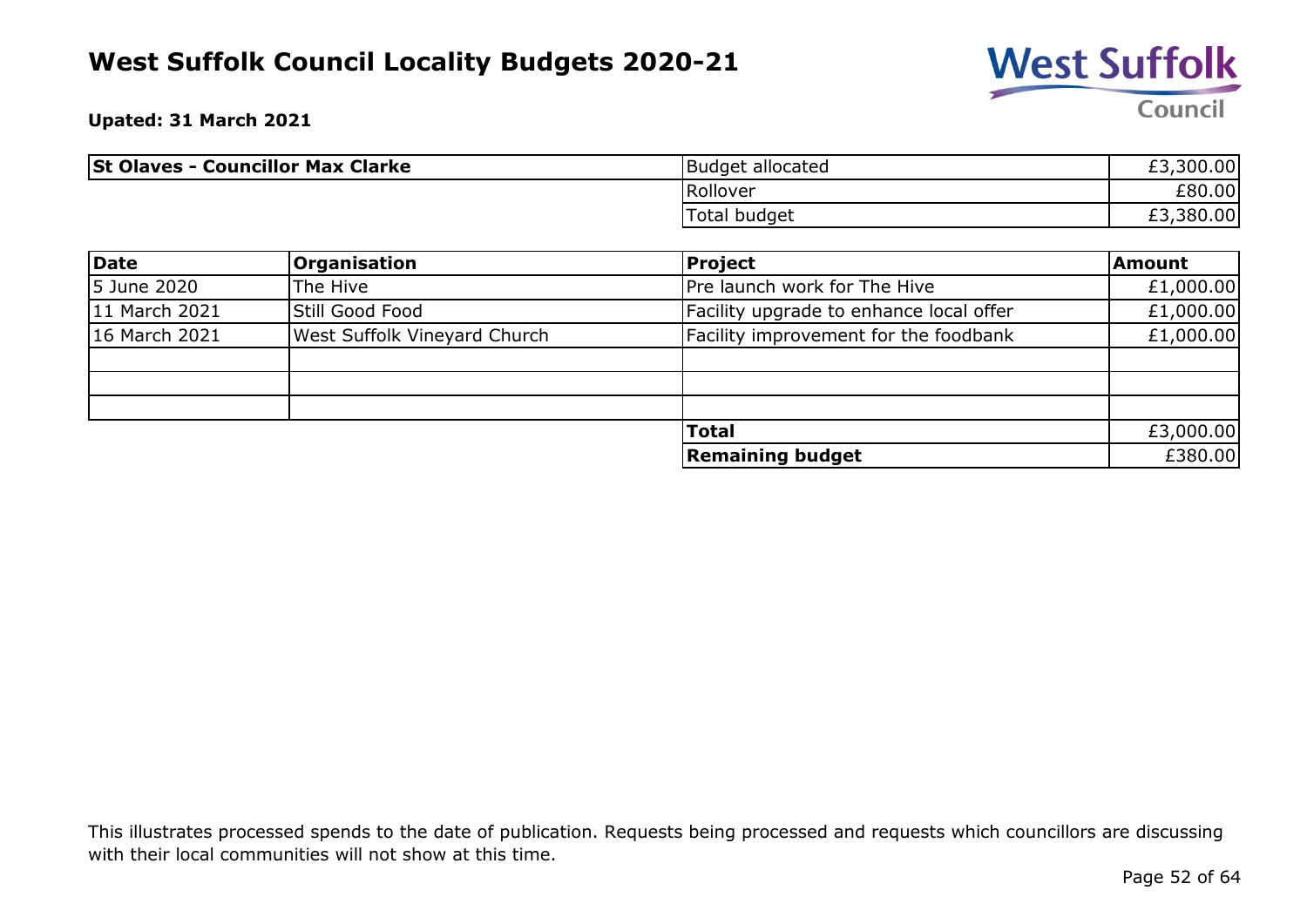

**Upated: 31 March 2021**

| <b>St Olaves - Councillor Max Clarke</b> | Budget allocated | ,300.00<br>rn<br>EJ. |
|------------------------------------------|------------------|----------------------|
|                                          | Rollover         | £80.00               |
|                                          | Total budget     | £3,380.00            |

| Date          | <b>Organisation</b>                 | <b>Project</b>                          | <b>Amount</b> |
|---------------|-------------------------------------|-----------------------------------------|---------------|
| 5 June 2020   | The Hive                            | Pre launch work for The Hive            | £1,000.00     |
| 11 March 2021 | Still Good Food                     | Facility upgrade to enhance local offer | £1,000.00     |
| 16 March 2021 | <b>West Suffolk Vineyard Church</b> | Facility improvement for the foodbank   | £1,000.00     |
|               |                                     |                                         |               |
|               |                                     |                                         |               |
|               |                                     |                                         |               |
|               |                                     | <b>Total</b>                            | £3,000.00     |
|               |                                     | <b>Remaining budget</b>                 | £380.00       |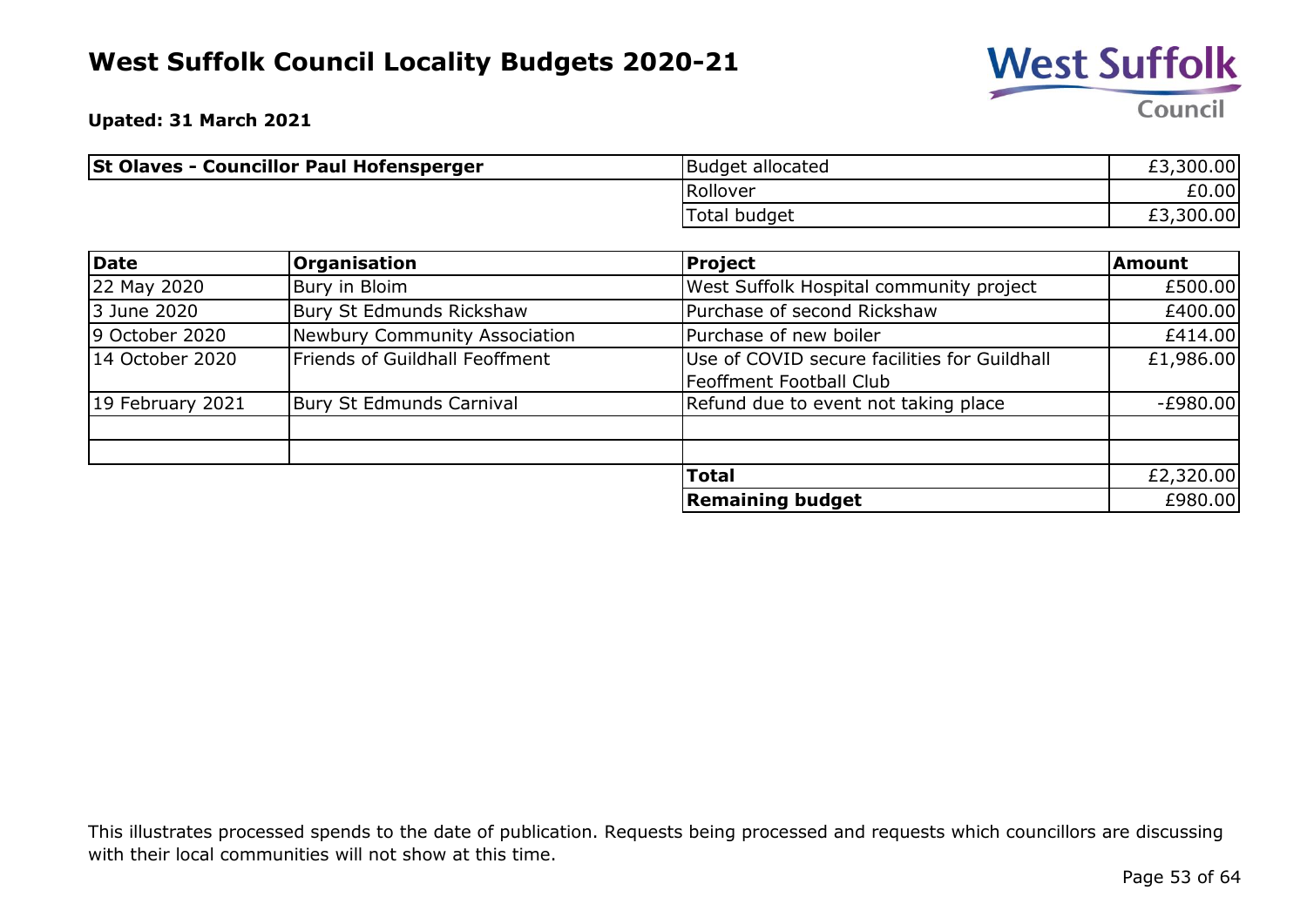

**Upated: 31 March 2021**

| <b>St Olaves - Councillor Paul Hofensperger</b> | Budget allocated | £3,300.00 |
|-------------------------------------------------|------------------|-----------|
|                                                 | Rollover         | £0.00     |
|                                                 | Total budget     | £3,300.00 |

| Date             | <b>Organisation</b>             | <b>Project</b>                                                                 | Amount     |
|------------------|---------------------------------|--------------------------------------------------------------------------------|------------|
| 22 May 2020      | Bury in Bloim                   | West Suffolk Hospital community project                                        | £500.00    |
| 3 June 2020      | Bury St Edmunds Rickshaw        | Purchase of second Rickshaw                                                    | £400.00    |
| 9 October 2020   | Newbury Community Association   | Purchase of new boiler                                                         | £414.00    |
| 14 October 2020  | Friends of Guildhall Feoffment  | Use of COVID secure facilities for Guildhall<br><b>Feoffment Football Club</b> | £1,986.00  |
| 19 February 2021 | <b>Bury St Edmunds Carnival</b> | Refund due to event not taking place                                           | $-E980.00$ |
|                  |                                 |                                                                                |            |
|                  |                                 | <b>Total</b>                                                                   | £2,320.00  |
|                  |                                 | <b>Remaining budget</b>                                                        | £980.00    |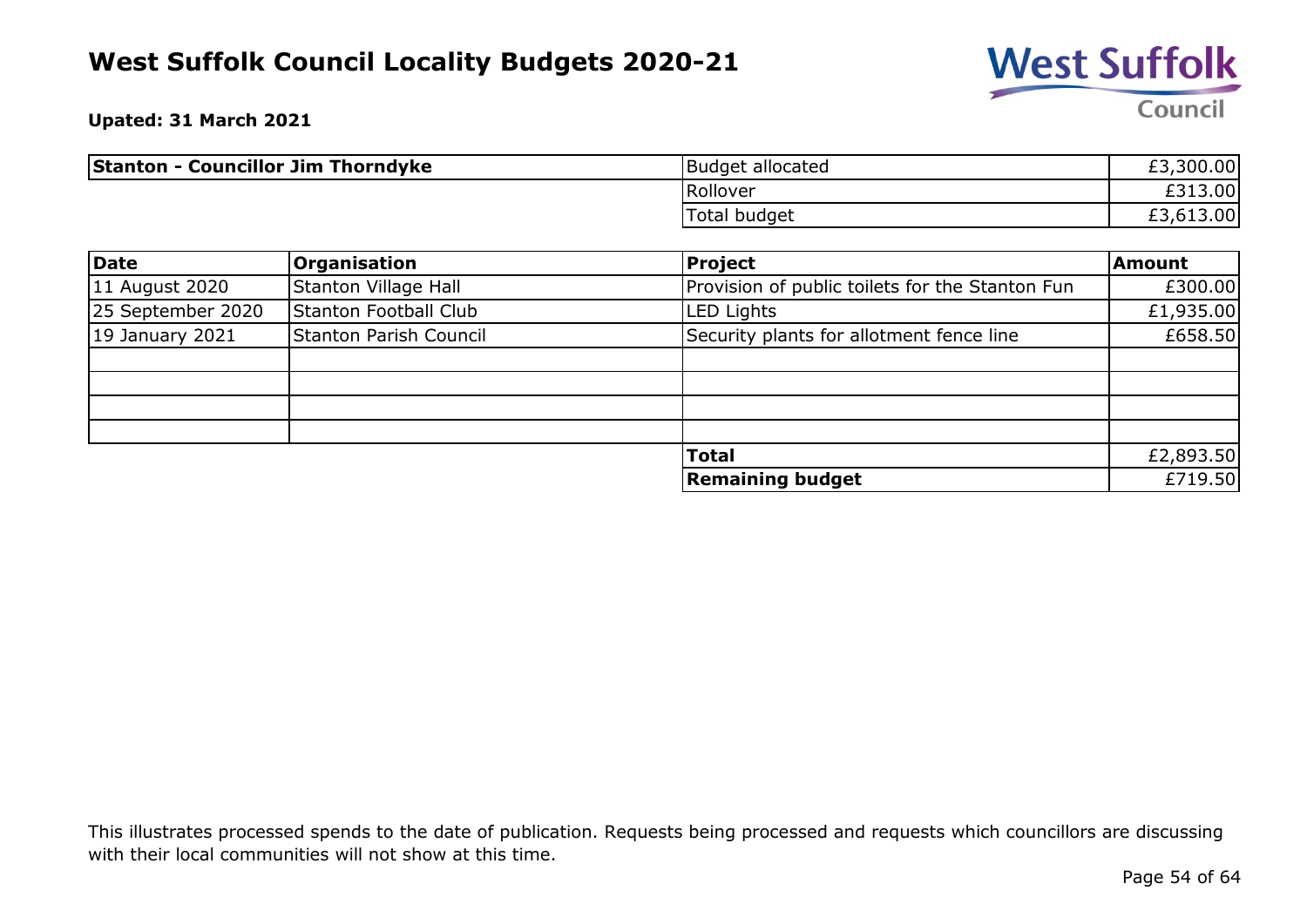

**Upated: 31 March 2021**

| <b>Stanton - Councillor Jim Thorndyke</b> | Budget allocated | £3,300.00 |
|-------------------------------------------|------------------|-----------|
|                                           | Rollover         | .3.00     |
|                                           | Total budget     | £3,613.00 |

| Date              | <b>Organisation</b>    | <b>Project</b>                                  | <b>Amount</b> |
|-------------------|------------------------|-------------------------------------------------|---------------|
| 11 August 2020    | Stanton Village Hall   | Provision of public toilets for the Stanton Fun | £300.00       |
| 25 September 2020 | Stanton Football Club  | <b>LED Lights</b>                               | £1,935.00     |
| $19$ January 2021 | Stanton Parish Council | Security plants for allotment fence line        | £658.50       |
|                   |                        |                                                 |               |
|                   |                        |                                                 |               |
|                   |                        |                                                 |               |
|                   |                        |                                                 |               |
|                   |                        | <b>Total</b>                                    | £2,893.50     |
|                   |                        | <b>Remaining budget</b>                         | £719.50       |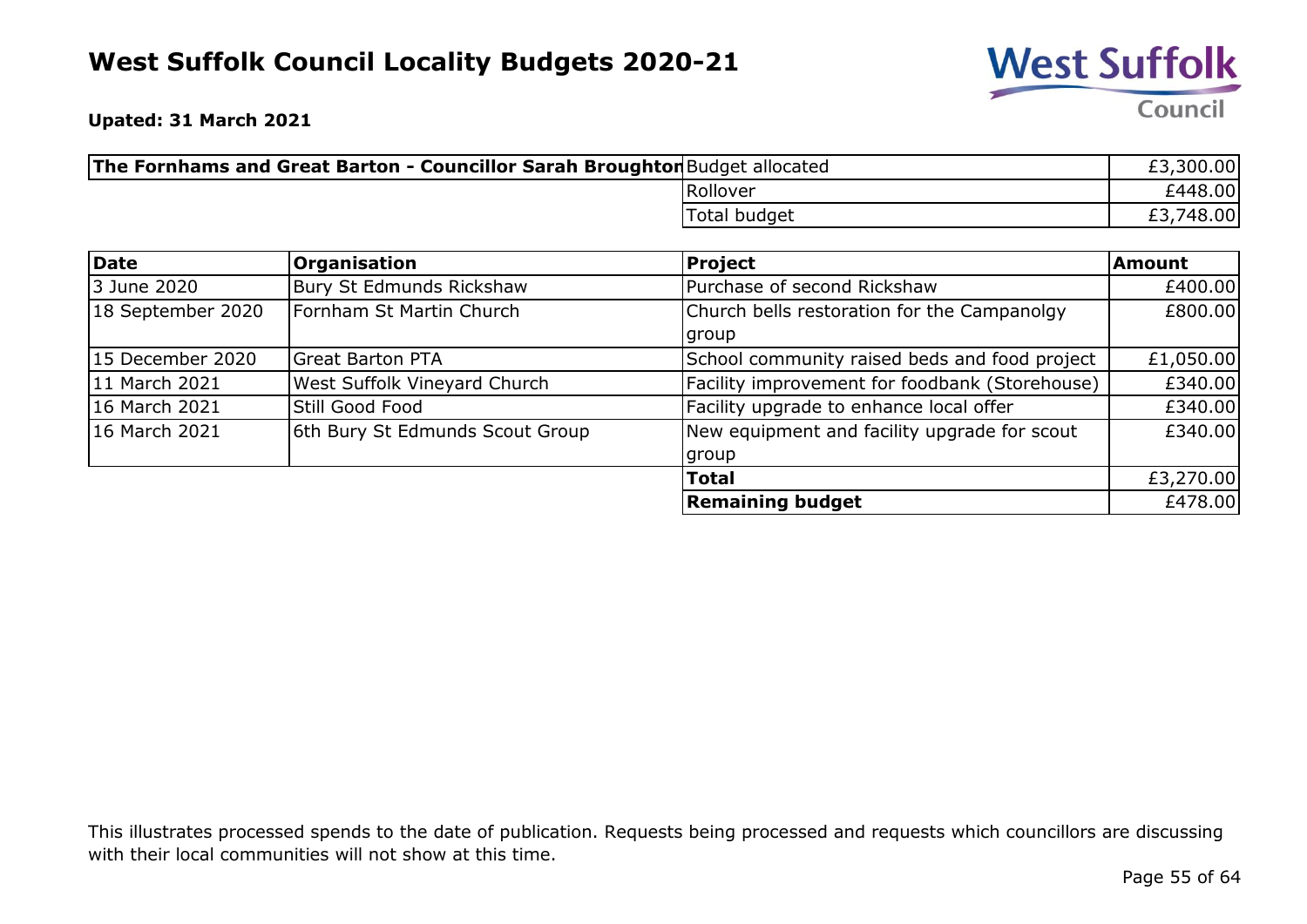

**Upated: 31 March 2021**

| The Fornhams and Great Barton - Councillor Sarah Broughton Budget allocated |                     | £3,300.00 |
|-----------------------------------------------------------------------------|---------------------|-----------|
| Rollover                                                                    |                     | £448.00   |
|                                                                             | <b>Total budget</b> | £3,748.00 |

| Date              | <b>Organisation</b>             | <b>Project</b>                                 | <b>Amount</b> |
|-------------------|---------------------------------|------------------------------------------------|---------------|
| 3 June 2020       | Bury St Edmunds Rickshaw        | Purchase of second Rickshaw                    | £400.00       |
| 18 September 2020 | Fornham St Martin Church        | Church bells restoration for the Campanolgy    | £800.00       |
|                   |                                 | group                                          |               |
| 15 December 2020  | <b>Great Barton PTA</b>         | School community raised beds and food project  | £1,050.00     |
| 11 March 2021     | West Suffolk Vineyard Church    | Facility improvement for foodbank (Storehouse) | £340.00       |
| 16 March 2021     | Still Good Food                 | Facility upgrade to enhance local offer        | £340.00       |
| 16 March 2021     | 6th Bury St Edmunds Scout Group | New equipment and facility upgrade for scout   | £340.00       |
|                   |                                 | group                                          |               |
|                   |                                 | <b>Total</b>                                   | £3,270.00     |
|                   |                                 | <b>Remaining budget</b>                        | £478.00       |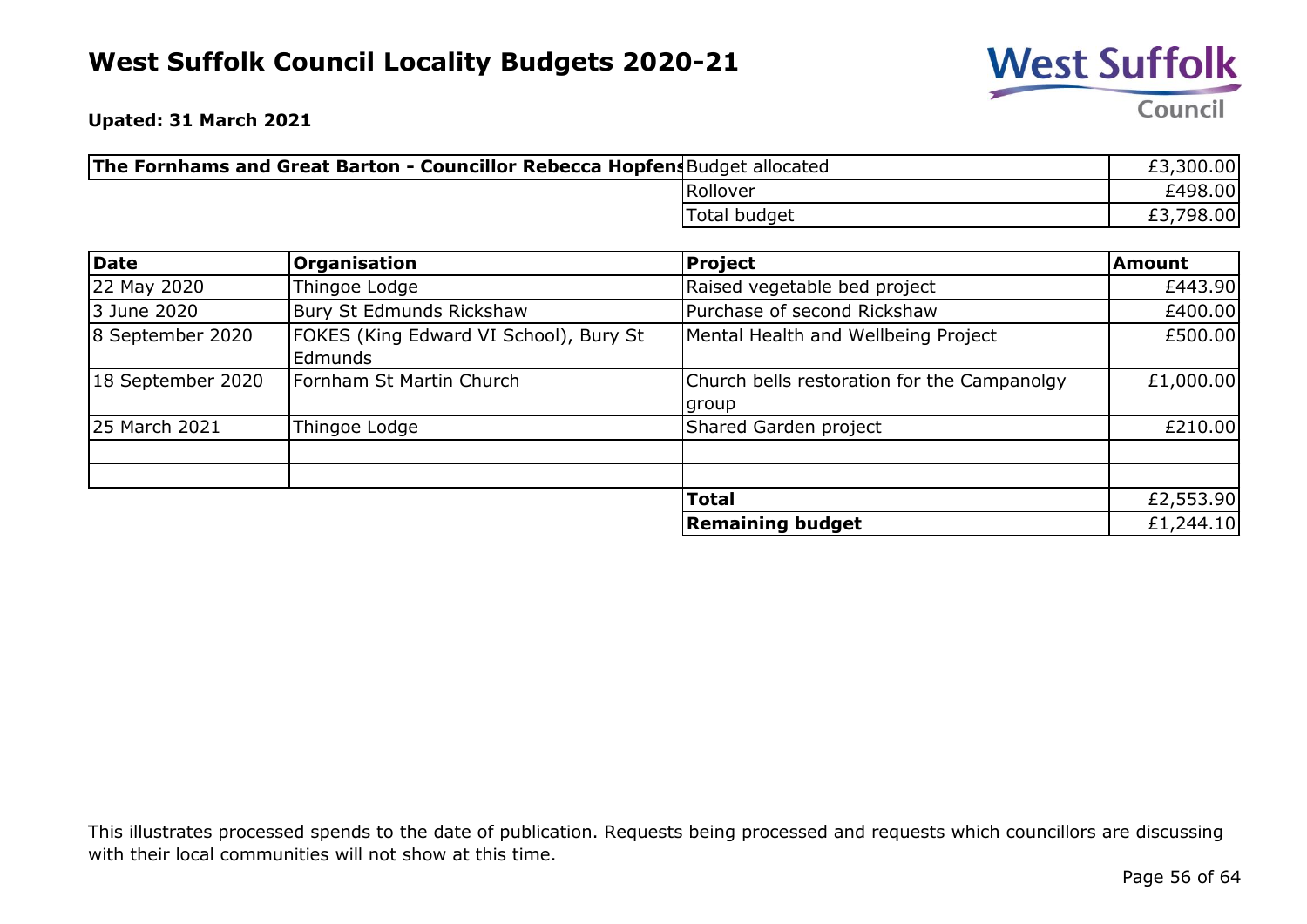

**Upated: 31 March 2021**

| The Fornhams and Great Barton - Councillor Rebecca Hopfens Budget allocated |              | £3,300.00 |
|-----------------------------------------------------------------------------|--------------|-----------|
|                                                                             | Rollover     | £498.00   |
|                                                                             | Total budget | £3,798.00 |

| Date              | <b>Organisation</b>                                      | Project                                              | <b>Amount</b> |
|-------------------|----------------------------------------------------------|------------------------------------------------------|---------------|
| 22 May 2020       | Thingoe Lodge                                            | Raised vegetable bed project                         | £443.90       |
| 3 June 2020       | Bury St Edmunds Rickshaw                                 | Purchase of second Rickshaw                          | £400.00       |
| 8 September 2020  | FOKES (King Edward VI School), Bury St<br><b>Edmunds</b> | Mental Health and Wellbeing Project                  | £500.00       |
| 18 September 2020 | Fornham St Martin Church                                 | Church bells restoration for the Campanolgy<br>group | £1,000.00     |
| 25 March 2021     | Thingoe Lodge                                            | Shared Garden project                                | £210.00       |
|                   |                                                          | <b>Total</b>                                         | £2,553.90     |
|                   |                                                          | <b>Remaining budget</b>                              | £1,244.10     |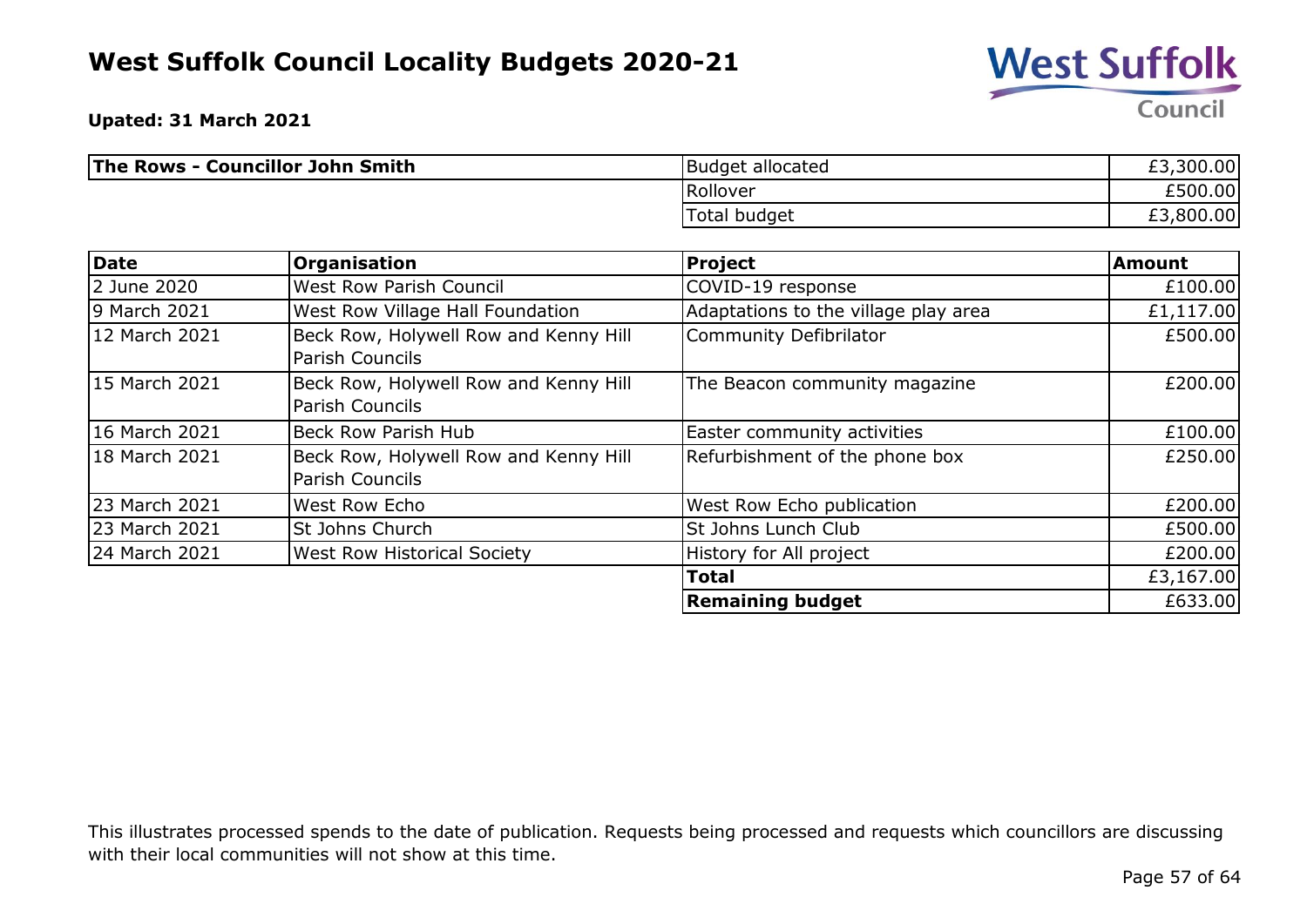

**Upated: 31 March 2021**

| The Rows - Councillor John Smith | Budget allocated | £3,300.00 |
|----------------------------------|------------------|-----------|
|                                  | Rollover         | £500.00   |
|                                  | 'Total budget    | £3,800.00 |

| <b>Date</b>   | <b>Organisation</b>                                             | <b>Project</b>                       | <b>Amount</b> |
|---------------|-----------------------------------------------------------------|--------------------------------------|---------------|
| 2 June 2020   | <b>West Row Parish Council</b>                                  | COVID-19 response                    | £100.00       |
| 9 March 2021  | West Row Village Hall Foundation                                | Adaptations to the village play area | £1,117.00     |
| 12 March 2021 | Beck Row, Holywell Row and Kenny Hill<br><b>Parish Councils</b> | <b>Community Defibrilator</b>        | £500.00       |
| 15 March 2021 | Beck Row, Holywell Row and Kenny Hill<br><b>Parish Councils</b> | The Beacon community magazine        | £200.00       |
| 16 March 2021 | Beck Row Parish Hub                                             | Easter community activities          | £100.00       |
| 18 March 2021 | Beck Row, Holywell Row and Kenny Hill<br><b>Parish Councils</b> | Refurbishment of the phone box       | £250.00       |
| 23 March 2021 | West Row Echo                                                   | West Row Echo publication            | £200.00       |
| 23 March 2021 | St Johns Church                                                 | St Johns Lunch Club                  | £500.00       |
| 24 March 2021 | <b>West Row Historical Society</b>                              | History for All project              | £200.00       |
|               |                                                                 | <b>Total</b>                         | £3,167.00     |
|               |                                                                 | <b>Remaining budget</b>              | £633.00       |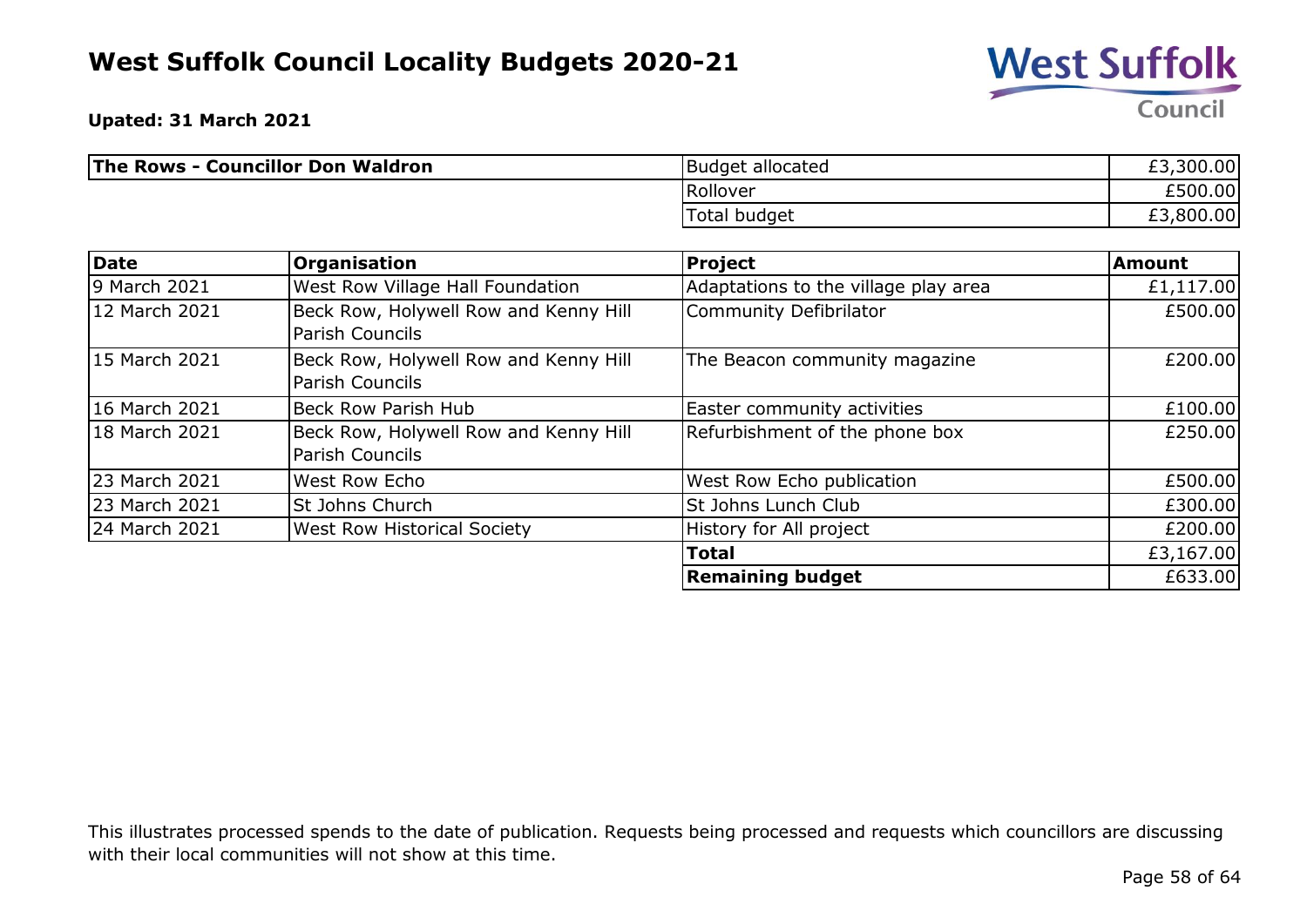

**Upated: 31 March 2021**

| <b>The Rows - Councillor Don Waldron</b> | <b>Budget allocated</b> | £3,300.00 |
|------------------------------------------|-------------------------|-----------|
|                                          | <b>Rollover</b>         | £500.00   |
|                                          | Total budget            | £3,800.00 |

| Date          | <b>Organisation</b>                                             | <b>Project</b>                       | <b>Amount</b> |
|---------------|-----------------------------------------------------------------|--------------------------------------|---------------|
| 9 March 2021  | West Row Village Hall Foundation                                | Adaptations to the village play area | £1,117.00     |
| 12 March 2021 | Beck Row, Holywell Row and Kenny Hill<br><b>Parish Councils</b> | Community Defibrilator               | £500.00       |
| 15 March 2021 | Beck Row, Holywell Row and Kenny Hill<br><b>Parish Councils</b> | The Beacon community magazine        | £200.00       |
| 16 March 2021 | <b>Beck Row Parish Hub</b>                                      | Easter community activities          | £100.00       |
| 18 March 2021 | Beck Row, Holywell Row and Kenny Hill<br>Parish Councils        | Refurbishment of the phone box       | £250.00       |
| 23 March 2021 | West Row Echo                                                   | West Row Echo publication            | £500.00       |
| 23 March 2021 | St Johns Church                                                 | St Johns Lunch Club                  | £300.00       |
| 24 March 2021 | <b>West Row Historical Society</b>                              | History for All project              | £200.00       |
|               |                                                                 | <b>Total</b>                         | £3,167.00     |
|               |                                                                 | <b>Remaining budget</b>              | £633.00       |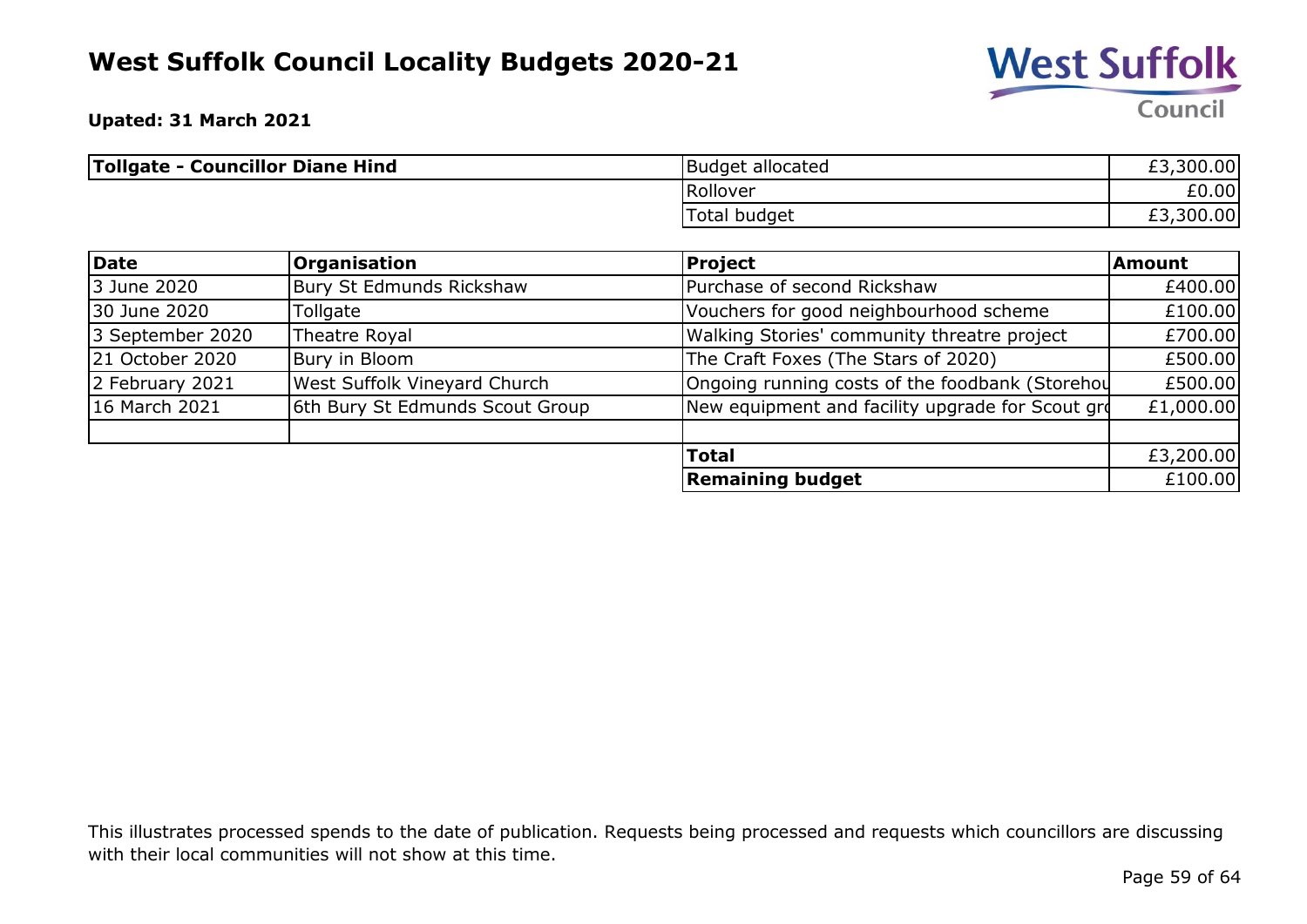

**Upated: 31 March 2021**

| Tollgate - Councillor Diane Hind | Budget allocated | ,300.00<br>ro<br>LJ. |
|----------------------------------|------------------|----------------------|
|                                  | Rollover         | £0.00                |
|                                  | Total budget     | £3,300.00            |

| Date             | <b>Organisation</b>                 | <b>Project</b>                                   | <b>Amount</b> |
|------------------|-------------------------------------|--------------------------------------------------|---------------|
| 3 June 2020      | Bury St Edmunds Rickshaw            | Purchase of second Rickshaw                      | £400.00       |
| 30 June 2020     | Tollgate                            | Vouchers for good neighbourhood scheme           | £100.00       |
| 3 September 2020 | Theatre Royal                       | Walking Stories' community threatre project      | £700.00       |
| 21 October 2020  | Bury in Bloom                       | The Craft Foxes (The Stars of 2020)              | £500.00       |
| 2 February 2021  | <b>West Suffolk Vineyard Church</b> | Ongoing running costs of the foodbank (Storehou  | £500.00       |
| 16 March 2021    | 6th Bury St Edmunds Scout Group     | New equipment and facility upgrade for Scout gro | £1,000.00     |
|                  |                                     |                                                  |               |
|                  |                                     | <b>Total</b>                                     | £3,200.00     |
|                  |                                     | <b>Remaining budget</b>                          | £100.00       |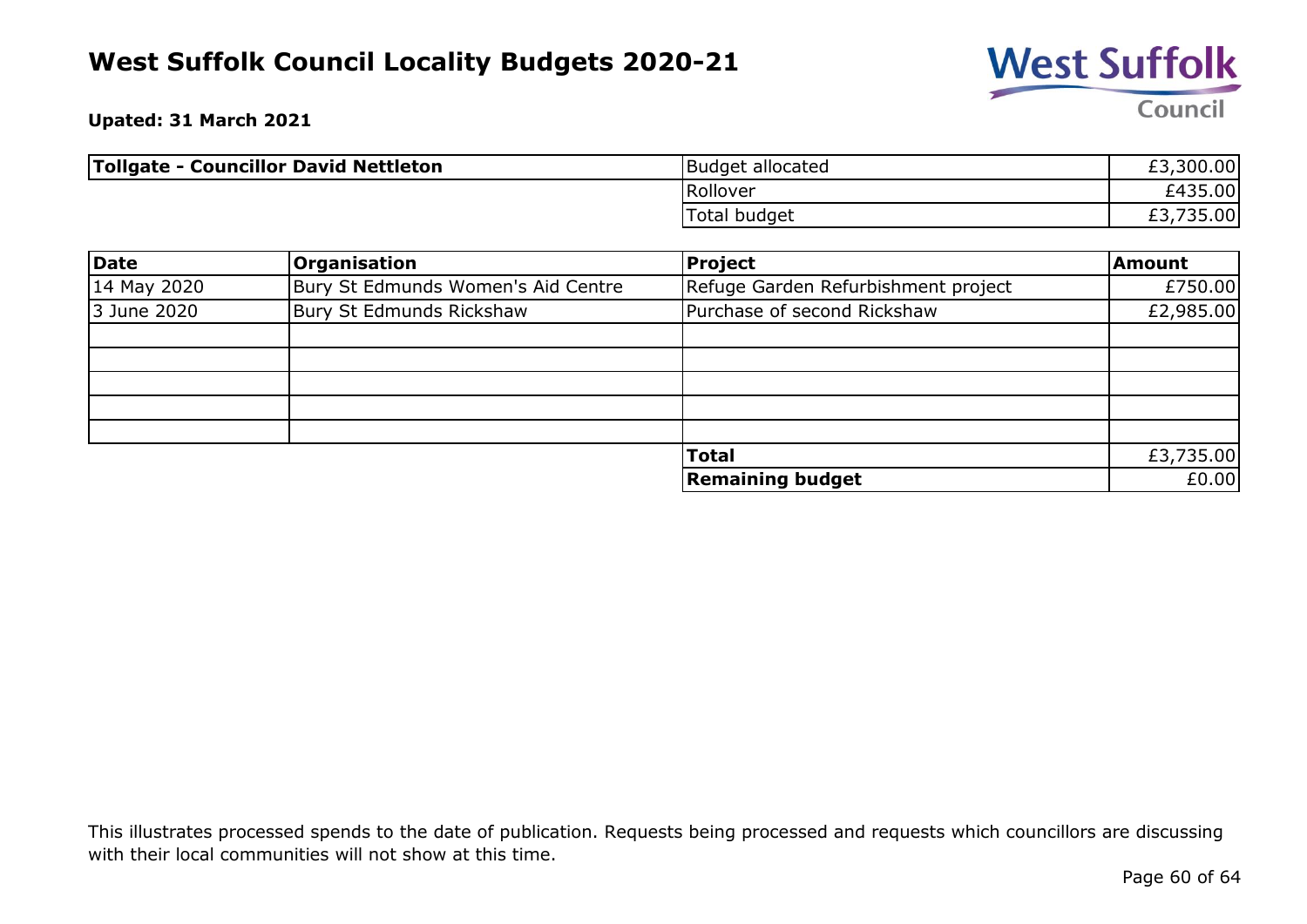

**Upated: 31 March 2021**

| <b>Tollgate - Councillor David Nettleton</b> | Budget allocated | £3,300.00       |
|----------------------------------------------|------------------|-----------------|
|                                              | Rollover         | £435.00         |
|                                              | Total budget     | 735.00<br>ر . ب |

| Date        | <b>Organisation</b>                | Project                             | Amount    |
|-------------|------------------------------------|-------------------------------------|-----------|
| 14 May 2020 | Bury St Edmunds Women's Aid Centre | Refuge Garden Refurbishment project | £750.00   |
| 3 June 2020 | Bury St Edmunds Rickshaw           | Purchase of second Rickshaw         | £2,985.00 |
|             |                                    |                                     |           |
|             |                                    |                                     |           |
|             |                                    |                                     |           |
|             |                                    |                                     |           |
|             |                                    |                                     |           |
|             |                                    | <b>Total</b>                        | £3,735.00 |
|             |                                    | <b>Remaining budget</b>             | £0.00     |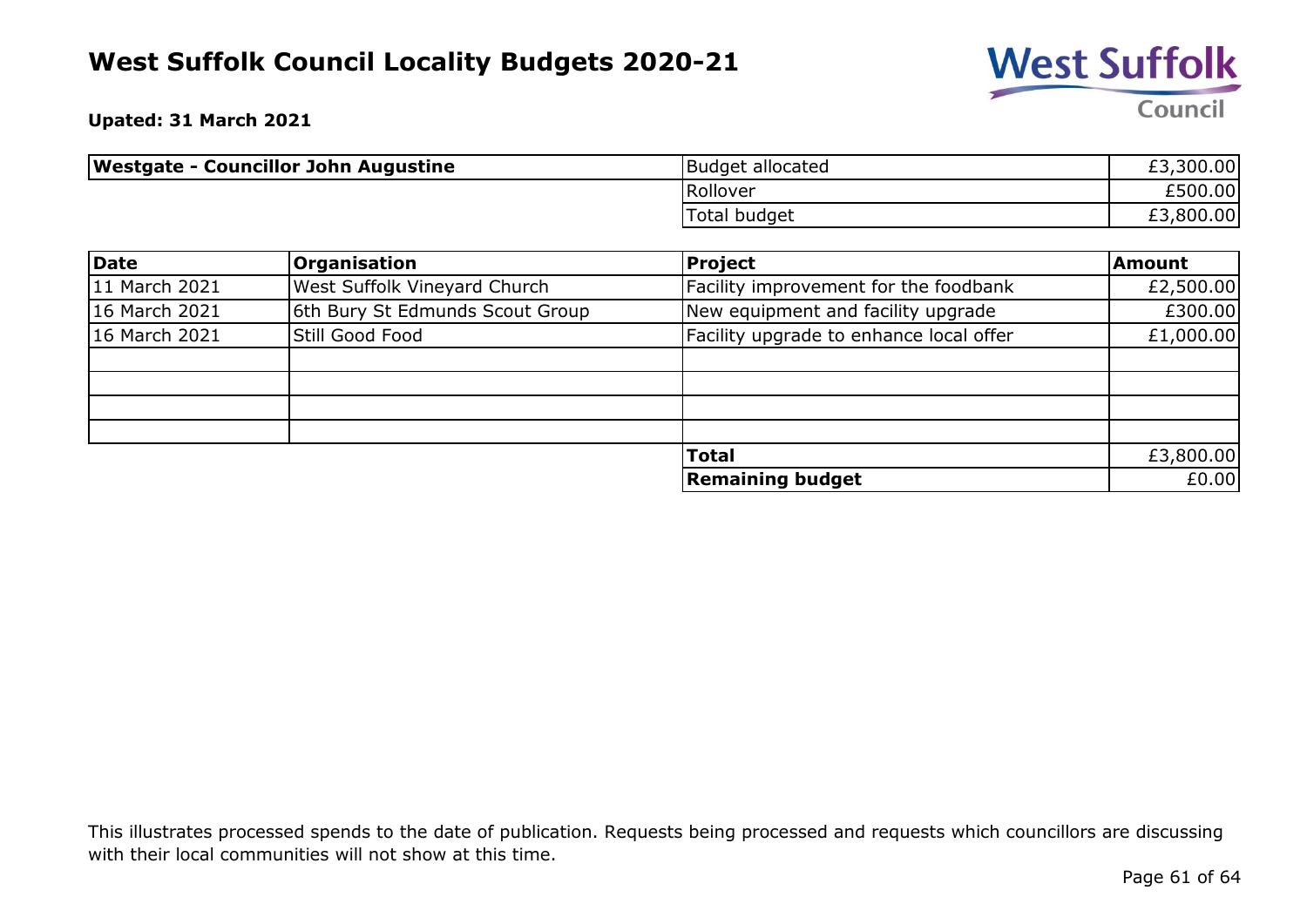

**Upated: 31 March 2021**

| Westgate - Councillor John Augustine | Budget allocated | £3,300.00 |
|--------------------------------------|------------------|-----------|
|                                      | Rollover         | £500.00   |
|                                      | Total budget     | £3,800.00 |

| Date          | <b>Organisation</b>             | <b>Project</b>                          | <b>Amount</b> |
|---------------|---------------------------------|-----------------------------------------|---------------|
| 11 March 2021 | West Suffolk Vineyard Church    | Facility improvement for the foodbank   | £2,500.00     |
| 16 March 2021 | 6th Bury St Edmunds Scout Group | New equipment and facility upgrade      | £300.00       |
| 16 March 2021 | Still Good Food                 | Facility upgrade to enhance local offer | £1,000.00     |
|               |                                 |                                         |               |
|               |                                 |                                         |               |
|               |                                 |                                         |               |
|               |                                 |                                         |               |
|               |                                 | <b>Total</b>                            | £3,800.00     |
|               |                                 | <b>Remaining budget</b>                 | £0.00         |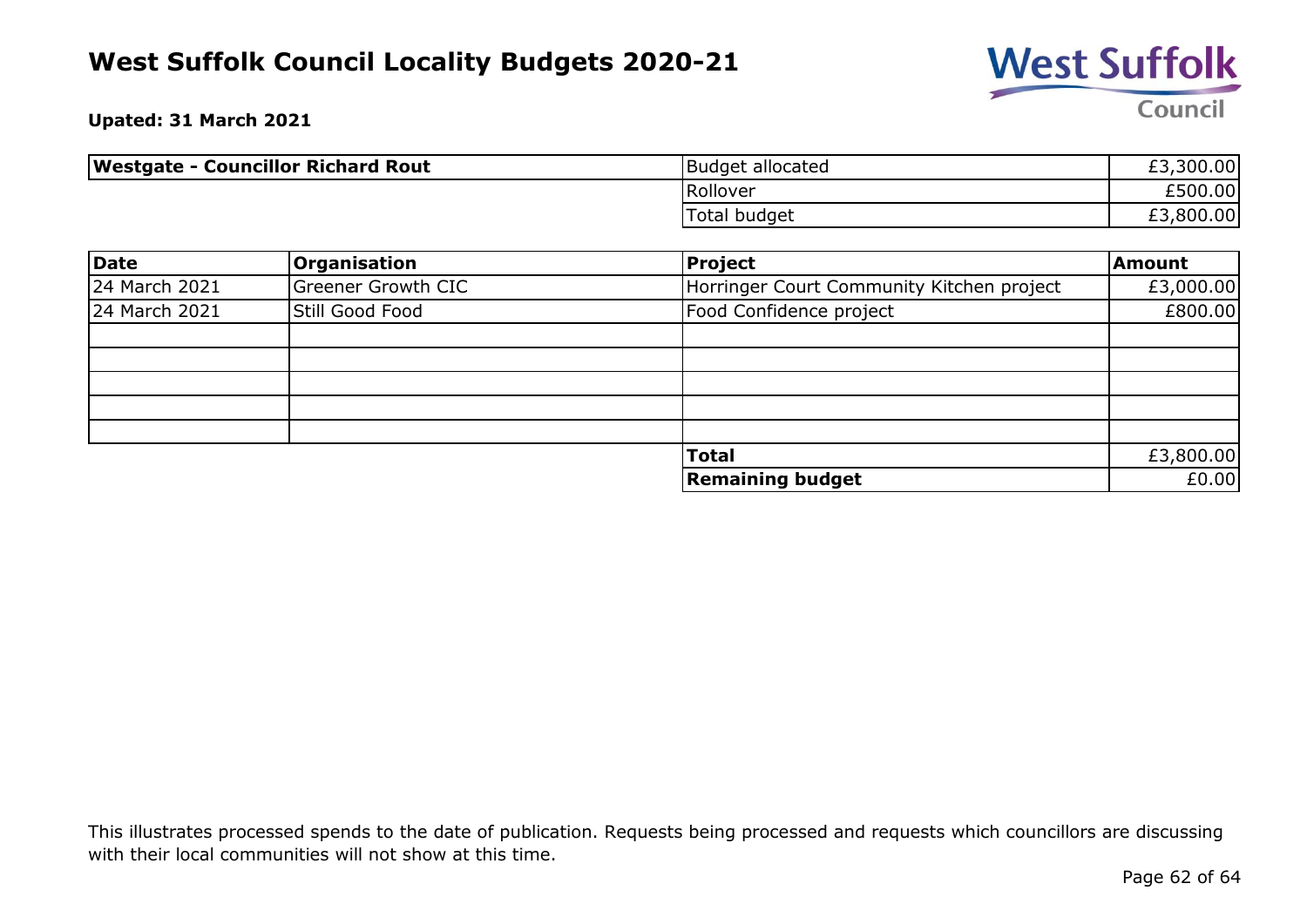

**Upated: 31 March 2021**

| <b>Westgate - Councillor Richard Rout</b> | <b>Budget allocated</b> | £3,300.00 |
|-------------------------------------------|-------------------------|-----------|
|                                           | Rollover                | £500.00   |
|                                           | Total budget            | £3,800.00 |

| Date          | <b>Organisation</b>       | <b>Project</b>                            | <b>Amount</b> |
|---------------|---------------------------|-------------------------------------------|---------------|
| 24 March 2021 | <b>Greener Growth CIC</b> | Horringer Court Community Kitchen project | £3,000.00     |
| 24 March 2021 | Still Good Food           | Food Confidence project                   | £800.00       |
|               |                           |                                           |               |
|               |                           |                                           |               |
|               |                           |                                           |               |
|               |                           |                                           |               |
|               |                           |                                           |               |
|               |                           | <b>Total</b>                              | £3,800.00     |
|               |                           | <b>Remaining budget</b>                   | £0.00         |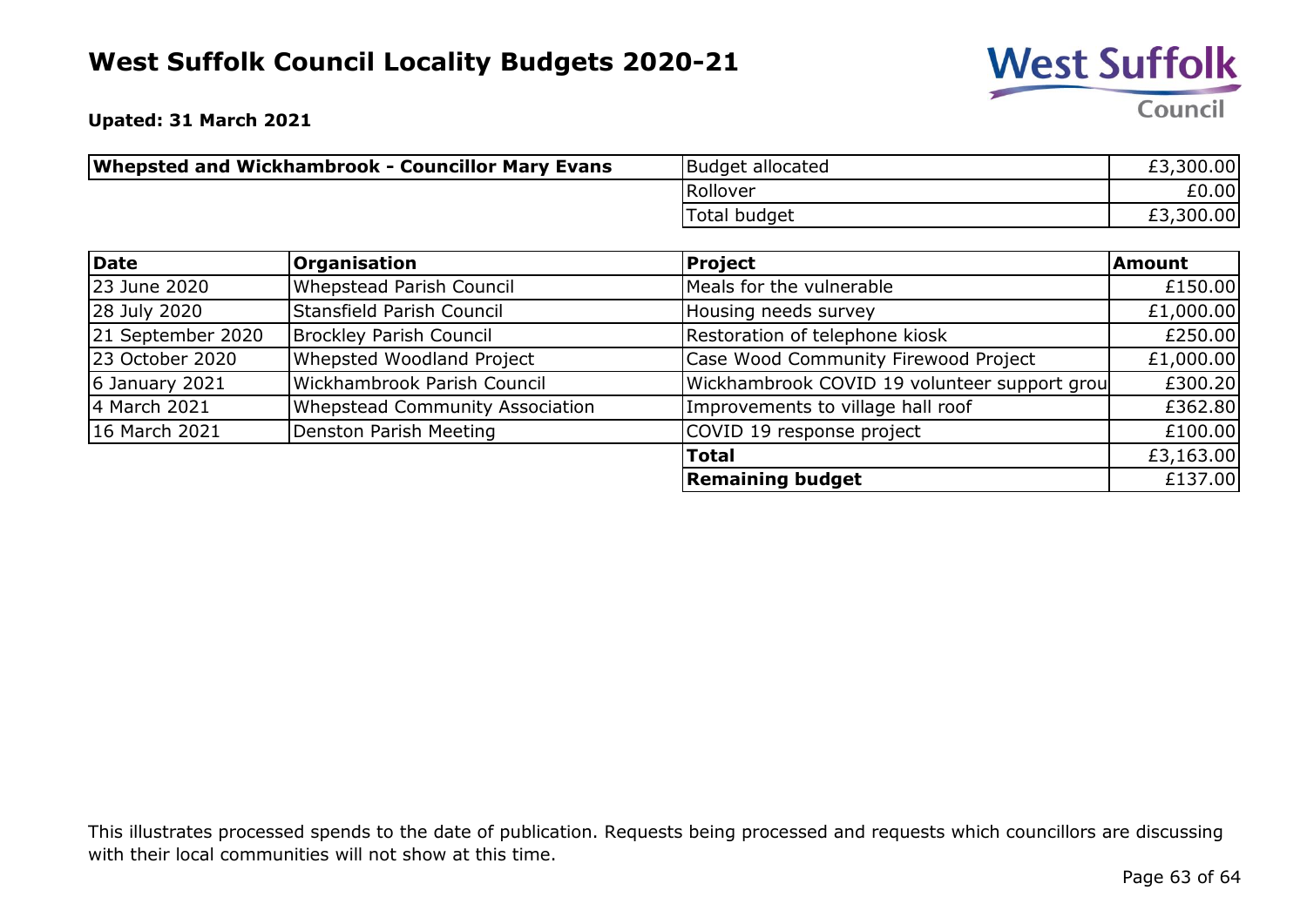

**Upated: 31 March 2021**

| Whepsted and Wickhambrook - Councillor Mary Evans | Budget allocated | £3,300.00 |
|---------------------------------------------------|------------------|-----------|
|                                                   | Rollover         | £0.00     |
|                                                   | Total budget     | £3,300.00 |

| Date              | <b>Organisation</b>             | <b>Project</b>                               | Amount    |
|-------------------|---------------------------------|----------------------------------------------|-----------|
| 23 June 2020      | Whepstead Parish Council        | Meals for the vulnerable                     | £150.00   |
| 28 July 2020      | Stansfield Parish Council       | Housing needs survey                         | £1,000.00 |
| 21 September 2020 | Brockley Parish Council         | Restoration of telephone kiosk               | £250.00   |
| 23 October 2020   | Whepsted Woodland Project       | Case Wood Community Firewood Project         | £1,000.00 |
| 6 January 2021    | Wickhambrook Parish Council     | Wickhambrook COVID 19 volunteer support grou | £300.20   |
| 4 March 2021      | Whepstead Community Association | Improvements to village hall roof            | £362.80   |
| 16 March 2021     | Denston Parish Meeting          | COVID 19 response project                    | £100.00   |
|                   |                                 | <b>Total</b>                                 | £3,163.00 |
|                   |                                 | <b>Remaining budget</b>                      | £137.00   |